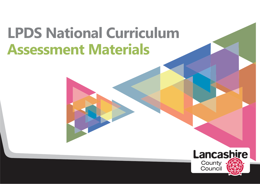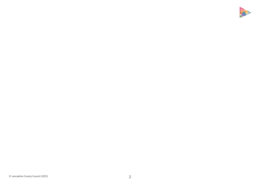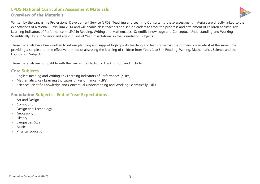#### **Overview of the Materials**



Written by the Lancashire Professional Development Service (LPDS) Teaching and Learning Consultants, these assessment materials are directly linked to the expectations of National Curriculum 2014 and will enable class teachers and senior leaders to track the progress and attainment of children against 'Key Learning Indicators of Performance' (KLIPs) in Reading, Writing and Mathematics, 'Scientific Knowledge and Conceptual Understanding and Working Scientifically Skills' in Science and against 'End of Year Expectations' in the Foundation Subjects.

These materials have been written to inform planning and support high quality teaching and learning across the primary phase whilst at the same time providing a simple and time effective method of assessing the learning of children from Years 1 to 6 in Reading, Writing, Mathematics, Science and the Foundation Subjects.

These materials are compatible with the Lancashire Electronic Tracking tool and include:

#### **Core Subjects**

- $\blacktriangleright$ English: Reading and Writing Key Learning Indicators of Performance (KLIPs)
- fMathematics: Key Learning Indicators of Performance (KLIPs)
- $\blacktriangleright$ Science: Scientific Knowledge and Conceptual Understanding and Working Scientifically Skills

#### **Foundation Subjects - End of Year Expectations**

- $\blacktriangleright$ Art and Design
- $\blacktriangleright$ Computing
- fDesign and Technology
- fGeography
- $\blacktriangleright$ History
- $\blacktriangleright$ Languages (KS2)
- fMusic
- $\blacktriangleright$ Physical Education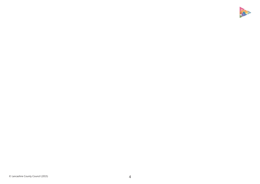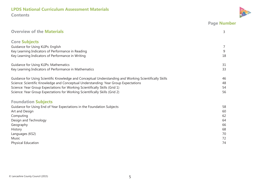**Contents** 



## **Page Number**

| <b>Overview of the Materials</b>                                                                       | 3  |
|--------------------------------------------------------------------------------------------------------|----|
| <b>Core Subjects</b>                                                                                   |    |
| Guidance for Using KLIPs: English                                                                      | 7  |
| Key Learning Indicators of Performance in Reading                                                      | 9  |
| Key Learning Indicators of Performance in Writing                                                      | 18 |
| <b>Guidance for Using KLIPs: Mathematics</b>                                                           | 31 |
| Key Learning Indicators of Performance in Mathematics                                                  | 33 |
| Guidance for Using Scientific Knowledge and Conceptual Understanding and Working Scientifically Skills | 46 |
| Science: Scientific Knowledge and Conceptual Understanding: Year Group Expectations                    | 48 |
| Science: Year Group Expectations for Working Scientifically Skills (Grid 1)                            | 54 |
| Science: Year Group Expectations for Working Scientifically Skills (Grid 2)                            | 56 |
| <b>Foundation Subjects</b>                                                                             |    |
| Guidance for Using End of Year Expectations in the Foundation Subjects                                 | 58 |
| Art and Design                                                                                         | 60 |
| Computing                                                                                              | 62 |
| Design and Technology                                                                                  | 64 |
| Geography                                                                                              | 66 |
| History                                                                                                | 68 |
| Languages (KS2)                                                                                        | 70 |
| Music                                                                                                  | 72 |
| <b>Physical Education</b>                                                                              | 74 |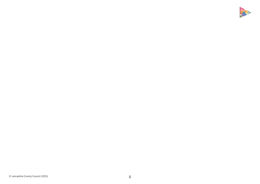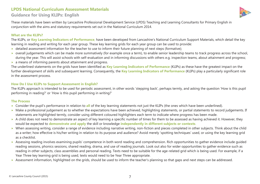#### **Guidance for Using KLIPs: English**



These materials have been written by Lancashire Professional Development Service (LPDS) Teaching and Learning Consultants for Primary English in conjunction with the aims and statutory requirements set out in the National Curriculum 2014.

#### **What are the KLIPs?**

The KLIPs, or **Key Learning Indicators of Performance**, have been developed from Lancashire's National Curriculum Support Materials, which detail the key learning in reading and writing for each year group. These key learning grids for each year group can be used to provide:

- $\triangleright$  detailed assessment information for the teacher to use to inform their future planning of next steps (formative);
- ▶ overall judgements which can be made more summatively (for example once a term), to enable senior leadership teams to track progress across the school, during the year. This will assist schools with self-evaluation and in informing discussions with others e.g. inspection teams, about attainment and progress;
- $\blacktriangleright$  a means of informing parents about attainment and progress.

The underlined statements on the grids have been identified as **Key Learning Indicators of Performance** (KLIPs) as these have the greatest impact on the further development of skills and subsequent learning. Consequently, the **Key Learning Indicators of Performance** (KLIPs) play a particularly significant role in the assessment process.

#### **How Do I Use KLIPs to Support Assessment in English?**

The KLIPs approach is intended to be used for periodic assessment, in other words 'stepping back', perhaps termly, and asking the question 'How is this pupil performing in reading?' or 'How is this pupil performing in writing?'

#### **The Process**

- ► Consider the pupil's performance in relation to all of the key learning statements not just the KLIPs (the ones which have been underlined).
- Make a professional judgement as to whether the expectations have been achieved, highlighting statements, or partial statements to record judgements. If statements are highlighted termly, consider using different coloured highlighters each term to indicate where progress has been made.
- A child does not need to demonstrate an aspect of key learning a specific number of times for them to be assessed as having achieved it. However, they would be expected to **demonstrate and apply** the skill or knowledge **independently in different subjects or contexts**.
- ► When assessing writing, consider a range of evidence including narrative writing, non-fiction and pieces completed in other subjects. Think about the child as a writer; how effective is his/her writing in relation to its purpose and audience? Avoid merely 'spotting techniques' used, or using the key learning grid as a checklist.
- ► Assessing reading involves examining pupils' competence in both word reading and comprehension. Rich opportunities to gather evidence include guided reading sessions, phonics sessions, shared reading, drama, and use of reading journals. Look out also for wider opportunities to gather evidence such as reading in other subjects, class assemblies and personal reading. Texts need to be suitable for the age-related grid which is being used. For example, if a Year Three key learning grid is being used, texts would need to be Year Three appropriate.
- Assessment information, highlighted on the grids, should be used to inform the teacher's planning so that gaps and next steps can be addressed.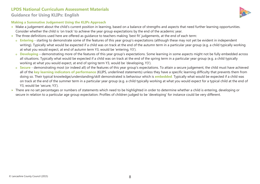

**Guidance for Using KLIPs: English** 

#### **Making a Summative Judgement Using the KLIPs Approach**

- ▶ Make a judgement about the child's current position in learning, based on a balance of strengths and aspects that need further learning opportunities. Consider whether the child is 'on track' to achieve the year group expectations by the end of the academic year.
- $\blacktriangleright$  The three definitions used here are offered as guidance to teachers making 'best fit' judgements, at the end of each term:
	- **o Entering** starting to demonstrate some of the features of this year group's expectations (although these may not yet be evident in independent writing). Typically what would be expected if a child was on track at the end of the autumn term in a particular year group (e.g. a child typically working at what you would expect, at end of autumn term Y3, would be 'entering, Y3').
	- **o Developing** demonstrating more of the features of this year group's expectations. Some learning in some aspects might not be fully embedded across all situations. Typically what would be expected if a child was on track at the end of the spring term in a particular year group (e.g. a child typically working at what you would expect, at end of spring term Y3, would be 'developing, Y3').
	- **o Secure** demonstrating most (or indeed all) of the features of this year group's expectations. To attain a secure judgement, the child must have achieved all of the **key learning indicators of performance** (KLIPS, underlined statements) unless they have a specific learning difficulty that prevents them from doing so. Their typical knowledge/understanding/skill demonstrated is behaviour which is **embedded**. Typically what would be expected if a child was on track at the end of the summer term in a particular year group (e.g. a child typically working at what you would expect for a typical child at the end of Y3, would be 'secure, Y3').
- ▶ There are no set percentages or numbers of statements which need to be highlighted in order to determine whether a child is entering, developing or secure in relation to a particular age group expectation. Profiles of children judged to be 'developing' for instance could be very different.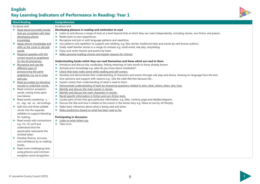

 $\boxed{1}$ 

|    | <b>Word Reading</b>               | <b>Comprehension</b>                                                                                                                            |
|----|-----------------------------------|-------------------------------------------------------------------------------------------------------------------------------------------------|
|    | As above and:                     | As above and:                                                                                                                                   |
|    | Read aloud accurately books       | Developing pleasure in reading and motivation to read                                                                                           |
|    | that are consistent with their    | > Listen to and discuss a range of texts at a level beyond that at which they can read independently, including stories, non-fiction and poems. |
|    | developing phonic                 | Relate texts to own experiences.<br>Þ.                                                                                                          |
|    | knowledge.                        | Recognise and join in with language patterns and repetition.<br>Þ.                                                                              |
| ▶  | Apply phonic knowledge and        | > Use patterns and repetition to support oral retelling, e.g. fairy stories, traditional tales and stories by well-known authors.               |
|    | skills as the route to decode     | > Orally retell familiar stories in a range of contexts e.g. small world, role play, storytelling.                                              |
|    | words.                            | $\blacktriangleright$ Enjoy and recite rhymes and poems by heart.                                                                               |
| ▶  | Respond speedily with the         | • Make personal reading choices and explain reasons for choices.                                                                                |
|    | correct sound to grapheme         |                                                                                                                                                 |
|    | for the 44 phonemes.              | Understanding books which they can read themselves and those which are read to them                                                             |
| ▶  | Recognise and use the             | Introduce and discuss key vocabulary, linking meanings of new words to those already known.                                                     |
|    | different ways of                 | Activate prior knowledge e.g. what do you know about minibeasts?<br>Þ.                                                                          |
|    | pronouncing the same              | Check that texts make sense while reading and self-correct.<br>Þ.                                                                               |
|    | grapheme; e.g. ow in snow         | Develop and demonstrate their understanding of characters and events through role play and drama, drawing on language from the text.<br>Þ.      |
|    | and cow.                          | • Give opinions and support with reasons e.g. I like the Little Red Hen because she                                                             |
| ▶  | Read accurately by blending       | Explain clearly their understanding of what is read to them.<br>Þ.                                                                              |
|    | sounds in unfamiliar words.       | ▶ Demonstrate understanding of texts by answering questions related to who, what, where, when, why, how.                                        |
| Þ. | Read common exception             | • Identify and discuss the main events in stories.                                                                                              |
|    | words, noting tricky parts        | • Identify and discuss the main characters in stories.                                                                                          |
|    | (see below).                      | Recall specific information in fiction and non-fiction texts.<br>▶                                                                              |
| ▶  | Read words containing -s, -       | ► Locate parts of text that give particular information, e.g. titles, contents page and labelled diagram.                                       |
|    | es, -ing, -ed, -er, -est endings. | > Discuss the title and how it relates to the events in the whole story e.g. Peace at Last by Jill Murphy.                                      |
|    | Split two and three syllable      | • Make basic inferences about what is being said and done.                                                                                      |
|    | words into the separate           | Make predictions based on what has been read so far.                                                                                            |
|    | syllables to support blending     |                                                                                                                                                 |
|    | for reading.                      | <b>Participating in discussion</b>                                                                                                              |
| Þ. | Read words with contractions      | Listen to what others say.                                                                                                                      |
|    | e.g. I'm, I'll, we'll and         | $\blacktriangleright$ Take turns.                                                                                                               |
|    | understand that the               |                                                                                                                                                 |
|    | apostrophe represents the         |                                                                                                                                                 |
|    | omitted letter.                   |                                                                                                                                                 |
|    | Develop fluency, accuracy         |                                                                                                                                                 |
|    | and confidence by re-reading      |                                                                                                                                                 |
|    | books.                            |                                                                                                                                                 |
| Þ. | Read more challenging texts       |                                                                                                                                                 |
|    | using phonics and common          |                                                                                                                                                 |
|    | exception word recognition.       |                                                                                                                                                 |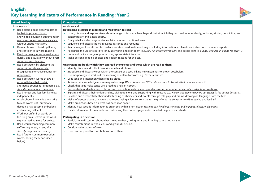

 $\boxed{2}$ 

|    | <b>Word Reading</b>                                       | <b>Comprehension</b>                                                                                                                                              |
|----|-----------------------------------------------------------|-------------------------------------------------------------------------------------------------------------------------------------------------------------------|
|    | As above and:                                             | As above and:                                                                                                                                                     |
| ▶. | Read aloud books closely matched                          | Developing pleasure in reading and motivation to read                                                                                                             |
|    | to their improving phonic                                 | Listen, discuss and express views about a range of texts at a level beyond that at which they can read independently, including stories, non-fiction, and         |
|    | knowledge, sounding out unfamiliar                        | contemporary and classic poetry.                                                                                                                                  |
|    | words accurately, automatically and                       | > Orally retell a wider range of stories, fairy tales and traditional tales.                                                                                      |
|    | without undue hesitation.                                 | Sequence and discuss the main events in stories and recounts.<br>▶                                                                                                |
|    | Re-read books to build up fluency                         | Read a range of non-fiction texts which are structured in different ways, including information, explanations, instructions, recounts, reports.<br>▶              |
|    | and confidence in word reading.                           | Recognise the use of repetitive language within a text or poem (e.g. run, run as fast as you can) and across texts (e.g. long, long ago in a land far away).<br>▶ |
|    | Read frequently encountered words                         | Learn and recite a range of poems using appropriate intonation.<br>▶.                                                                                             |
|    | quickly and accurately without overt                      | • Make personal reading choices and explain reasons for choices.                                                                                                  |
|    | sounding and blending.                                    |                                                                                                                                                                   |
|    | Read accurately by blending the                           | Understanding books which they can read themselves and those which are read to them                                                                               |
|    | sounds in words, especially                               | • Identify, discuss and collect favourite words and phrases.                                                                                                      |
|    | recognising alternative sounds for                        | Introduce and discuss words within the context of a text, linking new meanings to known vocabulary.                                                               |
|    | graphemes.                                                | Use morphology to work out the meaning of unfamiliar words e.g. terror, terrorised.<br>▶                                                                          |
|    | Read accurately words of two or                           | $\triangleright$ Uses tone and intonation when reading aloud.                                                                                                     |
|    | more syllables that contain                               | Activate prior knowledge and raise questions e.g. What do we know? What do we want to know? What have we learned?                                                 |
|    | alternative sounds for grapheme e.g.                      | Check that texts make sense while reading and self-correct.                                                                                                       |
|    | shoulder, roundabout, grouping.                           | Demonstrate understanding of fiction and non-fiction texts by asking and answering who, what, where, when, why, how questions.<br>Þ.                              |
|    | $\blacktriangleright$ Read longer and less familiar texts | Explain and discuss their understanding, giving opinions and supporting with reasons e.g. Hansel was clever when he put stones in his pocket because<br>▶         |
|    | independently.                                            | Develop and demonstrate their understanding of characters and events through role play and drama, drawing on language from the text.<br>▶                         |
|    | Apply phonic knowledge and skills                         | Make inferences about characters and events using evidence from the text e.g. what is the character thinking, saying and feeling?                                 |
|    | to read words until automatic                             | Make predictions based on what has been read so far.<br>▶                                                                                                         |
|    | decoding has become embedded                              | Identify how specific information is organised within a non-fiction text e.g. sub-headings, contents, bullet points, glossary, diagrams.<br>▶                     |
|    | and reading is fluent.                                    | Locate information from non-fiction texts using the contents page, index, labelled diagrams and charts.<br>Þ.                                                     |
|    | $\triangleright$ Work out unfamiliar words by             |                                                                                                                                                                   |
|    | focusing on all letters in the word,                      | <b>Participating in discussion</b>                                                                                                                                |
|    | e.g. not reading place for palace.                        | ▶ Participate in discussion about what is read to them, taking turns and listening to what others say.                                                            |
|    | $\blacktriangleright$ Read words containing common        | $\triangleright$ Make contributions in whole class and group discussion.                                                                                          |
|    | suffixes e.g. -ness, -ment, -ful,                         | Consider other points of view.<br>$\blacktriangleright$                                                                                                           |
|    | -less -ly, -ing, -ed, -er, -est, -y.                      | $\blacktriangleright$ Listen and respond to contributions from others.                                                                                            |
|    | $\blacktriangleright$ Read further common exception       |                                                                                                                                                                   |
|    | words, noting tricky parts (see                           |                                                                                                                                                                   |
|    | below).                                                   |                                                                                                                                                                   |
|    |                                                           |                                                                                                                                                                   |
|    |                                                           |                                                                                                                                                                   |
|    |                                                           |                                                                                                                                                                   |
|    |                                                           |                                                                                                                                                                   |
|    |                                                           |                                                                                                                                                                   |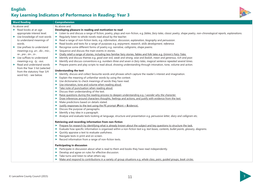| <b>English</b>                                            |  |
|-----------------------------------------------------------|--|
| Key Learning Indicators of Performance in Reading: Year 3 |  |



| <b>Word Reading</b>                              | <b>Comprehension</b>                                                                                                                                                        |
|--------------------------------------------------|-----------------------------------------------------------------------------------------------------------------------------------------------------------------------------|
| As above and:                                    | As above and:                                                                                                                                                               |
| Read books at an age                             | Developing pleasure in reading and motivation to read                                                                                                                       |
| appropriate interest level.                      | > Listen to and discuss a range of fiction, poetry, plays and non-fiction, e.g. fables, fairy tales, classic poetry, shape poetry, non-chronological reports, explanations. |
| ▶ Use knowledge of root words                    | Regularly listen to whole novels read aloud by the teacher.<br>Þ.                                                                                                           |
| to understand meanings of                        | Read a range of non-fiction texts, e.g. information, discussion, explanation, biography and persuasion.<br>▶                                                                |
| words.                                           | Read books and texts for a range of purposes e.g. enjoyment, research, skills development, reference.<br>$\blacktriangleright$                                              |
| $\blacktriangleright$ Use prefixes to understand | Recognise some different forms of poetry e.g. narrative, calligrams, shape poems.                                                                                           |
| meanings e.g. un-, dis-, mis-,                   | $\triangleright$ Sequence and discuss the main events in stories.                                                                                                           |
| re-, pre-, im-, in-.                             | Orally retell a range of stories, including less familiar fairy stories, fables and folk tales e.g. Grimm's Fairy Tales.                                                    |
| $\blacktriangleright$ Use suffixes to understand | Identify and discuss themes e.g. good over evil, weak and strong, wise and foolish, mean and generous, rich and poor.<br>▶                                                  |
| meanings e.g. -ly, -ous.                         | Identify and discuss conventions e.g. numbers three and seven in fairy tales, magical sentence repeated several times.<br>$\blacktriangleright$                             |
| $\blacktriangleright$ Read and understand words  | ▶ Prepare poems and play scripts to read aloud, showing understanding through intonation, tone, volume and action.                                                          |
| from the Year 3 list (selected                   |                                                                                                                                                                             |
| from the statutory Year 3/4                      | <b>Understanding the text</b>                                                                                                                                               |
| word list) - see below.                          | Identify, discuss and collect favourite words and phrases which capture the reader's interest and imagination.                                                              |
|                                                  | $\blacktriangleright$ Explain the meaning of unfamiliar words by using the context.                                                                                         |
|                                                  | ▶ Use dictionaries to check meanings of words they have read.                                                                                                               |
|                                                  | Use intonation, tone and volume when reading aloud.                                                                                                                         |
|                                                  | Take note of punctuation when reading aloud.                                                                                                                                |
|                                                  | Discuss their understanding of the text.<br>▶                                                                                                                               |
|                                                  | Raise questions during the reading process to deepen understanding e.g. I wonder why the character.<br>▶                                                                    |
|                                                  | Draw inferences around characters thoughts, feelings and actions, and justify with evidence from the text.<br>▶                                                             |
|                                                  | Make predictions based on details stated.                                                                                                                                   |
|                                                  | Justify responses to the text using the PE prompt (Point + Evidence).                                                                                                       |
|                                                  | Discuss the purpose of paragraphs.                                                                                                                                          |
|                                                  | Identify a key idea in a paragraph.<br>$\blacktriangleright$                                                                                                                |
|                                                  | Analyse and evaluate texts looking at language, structure and presentation e.g. persuasive letter, diary and calligram etc.                                                 |
|                                                  | Retrieving and recording information from non-fiction                                                                                                                       |
|                                                  | Prepare for research by identifying what is already known about the subject and key questions to structure the task.                                                        |
|                                                  | Evaluate how specific information is organised within a non-fiction text e.g. text boxes, contents, bullet points, glossary, diagrams.<br>▶                                 |
|                                                  | Quickly appraise a text to evaluate usefulness.                                                                                                                             |
|                                                  | Navigate texts in print and on screen.                                                                                                                                      |
|                                                  | Record information from a range of non-fiction texts.                                                                                                                       |
|                                                  |                                                                                                                                                                             |
|                                                  | <b>Participating in discussion</b>                                                                                                                                          |
|                                                  | > Participate in discussion about what is read to them and books they have read independently.                                                                              |
|                                                  | Develop and agree on rules for effective discussion.<br>▶                                                                                                                   |
|                                                  | Take turns and listen to what others say.                                                                                                                                   |
|                                                  | Make and respond to contributions in a variety of group situations e.g. whole class, pairs, quided groups, book circles.                                                    |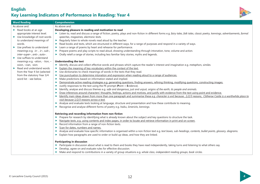

 $\overline{4}$ 

| <b>Word Reading</b>                              | <b>Comprehension</b>                                                                                                                                                            |
|--------------------------------------------------|---------------------------------------------------------------------------------------------------------------------------------------------------------------------------------|
| As above and:                                    | As above and:                                                                                                                                                                   |
| $\blacktriangleright$ Read books at an age       | Developing pleasure in reading and motivation to read                                                                                                                           |
| appropriate interest level.                      | Eisten to, read and discuss a range of fiction, poetry, plays and non-fiction in different forms e.g. fairy tales, folk tales, classic poetry, kennings, advertisements, formal |
| ▶ Use knowledge of root words                    | speeches, magazines, electronic texts.                                                                                                                                          |
| to understand meanings of                        | Regularly listen to whole novels read aloud by the teacher.                                                                                                                     |
| words.                                           | Read books and texts, which are structured in different ways, for a range of purposes and respond in a variety of ways.                                                         |
| $\blacktriangleright$ Use prefixes to understand | ▶ Learn a range of poems by heart and rehearse for performance.                                                                                                                 |
| meanings e.g. in-, ir-, sub-,                    | ▶ Prepare poems and play scripts to read aloud, showing understanding through intonation, tone, volume and action.                                                              |
| inter-super-, anti-, auto-.                      | • Orally retell a range of stories, including less familiar fairy stories, myths and legends.                                                                                   |
| $\triangleright$ Use suffixes to understand      |                                                                                                                                                                                 |
| meanings e.g. -ation, - tion, -                  | <b>Understanding the text</b>                                                                                                                                                   |
| ssion, -cian, -sion.                             | > Identify, discuss and collect effective words and phrases which capture the reader's interest and imagination e.g. metaphors, similes.                                        |
| $\blacktriangleright$ Read and understand words  | Explain the meaning of key vocabulary within the context of the text.                                                                                                           |
| from the Year 4 list (selected                   | > Use dictionaries to check meanings of words in the texts that they read.                                                                                                      |
| from the statutory Year 3/4                      | ▶ Use punctuation to determine intonation and expression when reading aloud to a range of audiences.                                                                            |
| word list - see below.                           | • Make predictions based on information stated and implied.                                                                                                                     |
|                                                  | Demonstrate active reading strategies e.g. generating questions, finding answers, refining thinking, modifying questions, constructing images.                                  |
|                                                  | > Justify responses to the text using the PE prompt (Point + Evidence).                                                                                                         |
|                                                  | Identify, analyse and discuss themes e.g. safe and dangerous, just and unjust, origins of the earth, its people and animals.                                                    |
|                                                  | > Draw inferences around characters' thoughts, feelings, actions and motives, and justify with evidence from the text using point and evidence.                                 |
|                                                  | • Identify main ideas drawn from more than one paragraph and summarise these e.g. character is evil because1/2/3 reasons. Clitheroe Castle is a worthwhile place to             |
|                                                  | visit because 1/2/3 reasons across a text.                                                                                                                                      |
|                                                  | Analyse and evaluate texts looking at language, structure and presentation and how these contribute to meaning.                                                                 |
|                                                  | Recognise and analyse different forms of poetry e.g. haiku, limericks, kennings.                                                                                                |
|                                                  | Retrieving and recording information from non-fiction                                                                                                                           |
|                                                  | ▶ Prepare for research by identifying what is already known about the subject and key questions to structure the task.                                                          |
|                                                  | Navigate texts e.g. using contents and index pages, in order to locate and retrieve information in print and on screen.                                                         |
|                                                  | Record information from a range of non-fiction texts.                                                                                                                           |
|                                                  | Scan for dates, numbers and names.                                                                                                                                              |
|                                                  | Analyse and evaluate how specific information is organised within a non-fiction text e.g. text boxes, sub-headings, contents, bullet points, glossary, diagrams.                |
|                                                  | Explain how paragraphs are used to order or build up ideas, and how they are linked.                                                                                            |
|                                                  | <b>Participating in discussion</b>                                                                                                                                              |
|                                                  | ▶ Participate in discussion about what is read to them and books they have read independently, taking turns and listening to what others say.                                   |
|                                                  | Develop, agree on and evaluate rules for effective discussion.                                                                                                                  |
|                                                  | Make and respond to contributions in a variety of group situations e.g. whole class, independent reading groups, book circles.                                                  |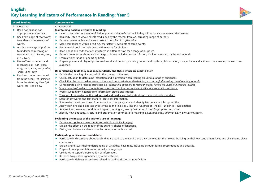

| <b>Word Reading</b>                              | <b>Comprehension</b>                                                                                                                                              |
|--------------------------------------------------|-------------------------------------------------------------------------------------------------------------------------------------------------------------------|
| As above and:                                    | As above and:                                                                                                                                                     |
| Read books at an age                             | Maintaining positive attitudes to reading                                                                                                                         |
| appropriate interest level.                      | Listen to and discuss a range of fiction, poetry and non-fiction which they might not choose to read themselves.                                                  |
| ▶ Use knowledge of root words                    | Regularly listen to whole novels read aloud by the teacher from an increasing range of authors.                                                                   |
| to understand meanings of                        | Explore themes within and across texts e.g. loss, heroism, friendship.                                                                                            |
| words.                                           | • Make comparisons within a text e.g. characters' viewpoints of same events.                                                                                      |
| Apply knowledge of prefixes                      | Recommend books to their peers with reasons for choices.                                                                                                          |
| to understand meaning of                         | Read books and texts that are structured in different ways for a range of purposes.                                                                               |
| new words, e.g. dis-, re-, pre-,                 | Express preferences about a wider range of books including modern fiction, traditional stories, myths and legends.                                                |
| mis-, over-.                                     | Learn a wider range of poems by heart.                                                                                                                            |
| $\blacktriangleright$ Use suffixes to understand | Prepare poems and play scripts to read aloud and perform, showing understanding through intonation, tone, volume and action so the meaning is clear to an         |
| meanings e.g. -ant, -ance, -                     | audience.                                                                                                                                                         |
| ancy, -ent, ence, -ency, -ible,                  |                                                                                                                                                                   |
| -able, -ibly, -ably.                             | Understanding texts they read independently and those which are read to them                                                                                      |
| Read and understand words                        | $\blacktriangleright$ Explain the meaning of words within the context of the text.                                                                                |
| from the Year 5 list (selected                   | ▶ Use punctuation to determine intonation and expression when reading aloud to a range of audiences.                                                              |
| from the statutory Year 5/6                      | ► Check that the book makes sense to them and demonstrate understanding e.g. through discussion, use of reading journals.                                         |
| word list) - see below                           | Demonstrate active reading strategies e.g. generating questions to refine thinking, noting thoughts in a reading journal.<br>$\blacktriangleright$                |
|                                                  | Infer characters' feelings, thoughts and motives from their actions and justify inferences with evidence.<br>▶                                                    |
|                                                  | Predict what might happen from information stated and implied.<br>▶                                                                                               |
|                                                  | Through close reading of the text, re-read and read ahead to locate clues to support understanding.                                                               |
|                                                  | Scan for key words and text mark to locate key information.                                                                                                       |
|                                                  | Summarise main ideas drawn from more than one paragraph and identify key details which support this.                                                              |
|                                                  | Justify opinions and elaborate by referring to the text, e.g. using the PEE prompt - Point + Evidence + Explanation.                                              |
|                                                  | Analyse the conventions of different types of writing e.g. use of first person in autobiographies and diaries.                                                    |
|                                                  | > Identify how language, structure and presentation contribute to meaning e.g. formal letter, informal diary, persuasive speech.                                  |
|                                                  | Evaluating the impact of the author's use of language                                                                                                             |
|                                                  | Explore, recognise and use the terms metaphor, simile, imagery.                                                                                                   |
|                                                  | Explain the effect on the reader of the authors' choice of language.                                                                                              |
|                                                  | Distinguish between statements of fact or opinion within a text.                                                                                                  |
|                                                  |                                                                                                                                                                   |
|                                                  | Participating in discussion and debate                                                                                                                            |
|                                                  | Participate in discussions about books that are read to them and those they can read for themselves, building on their own and others ideas and challenging views |
|                                                  | courteously.                                                                                                                                                      |
|                                                  | Explain and discuss their understanding of what they have read, including through formal presentations and debates.                                               |
|                                                  | Prepare formal presentations individually or in groups.                                                                                                           |
|                                                  | ▶ Use notes to support presentation of information.                                                                                                               |
|                                                  | Respond to questions generated by a presentation.                                                                                                                 |
|                                                  | > Participate in debates on an issue related to reading (fiction or non-fiction).                                                                                 |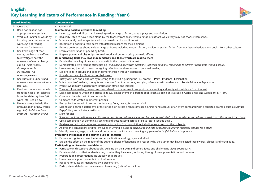

| <b>Word Reading</b>                             | <b>Comprehension</b>                                                                                                                                                         |
|-------------------------------------------------|------------------------------------------------------------------------------------------------------------------------------------------------------------------------------|
| As above and:                                   | As above and:                                                                                                                                                                |
| Read books at an age                            | Maintaining positive attitudes to reading                                                                                                                                    |
| appropriate interest level.                     | Listen to, read and discuss an increasingly wide range of fiction, poetry, plays and non-fiction.                                                                            |
| $\triangleright$ Work out unfamiliar words by   | Regularly listen to novels read aloud by the teacher from an increasing range of authors, which they may not choose themselves.<br>$\blacktriangleright$                     |
| focusing on all letters in the                  | Independently read longer texts with sustained stamina and interest.                                                                                                         |
| word, e.g. not reading                          | Recommend books to their peers with detailed reasons for their opinions.                                                                                                     |
| invitation for imitation.                       | Express preferences about a wider range of books including modern fiction, traditional stories, fiction from our literary heritage and books from other cultures.<br>P.      |
| ▶ Use knowledge of root                         | $\blacktriangleright$ Learn a wider range of poems by heart.                                                                                                                 |
| words, prefixes and suffixes                    | Prepare poems and play scripts to read aloud and perform using dramatic effects.                                                                                             |
| to investigate how the                          | Understanding texts they read independently and those which are read to them                                                                                                 |
| meanings of words change                        | Explain the meaning of new vocabulary within the context of the text.                                                                                                        |
| e.g. un+happy+ness,                             | Demonstrate active reading strategies e.g. challenging peers with questions, justifying opinions, responding to different viewpoints within a group.<br>▶                    |
| dis+repute+able,                                | Use a reading journal to record on-going reflections and responses to personal reading.<br>▶                                                                                 |
| dis+respect+ful,                                | Explore texts in groups and deepen comprehension through discussion.                                                                                                         |
| re+engage+ment.                                 | Provide reasoned justifications for their views.<br>▶                                                                                                                        |
| $\triangleright$ Use suffixes to understand     | > Justify opinions and elaborate by referring to the text e.g. using the PEE prompt - Point+Evidence+Explanation.                                                            |
| meanings e.g. -cious, -tious, -                 | Infer characters' feelings, thoughts and motives from their actions, justifying inferences with evidence e.g. Point+Evidence+Explanation.                                    |
| tial, -cial.                                    | Predict what might happen from information stated and implied.<br>▶                                                                                                          |
| $\blacktriangleright$ Read and understand words | Through close reading, re-read and read ahead to locate clues to support understanding and justify with evidence from the text.                                              |
| from the Year 6 list (selected                  | > Make comparisons within and across texts e.g. similar events in different books such as being an evacuee in Carrie's War and Goodnight Mr Tom.                             |
| from the statutory Year 5/6                     | Compare characters within and across texts.<br>Þ.                                                                                                                            |
| word list) - see below.                         | Compare texts written in different periods.                                                                                                                                  |
| $\triangleright$ Use etymology to help the      | Recognise themes within and across texts e.g. hope, peace, fortune, survival.                                                                                                |
| pronunciation of new words                      | > Distinguish between statements of fact or opinion across a range of texts e.g. first-hand account of an event compared with a reported example such as Samuel              |
| e.g. chef, chalet, machine,                     | Pepys' diary and a history textbook.                                                                                                                                         |
| brochure - French in origin.                    | Skim for gist.<br>▶                                                                                                                                                          |
|                                                 | Scan for key information e.g. identify words and phrases which tell you the character is frustrated, or find words/phrases which suggest that a theme park is exciting.<br>▶ |
|                                                 | Use a combination of skimming, scanning and close reading across a text to locate specific detail.<br>▶                                                                      |
|                                                 | Retrieve, record, make notes and present information from non-fiction, including texts used in other subjects.                                                               |
|                                                 | Analyse the conventions of different types of writing e.g. use of dialogue to indicate geographical and/or historical settings for a story.<br>▶                             |
|                                                 | > Identify how language, structure and presentation contribute to meaning e.g. persuasive leaflet, balanced argument.                                                        |
|                                                 | Evaluating the impact of the author's use of language                                                                                                                        |
|                                                 | Explore, recognise and use the terms personification, analogy, style and effect.                                                                                             |
|                                                 | Explain the effect on the reader of the author's choice of language and reasons why the author may have selected these words, phrases and techniques.                        |
|                                                 | Participating in discussion and debate                                                                                                                                       |
|                                                 | > Participate in discussions about books, building on their own and others' ideas and challenging views courteously.                                                         |
|                                                 | Explain and discuss their understanding of what they have read, including through formal presentations and debates.                                                          |
|                                                 | Prepare formal presentations individually or in groups.                                                                                                                      |
|                                                 | Use notes to support presentation of information.                                                                                                                            |
|                                                 | Respond to questions generated by a presentation.                                                                                                                            |
|                                                 | ▶ Participate in debates on issues related to reading (fiction/non-fiction).                                                                                                 |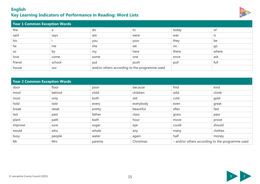

| <b>Year 1 Common Exception Words</b> |        |                                               |      |       |       |  |  |
|--------------------------------------|--------|-----------------------------------------------|------|-------|-------|--|--|
| the                                  | a      | do                                            | to   | today | Οt    |  |  |
| said                                 | says   | are                                           | were | was   | IS    |  |  |
| his                                  |        | you                                           | your | they  | be    |  |  |
| he                                   | me     | she                                           | we   | no    | go    |  |  |
| <b>SO</b>                            | by     | my                                            | here | there | where |  |  |
| love                                 | come   | some                                          | one  | once  | ask   |  |  |
| friend                               | school | put                                           | push | pull  | full  |  |  |
| house                                | our    | and/or others according to the programme used |      |       |       |  |  |

| <b>Year 2 Common Exception Words</b> |        |         |           |                                                 |         |  |
|--------------------------------------|--------|---------|-----------|-------------------------------------------------|---------|--|
| door                                 | floor  | poor    | because   | find                                            | kind    |  |
| mind                                 | behind | child   | children  | wild                                            | climb   |  |
| most                                 | only   | both    | old       | cold                                            | gold    |  |
| hold                                 | told   | every   | everybody | even                                            | great   |  |
| break                                | steak  | pretty  | beautiful | after                                           | fast    |  |
| last                                 | past   | father  | class     | grass                                           | pass    |  |
| plant                                | path   | bath    | hour      | move                                            | prove   |  |
| improve                              | sure   | sugar   | eye       | could                                           | should  |  |
| would                                | who    | whole   | any       | many                                            | clothes |  |
| busy                                 | people | water   | again     | half                                            | money   |  |
| Mr                                   | Mrs    | parents | Christmas | - and/or others according to the programme used |         |  |

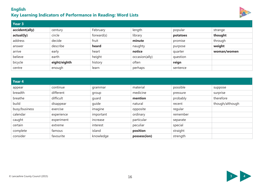

| Year 3         |              |            |                |          |             |  |
|----------------|--------------|------------|----------------|----------|-------------|--|
| accident(ally) | century      | February   | length         | popular  | strange     |  |
| actual(ly)     | circle       | forward(s) | library        | potatoes | thought     |  |
| address        | decide       | fruit      | minute         | promise  | through     |  |
| answer         | describe     | heard      | naughty        | purpose  | weight      |  |
| arrive         | early        | heart      | notice         | quarter  | woman/women |  |
| believe        | earth        | height     | occasion(ally) | question |             |  |
| bicycle        | eight/eighth | history    | often          | reign    |             |  |
| centre         | enough       | learn      | perhaps        | sentence |             |  |

| Year 4        |            |           |              |          |                 |  |
|---------------|------------|-----------|--------------|----------|-----------------|--|
| appear        | continue   | grammar   | material     | possible | suppose         |  |
| breadth       | different  | group     | medicine     | pressure | surprise        |  |
| breathe       | difficult  | guard     | mention      | probably | therefore       |  |
| build         | disappear  | quide     | natural      | recent   | though/although |  |
| busy/business | exercise   | imagine   | opposite     | regular  |                 |  |
| calendar      | experience | important | ordinary     | remember |                 |  |
| caught        | experiment | increase  | particular   | separate |                 |  |
| certain       | extreme    | interest  | peculiar     | special  |                 |  |
| complete      | famous     | island    | position     | straight |                 |  |
| consider      | favourite  | knowledge | possess(ion) | strength |                 |  |

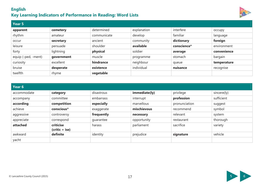

| Year 5              |            |             |             |             |             |  |
|---------------------|------------|-------------|-------------|-------------|-------------|--|
| apparent            | cemetery   | determined  | explanation | interfere   | occupy      |  |
| rhythm              | amateur    | communicate | develop     | familiar    | language    |  |
| occur               | secretary  | ancient     | community   | dictionary  | foreign     |  |
| leisure             | persuade   | shoulder    | available   | conscience* | environment |  |
| forty               | lightning  | physical    | soldier     | average     | convenience |  |
| equip (-ped, -ment) | government | muscle      | programme   | stomach     | bargain     |  |
| curiosity           | excellent  | hindrance   | neighbour   | queue       | temperature |  |
| bruise              | desperate  | existence   | individual  | nuisance    | recognise   |  |
| twelfth             | rhyme      | vegetable   |             |             |             |  |

| Year 6      |                  |            |               |               |             |
|-------------|------------------|------------|---------------|---------------|-------------|
| accommodate | category         | disastrous | immediate(ly) | privilege     | sincere(ly) |
| accompany   | committee        | embarrass  | interrupt     | profession    | sufficient  |
| according   | competition      | especially | marvellous    | pronunciation | suggest     |
| achieve     | conscious*       | exaggerate | mischievous   | recommend     | symbol      |
| aggressive  | controversy      | frequently | necessary     | relevant      | system      |
| appreciate  | correspond       | quarantee  | opportunity   | restaurant    | thorough    |
| attached    | criticise        | harass     | parliament    | sacrifice     | variety     |
|             | $(critic + ise)$ |            |               |               |             |
| awkward     | definite         | identity   | prejudice     | signature     | vehicle     |
| yacht       |                  |            |               |               |             |

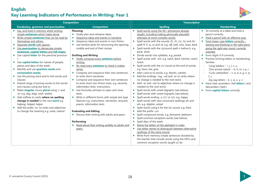

 $\boxed{1}$ 

| <b>Composition</b><br><b>Handwriting</b><br><b>Spelling</b><br>Vocabulary, grammar and punctuation<br>Say, and hold in memory whilst writing,<br>Spell words using the 40+ phonemes already<br>Sit correctly at a table and hold a<br><b>Planning</b><br>simple sentences which make sense.<br>• Orally plan and rehearse ideas.<br>taught, including making phonically plausible<br>pencil correctly.<br>Sequence ideas and events in narrative.<br>Write simple <b>sentences</b> that can be read by<br>attempts at more complex words.<br>Hold a pencil with an effective grip.<br>Þ.<br>Þ.<br>Sequence ideas and events in non-fiction.<br>Form lower-case letters correctly -<br>themselves and others.<br>Spell words with the sounds /f/, /l/, /s/, /z/ and /k/<br>▶<br>▶<br>Separate words with spaces.<br>• Use familiar plots for structuring the opening,<br>spelt ff, ll, ss, zz and ck, e.g. off, well, miss, buzz, back.<br>middle and end of their stories.<br>Spell words with the /ŋ/sound spelt n before k, e.g.<br>going the right way round, correctly<br>Use <b>punctuation</b> to demarcate simple<br>sentences (capital letters and full stops).<br>bank, think.<br>oriented.<br>▶ Use capital letter for the personal pronoun<br>Form digits 0-9 correctly.<br><b>Drafting and Writing</b><br>Divide words into syllables, e.g. pocket.<br>▶<br>• Orally compose every sentence before<br>Spell words with -tch, e.g. catch, fetch, kitchen, notch,<br>▶ Use capital letters for names of people,<br>hutch.<br>writina.<br>families:<br>places and days of the week.<br>Re-read every <b>sentence</b> to check it makes<br>> Spell words with the /v/ sound at the end of words,<br>'Long ladders' $-$ i, j, l, t, u,<br>$\sim$<br>Identify and use question marks and<br>e.g. have, live, give.<br>sense.<br>exclamation marks.<br>▶ Compose and sequence their own sentences<br>Add s and es to words, e.g. thanks, catches.<br>Þ.<br>$\triangleright$ Use the joining word and to link words and<br>to write short narratives.<br>Add the endings -ing, -ed and -er to verbs where<br>f, s<br>no change is needed to the root word.<br>$\triangleright$ Compose and sequence their own sentences<br>clauses.<br>Zig-zag letters $-$ k, v, w, x, y, z<br>Extend range of joining words to link words<br>to write short non-fiction texts, e.g. recounts,<br>Add -er and -est to adjectives where no change is<br>and clauses using but and or.<br>information texts, instructions.<br>needed to the root word.<br>descenders ('tails').<br>Make singular nouns plural using 's' and<br>Spell words with vowel digraphs (see below).<br>▶ Use formulaic phrases to open and close<br>Form capital letters correctly.<br>Spell words with vowel trigraphs (see below).<br>'es' e.g. dog, dogs; wish, wishes.<br>texts.<br>▶<br>Add suffixes to verbs where no spelling<br>• Write in different forms with simple text type<br>Spell words ending -y (/i:/ or /I/), e.g. happy.<br>▶<br>Spell words with new consonant spellings ph and<br>change is needed to the root word e.g.<br>features e.g. instructions, narratives, recounts,<br>helping, helped, helper.<br>poems, information texts.<br>wh, e.g. dolphin, wheel.<br>Add the prefix 'un' to verbs and adjectives<br>Spell words using k for the /k/ sound, e.g. Kent.<br>▶<br>to change the meaning e.g. untie, unkind.<br><b>Evaluating and Editing</b><br>Add the prefix -un.<br>▶<br>$\triangleright$ Discuss their writing with adults and peers.<br>Spell compound words, e.g. farmyard, bedroom.<br>▶<br>Spell common exception words (see below).<br>▶<br>Spell days of the week.<br>Performing<br>▶<br>Read aloud their writing audibly to adults and<br>Name the letters of the alphabet in order.<br>Use letter names to distinguish between alternative<br>peers.<br>spellings of the same sound.<br>Write from memory simple sentences dictated by<br>the teacher that include words using the GPCs and | <b>Composition</b> | <b>Transcription</b> |                                                                                                                                                                                                                             |  |  |
|------------------------------------------------------------------------------------------------------------------------------------------------------------------------------------------------------------------------------------------------------------------------------------------------------------------------------------------------------------------------------------------------------------------------------------------------------------------------------------------------------------------------------------------------------------------------------------------------------------------------------------------------------------------------------------------------------------------------------------------------------------------------------------------------------------------------------------------------------------------------------------------------------------------------------------------------------------------------------------------------------------------------------------------------------------------------------------------------------------------------------------------------------------------------------------------------------------------------------------------------------------------------------------------------------------------------------------------------------------------------------------------------------------------------------------------------------------------------------------------------------------------------------------------------------------------------------------------------------------------------------------------------------------------------------------------------------------------------------------------------------------------------------------------------------------------------------------------------------------------------------------------------------------------------------------------------------------------------------------------------------------------------------------------------------------------------------------------------------------------------------------------------------------------------------------------------------------------------------------------------------------------------------------------------------------------------------------------------------------------------------------------------------------------------------------------------------------------------------------------------------------------------------------------------------------------------------------------------------------------------------------------------------------------------------------------------------------------------------------------------------------------------------------------------------------------------------------------------------------------------------------------------------------------------------------------------------------------------------------------------------------------------------------------------------------------------------------------------------------------------------------------------------------------------------------------------------------------------------------------------------------------------------------------------------------------------------------------------------------------------------------------------------------------------------------------------------------------------------------------------------------------------------------------------------------------------------------------------------------------------------------------------------------------------------------------------------------------------------------------------------------------------------------------------------------------------------------------------------------------------------------------------------------------------------------------------------------------------------------------------------|--------------------|----------------------|-----------------------------------------------------------------------------------------------------------------------------------------------------------------------------------------------------------------------------|--|--|
|                                                                                                                                                                                                                                                                                                                                                                                                                                                                                                                                                                                                                                                                                                                                                                                                                                                                                                                                                                                                                                                                                                                                                                                                                                                                                                                                                                                                                                                                                                                                                                                                                                                                                                                                                                                                                                                                                                                                                                                                                                                                                                                                                                                                                                                                                                                                                                                                                                                                                                                                                                                                                                                                                                                                                                                                                                                                                                                                                                                                                                                                                                                                                                                                                                                                                                                                                                                                                                                                                                                                                                                                                                                                                                                                                                                                                                                                                                                                                                                                      |                    |                      |                                                                                                                                                                                                                             |  |  |
|                                                                                                                                                                                                                                                                                                                                                                                                                                                                                                                                                                                                                                                                                                                                                                                                                                                                                                                                                                                                                                                                                                                                                                                                                                                                                                                                                                                                                                                                                                                                                                                                                                                                                                                                                                                                                                                                                                                                                                                                                                                                                                                                                                                                                                                                                                                                                                                                                                                                                                                                                                                                                                                                                                                                                                                                                                                                                                                                                                                                                                                                                                                                                                                                                                                                                                                                                                                                                                                                                                                                                                                                                                                                                                                                                                                                                                                                                                                                                                                                      |                    |                      | starting and finishing in the right place,<br>▶ Practise forming letters in handwriting<br>'One armed robots' - b, h, m, n p, r<br>'Curly caterpillars' – c, a, d, e, g, o, g,<br>Have clear ascenders ('tall letters') and |  |  |
| common exception words taught so far.                                                                                                                                                                                                                                                                                                                                                                                                                                                                                                                                                                                                                                                                                                                                                                                                                                                                                                                                                                                                                                                                                                                                                                                                                                                                                                                                                                                                                                                                                                                                                                                                                                                                                                                                                                                                                                                                                                                                                                                                                                                                                                                                                                                                                                                                                                                                                                                                                                                                                                                                                                                                                                                                                                                                                                                                                                                                                                                                                                                                                                                                                                                                                                                                                                                                                                                                                                                                                                                                                                                                                                                                                                                                                                                                                                                                                                                                                                                                                                |                    |                      |                                                                                                                                                                                                                             |  |  |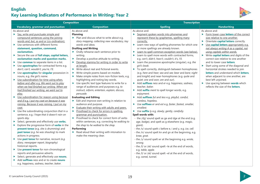

 $\boxed{2}$ 

| <b>Composition</b> |                                                                                                                                                                                                                                                                                                                                                                                                                                                                                                                                                                               |                                                                                                                                                                                                                                                                                                                                                                                                                                                                                                                                                       | <b>Transcription</b>                                                                                                                                                                                                                                                                                                                                                                                                                                                                                                                                                                                                                                               |                                                                                                                                                                                                                                                                                                                                                                                                                                                                                                                                                                    |
|--------------------|-------------------------------------------------------------------------------------------------------------------------------------------------------------------------------------------------------------------------------------------------------------------------------------------------------------------------------------------------------------------------------------------------------------------------------------------------------------------------------------------------------------------------------------------------------------------------------|-------------------------------------------------------------------------------------------------------------------------------------------------------------------------------------------------------------------------------------------------------------------------------------------------------------------------------------------------------------------------------------------------------------------------------------------------------------------------------------------------------------------------------------------------------|--------------------------------------------------------------------------------------------------------------------------------------------------------------------------------------------------------------------------------------------------------------------------------------------------------------------------------------------------------------------------------------------------------------------------------------------------------------------------------------------------------------------------------------------------------------------------------------------------------------------------------------------------------------------|--------------------------------------------------------------------------------------------------------------------------------------------------------------------------------------------------------------------------------------------------------------------------------------------------------------------------------------------------------------------------------------------------------------------------------------------------------------------------------------------------------------------------------------------------------------------|
|                    | <b>Vocabulary, grammar and punctuation</b>                                                                                                                                                                                                                                                                                                                                                                                                                                                                                                                                    | <b>Composition</b>                                                                                                                                                                                                                                                                                                                                                                                                                                                                                                                                    | <b>Spelling</b>                                                                                                                                                                                                                                                                                                                                                                                                                                                                                                                                                                                                                                                    | <b>Handwriting</b>                                                                                                                                                                                                                                                                                                                                                                                                                                                                                                                                                 |
|                    | As above and:<br>Say, write and punctuate simple and<br>▶<br>compound sentences using the joining<br>words and, but, so and or (co-ordination).<br>Use sentences with different forms:<br>statement, question, command,<br>exclamation.<br>Secure the use of full stops, capital letters,<br>exclamation marks and question marks.<br>Use <b>commas</b> to separate items in a list.<br>Þ.<br>Use <b>apostrophes</b> for contracted forms e.g.<br>Þ.<br>don't, can't, wouldn't, you're, I'll.<br>▶ Use apostrophes for singular possession in<br>nouns, e.g. the girl's name. | As above and:<br><b>Planning</b><br>$\blacktriangleright$ Plan and discuss what to write about e.g.<br>story mapping, collecting new vocabulary, key<br>words and ideas.<br><b>Drafting and Writing</b><br>• Orally rehearse each sentence prior to<br>writing.<br>$\triangleright$ Develop a positive attitude to writing.<br>Develop stamina for writing in order to write<br>at length.<br>$\blacktriangleright$ Write about real and fictional events.<br>Write simple poems based on models.<br>• Make simple notes from non-fiction texts, e.g. | As above and:<br>Segment spoken words into phonemes and<br>×<br>represent these by graphemes, spelling many<br>correctly.<br>Learn new ways of spelling phonemes for which one<br>or more spellings are already known.<br>Learn to spell common exception words (see below).<br>Þ.<br>Learn to spell more words with contracted forms,<br>Þ.<br>e.g. can't, didn't, hasn't, couldn't, it's, I'll.<br>$\blacktriangleright$ Learn the possessive apostrophe (singular), e.g. the<br>girl's book.<br>To spell correctly, distinguish between homophones<br>(e.g. here and hear; sea and see; bear and bare; night<br>and knight) and near-homophones (e.g. quite and | As above and:<br>Form lower-case letters of the correct<br>▶<br>size relative to one another.<br>Orientate <b>capital letters</b> correctly.<br>ь<br>Use capital letters appropriately e.g.<br>not always writing A as a capital, not<br>using capitals within words.<br>▶ Write <b>capital letters</b> and digits of the<br>correct size relative to one another<br>and to lower case <b>letters</b> .<br>Start using some of the diagonal and<br>horizontal strokes needed to join<br>letters and understand which letters,<br>when adjacent to one another, are |
|                    | Use subordination for time using when.<br>▶<br>before and after e.g. We went out to play<br>when we had finished our writing. When we<br>had finished our writing, we went out to<br>play.<br>Use subordination for reason using because<br>and if e.g. I put my coat on because it was<br>raining. Because it was raining, I put on my<br>coat.<br>Use the subordinating conjunction that in a<br>▶<br>sentence, e.g. I hope that it doesn't rain on<br>sports day.                                                                                                          | highlighting and noting key words.<br>$\triangleright$ Use specific text type features to write for a<br>range of audiences and purposes e.g. to<br>instruct, inform, entertain, explain, discuss,<br>persuade.<br><b>Evaluating and Editing</b><br>Edit and improve own writing in relation to<br>audience and purpose.<br>Evaluate their writing with adults and peers.<br>Þ.<br>Proofread to check for errors in spelling,<br>grammar and punctuation.<br>▶ Proofread to check for correct form of verbs                                           | quiet; one and won; are and our).<br>Add suffixes ness and er e.g. happiness, sadness,<br>teacher, baker.<br>Add suffix ment to spell longer words, e.g.<br>enjoyment.<br>Add suffixes ful and less e.g. playful, careful,<br>careless, hopeless.<br>Use suffixes er and est e.g. faster, fastest, smaller,<br>smallest.<br>Use suffix ly e.g. slowly, gently, carefully.<br>Spell words with:<br>- the /dʒ/ sound spelt as ge and dge at the end (e.g.                                                                                                                                                                                                            | best left unjoined.<br>Use spacing between words which<br>reflects the size of the letters.                                                                                                                                                                                                                                                                                                                                                                                                                                                                        |
|                    | Select, generate and effectively use verbs.<br>Explore the progressive form of verbs in the<br>present tense (e.g. she is drumming) and<br>past tense (e.g. he was shouting) to mark<br>actions in progress.<br>$\triangleright$ Use past tense for narrative, recount (e.g.<br>diary, newspaper report, biography)<br>historical reports.<br>Use <b>present tense</b> for non-chronological<br>Þ.<br>reports and persuasive adverts.<br>Select, generate and effectively use nouns.<br>Add suffixes ness and er to create nouns<br>e.g. happiness, sadness, teacher, baker.  | within sentences, e.g. correcting he walking to<br>the shop to he walked to the shop.<br>Performing<br>$\blacktriangleright$ Read aloud their writing with intonation to<br>make the meaning clear.                                                                                                                                                                                                                                                                                                                                                   | age, badge), and spelt as g elsewhere (e.g. magic,<br>giant).<br>- the /s/ sound spelt c before e, i and y, e.g. ice, cell<br>- the /n/ sound spelt kn and gn at the beginning, e.g.<br>knee, gnat.<br>- the /J/ sound spelt wr at the beginning e.g. wrote,<br>wrong.<br>- the /l/ or /əl/ sound spelt -le at the end of words,<br>e.g. table, apple.<br>- the /l/ or /əl/ sound spelt -el at the end of words,<br>e.g. camel, tunnel.                                                                                                                                                                                                                            |                                                                                                                                                                                                                                                                                                                                                                                                                                                                                                                                                                    |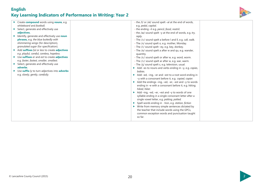

| Create <b>compound</b> words using nouns, e.g.<br>whiteboard and football.<br>$\blacktriangleright$ Select, generate and effectively use<br>adjectives.<br>• Identify, generate and effectively use noun<br>phrases, e.g. the blue butterfly with<br>shimmering wings (for description),<br>granulated sugar (for specification).<br>Add suffixes ful or less to create adjectives<br>Þ.<br>e.g. playful, careful, careless, hopeless.<br>▶ Use suffixes er and est to create adjectives<br>e.g. faster, fastest, smaller, smallest.<br>Select, generate and effectively use<br>adverbs.<br>$\triangleright$ Use suffix ly to turn adjectives into adverbs<br>e.g. slowly, gently, carefully. | - the /l/ or /əl/ sound spelt -al at the end of words,<br>e.g. pedal, capital.<br>- the ending -il e.g. pencil, fossil, nostril.<br>- the /aɪ/ sound spelt -y at the end of words, e.g. try,<br>reply.<br>- The /ɔ:/ sound spelt a before I and II, e.g. call, walk.<br>- The /^/ sound spelt o, e.g. mother, Monday.<br>- The /i:/ sound spelt -ey, e.g. key, donkey.<br>- The /p/ sound spelt a after w and qu, e.g. wander,<br>quantity.<br>- The /3:/ sound spelt or after w, e.g. word, worm.<br>- The /b:/ sound spelt ar after w, e.g. war, warm.<br>- The /ʒ/ sound spelt s, e.g. television, usual.<br>Add –es to nouns and verbs ending in –y, e.g. copies,<br>babies.<br>Add -ed, -ing, -er and -est to a root word ending in<br>▶<br>-y with a consonant before it, e.g. copied, copier.<br>Add the endings $-$ ing, $-$ ed, $-$ er, $-$ est and $-$ y to words<br>ending in -e with a consonant before it, e.g. hiking,<br>hiked, hiker.<br>Add -ing, -ed, -er, -est and -y to words of one<br>syllable ending in a single consonant letter after a<br>single vowel letter, e.g. patting, patted.<br>Spell words ending in -tion, e.g. station, fiction<br>▶ Write from memory simple sentences dictated by<br>the teacher that include words using the GPCs,<br>common exception words and punctuation taught<br>so far. |  |
|-----------------------------------------------------------------------------------------------------------------------------------------------------------------------------------------------------------------------------------------------------------------------------------------------------------------------------------------------------------------------------------------------------------------------------------------------------------------------------------------------------------------------------------------------------------------------------------------------------------------------------------------------------------------------------------------------|----------------------------------------------------------------------------------------------------------------------------------------------------------------------------------------------------------------------------------------------------------------------------------------------------------------------------------------------------------------------------------------------------------------------------------------------------------------------------------------------------------------------------------------------------------------------------------------------------------------------------------------------------------------------------------------------------------------------------------------------------------------------------------------------------------------------------------------------------------------------------------------------------------------------------------------------------------------------------------------------------------------------------------------------------------------------------------------------------------------------------------------------------------------------------------------------------------------------------------------------------------------------------------------------------------------------------------------|--|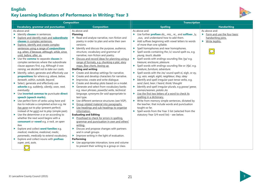

3

|                                                                                                                                                                                                                                                                                                                                                                                                                                                                                                                                                                                                                                                                                                                                                                                                                                                                                                                                                                                                                                                                                                                                                                                                                                                                                                                                                                                                                                             | <b>Composition</b>                                                                                                                                                                                                                                                                                                                                                                                                                                                                                                                                                                                                                                                                                                                                                                                                                                                                                                                                                                                                                                                                                                                                                                                                                                                                                                                                                                       | <b>Transcription</b>                                                                                                                                                                                                                                                                                                                                                                                                                                                                                                                                                                                                                                                                                                                                                                                                                                                                                                                                                                                                                                                                                                                                                                                                                           |                                                                                                                                   |  |  |
|---------------------------------------------------------------------------------------------------------------------------------------------------------------------------------------------------------------------------------------------------------------------------------------------------------------------------------------------------------------------------------------------------------------------------------------------------------------------------------------------------------------------------------------------------------------------------------------------------------------------------------------------------------------------------------------------------------------------------------------------------------------------------------------------------------------------------------------------------------------------------------------------------------------------------------------------------------------------------------------------------------------------------------------------------------------------------------------------------------------------------------------------------------------------------------------------------------------------------------------------------------------------------------------------------------------------------------------------------------------------------------------------------------------------------------------------|------------------------------------------------------------------------------------------------------------------------------------------------------------------------------------------------------------------------------------------------------------------------------------------------------------------------------------------------------------------------------------------------------------------------------------------------------------------------------------------------------------------------------------------------------------------------------------------------------------------------------------------------------------------------------------------------------------------------------------------------------------------------------------------------------------------------------------------------------------------------------------------------------------------------------------------------------------------------------------------------------------------------------------------------------------------------------------------------------------------------------------------------------------------------------------------------------------------------------------------------------------------------------------------------------------------------------------------------------------------------------------------|------------------------------------------------------------------------------------------------------------------------------------------------------------------------------------------------------------------------------------------------------------------------------------------------------------------------------------------------------------------------------------------------------------------------------------------------------------------------------------------------------------------------------------------------------------------------------------------------------------------------------------------------------------------------------------------------------------------------------------------------------------------------------------------------------------------------------------------------------------------------------------------------------------------------------------------------------------------------------------------------------------------------------------------------------------------------------------------------------------------------------------------------------------------------------------------------------------------------------------------------|-----------------------------------------------------------------------------------------------------------------------------------|--|--|
| Vocabulary, grammar and punctuation                                                                                                                                                                                                                                                                                                                                                                                                                                                                                                                                                                                                                                                                                                                                                                                                                                                                                                                                                                                                                                                                                                                                                                                                                                                                                                                                                                                                         | <b>Composition</b>                                                                                                                                                                                                                                                                                                                                                                                                                                                                                                                                                                                                                                                                                                                                                                                                                                                                                                                                                                                                                                                                                                                                                                                                                                                                                                                                                                       | <b>Spelling</b>                                                                                                                                                                                                                                                                                                                                                                                                                                                                                                                                                                                                                                                                                                                                                                                                                                                                                                                                                                                                                                                                                                                                                                                                                                | <b>Handwriting</b>                                                                                                                |  |  |
| As above and:<br>• Identify <b>clauses</b> in sentences.<br>Explore and identify main and subordinate<br>clauses in complex sentences.<br>$\triangleright$ Explore, identify and create complex<br>sentences using a range of <b>conjunctions</b><br>e.g. when, if because, although, while, since,<br>until, before, after, so.<br>▶ Use the comma to separate clauses in<br>Þ.<br>complex sentences where the subordinate<br>clause appears first, e.g. Although it was<br>raining, we decided not to take our coats.<br>• Identify, select, generate and effectively use<br>prepositions for where e.g. above, below,<br>beneath, within, outside, beyond.<br>Select, generate and effectively use<br>adverbs e.g. suddenly, silently, soon, next,<br>eventually.<br>▶ Use inverted commas to punctuate direct<br>speech (speech marks).<br>▶ Use perfect form of verbs using have and<br>has to indicate a completed action e.g. He<br>has gone out to play (present perfect)<br>instead of he went out to play (simple past).<br>$\triangleright$ Use the determiner <i>a</i> or <i>an</i> according to<br>whether the next word begins with a<br>consonant or vowel e.g. a rock, an open<br>box.<br>$\blacktriangleright$ Explore and collect <b>word families</b> e.g.<br>medical, medicine, medicinal, medic,<br>paramedic, medically to extend vocabulary.<br>Explore and collect nouns with <b>prefixes</b><br>super, anti, auto. | As above and:<br><b>Planning</b><br>Read and analyse narrative, non-fiction and<br>poetry in order to plan and write their own<br>versions.<br>$\blacktriangleright$ Identify and discuss the purpose, audience,<br>structure, vocabulary and grammar of<br>narrative, non-fiction and poetry.<br>Discuss and record ideas for planning using a<br>range of formats, e.g. chunking a plot, story<br>maps, flow charts, boxing up.<br><b>Drafting and writing</b><br>$\blacktriangleright$ Create and develop settings for narrative.<br>Create and develop characters for narrative.<br>Improvise, create and write dialogue.<br>Create and develop plots based on a model.<br>Generate and select from vocabulary banks<br>e.g. noun phrases, powerful verbs, technical<br>language, synonyms for said appropriate to<br>text type.<br>Use different sentence structures (see VGP).<br>Group related material into paragraphs.<br>Use headings and sub headings to organise<br>information.<br><b>Evaluating and Editing</b><br>Proofread to check for errors in spelling,<br>grammar and punctuation in own and others'<br>writing.<br>Discuss and propose changes with partners<br>and in small groups.<br>Improve writing in the light of evaluation.<br>Performing<br>$\triangleright$ Use appropriate intonation, tone and volume<br>to present their writing to a group or class. | As above and:<br>$\triangleright$ Use further <b>prefixes</b> dis <sub>1</sub> , mis <sub>1</sub> , re <sub>1</sub> , and <b>suffixes</b> $\lfloor y \rfloor$ ,<br>ous, and understand how to add them.<br>Add suffixes beginning with vowel letters to words<br>of more than one syllable.<br>> Spell homophones and near homophones.<br>Spell words containing the /^/ sound spelt ou, e.g.<br>young, touch, double<br>> Spell words with endings sounding like /3a/ e.g.<br>treasure, enclosure, pleasure.<br>> Spell words with endings sounding like or /t[a/, e.g.<br>creature, furniture, adventure.<br>> Spell words with the /eɪ/ sound spelt ei, eigh, or ey,<br>e.g. vein, weigh, eight, neighbour, they, obey<br>• Identify and spell irregular past tense verbs, e.g.<br>send /sent, hear / heard, think/ thought<br>• Identify and spell irregular plurals, e.g goose/ geese,<br>woman/women, potato /es<br>Use the first two letters of a word to check its<br>Þ.<br>spelling in a dictionary.<br>• Write from memory simple sentences, dictated by<br>the teacher, that include words and punctuation<br>taught so far.<br>> Spell words from the Year 3 list (selected from the<br>statutory Year 3/4 word list) - see below. | As above and:<br>Form and use the four basic<br>handwriting joins.<br>$\triangleright$ Write legibly.<br>$ \!\! \mathbb{C}\! \! $ |  |  |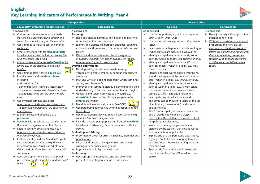

 $\overline{4}$ 

|                                                                                                                                                                                                                                                                                                                                                                                                                                                                                                                                                                                                                                                                                                                                                                                                                                                                                                                                                                                                                                                                                                                                                                                                                                                                                                                                                                                                                                                                                                                       | <b>Composition</b>                                                                                                                                                                                                                                                                                                                                                                                                                                                                                                                                                                                                                                                                                                                                                                                                                                                                                                                                                                                                                                                                                                                                                                                                                                                                                                                                                                                                                                                                                                                                                                                                                                                                                                 | <b>Transcription</b>                                                                                                                                                                                                                                                                                                                                                                                                                                                                                                                                                                                                                                                                                                                                                                                                                                                                                                                                                                                                                                                                                                                                                                                                                                                                                                                                                                                                                                                                                                                                                                                                    |                                                                                                                                                                                                                                                                                                                                                                                       |  |
|-----------------------------------------------------------------------------------------------------------------------------------------------------------------------------------------------------------------------------------------------------------------------------------------------------------------------------------------------------------------------------------------------------------------------------------------------------------------------------------------------------------------------------------------------------------------------------------------------------------------------------------------------------------------------------------------------------------------------------------------------------------------------------------------------------------------------------------------------------------------------------------------------------------------------------------------------------------------------------------------------------------------------------------------------------------------------------------------------------------------------------------------------------------------------------------------------------------------------------------------------------------------------------------------------------------------------------------------------------------------------------------------------------------------------------------------------------------------------------------------------------------------------|--------------------------------------------------------------------------------------------------------------------------------------------------------------------------------------------------------------------------------------------------------------------------------------------------------------------------------------------------------------------------------------------------------------------------------------------------------------------------------------------------------------------------------------------------------------------------------------------------------------------------------------------------------------------------------------------------------------------------------------------------------------------------------------------------------------------------------------------------------------------------------------------------------------------------------------------------------------------------------------------------------------------------------------------------------------------------------------------------------------------------------------------------------------------------------------------------------------------------------------------------------------------------------------------------------------------------------------------------------------------------------------------------------------------------------------------------------------------------------------------------------------------------------------------------------------------------------------------------------------------------------------------------------------------------------------------------------------------|-------------------------------------------------------------------------------------------------------------------------------------------------------------------------------------------------------------------------------------------------------------------------------------------------------------------------------------------------------------------------------------------------------------------------------------------------------------------------------------------------------------------------------------------------------------------------------------------------------------------------------------------------------------------------------------------------------------------------------------------------------------------------------------------------------------------------------------------------------------------------------------------------------------------------------------------------------------------------------------------------------------------------------------------------------------------------------------------------------------------------------------------------------------------------------------------------------------------------------------------------------------------------------------------------------------------------------------------------------------------------------------------------------------------------------------------------------------------------------------------------------------------------------------------------------------------------------------------------------------------------|---------------------------------------------------------------------------------------------------------------------------------------------------------------------------------------------------------------------------------------------------------------------------------------------------------------------------------------------------------------------------------------|--|
| Vocabulary, grammar and punctuation                                                                                                                                                                                                                                                                                                                                                                                                                                                                                                                                                                                                                                                                                                                                                                                                                                                                                                                                                                                                                                                                                                                                                                                                                                                                                                                                                                                                                                                                                   | <b>Composition</b>                                                                                                                                                                                                                                                                                                                                                                                                                                                                                                                                                                                                                                                                                                                                                                                                                                                                                                                                                                                                                                                                                                                                                                                                                                                                                                                                                                                                                                                                                                                                                                                                                                                                                                 | <b>Spelling</b>                                                                                                                                                                                                                                                                                                                                                                                                                                                                                                                                                                                                                                                                                                                                                                                                                                                                                                                                                                                                                                                                                                                                                                                                                                                                                                                                                                                                                                                                                                                                                                                                         | <b>Handwriting</b>                                                                                                                                                                                                                                                                                                                                                                    |  |
| As above and:<br>$\triangleright$ Create complex sentences with adverb<br>starters e.g. Silently trudging through the<br>snow, Sam made his way up the mountain.<br>Use commas to mark clauses in complex<br>Þ.<br>sentences.<br>Create sentences with fronted adverbials<br>for when e.g. As the clock struck twelve, the<br>soldiers sprang into action.<br>Create sentences with fronted adverbials for<br>▶<br>where e.g. In the distance, a lone wolf<br>howled.<br>Use commas after fronted <b>adverbials</b> .<br>Identify, select and use determiners<br>including:<br>- articles: a/an, the<br>- demonstratives : this/that; these/those<br>- possessives: my/your/his/her/its/our/their<br>- quantifiers: some, any, no, many, much,<br>every<br>Use inverted commas and other<br>Þ.<br>punctuation to indicate direct speech e.g.<br>The tour quide announced, "Be back here at<br>four o' clock."<br>• Identify, select and effectively use<br>pronouns.<br>Use nouns for precision, e.g. burglar rather<br>than man, bungalow rather than house.<br>Explore, identify, collect and use noun<br>phrases e.g. the crumbly cookie with tasty<br>marshmallow pieces.<br>Explore, identify and use Standard English<br>Þ.<br>verb inflections for writing e.g. We were<br>instead of we was. I was instead of I were, I<br>did instead of I done. She saw it instead of<br>she seen it.<br>$\triangleright$ Use apostrophes for singular and plural<br>possession e.g. the dog's bone and the dogs'<br>bones. | As above and:<br><b>Planning</b><br>$\triangleright$ Read and analyse narrative, non-fiction and poetry in<br>order to plan their own versions.<br>• Identify and discuss the purpose, audience, structure,<br>vocabulary and grammar of narrative, non-fiction and<br>poetry.<br>Discuss and record ideas for planning e.g. story<br>×<br>mountain, text map, non-fiction bridge, story board,<br>boxing-up text types to create a plan.<br><b>Drafting and Writing</b><br>Develop settings and characterisation using<br>vocabulary to create emphasis, humour, atmosphere,<br>suspense.<br>▶ Plan and write an opening paragraph which combines<br>setting and character/s.<br>$\blacktriangleright$ Improvise and compose dialogue, demonstrating their<br>understanding of Standard and non-Standard English.<br>Generate and select from vocabulary banks e.g.<br>adverbial phrases, technical language, persuasive<br>phrases, alliteration.<br>Use different sentence structures (see VG<br>Þ.<br>Use paragraphs to organise writing in fiction and non-<br>fiction texts.<br>$\triangleright$ Use organisational devices in non-fiction writing, e.g.<br>captions, text boxes, diagram, lists.<br>Link ideas across paragraphs using fronted adverbials<br>for when and where e.g. Several hours later, Back at<br>home<br><b>Evaluating and Editing</b><br>Proofread to check for errors in spelling, grammar and<br>punctuation.<br>Discuss and propose changes to own and others'<br>writing with partners/small groups.<br>Improve writing in light of evaluation.<br>Performing<br>$\triangleright$ Use appropriate intonation, tone and volume to<br>present their writing to a range of audiences. | As above and:<br>Use further prefixes, e.g. in-, im- ir-, sub-,<br>Þ.<br>inter-, super-, anti-, auto-.<br>Þ.<br>Use further suffixes, e.g. -ation, - tion, -ssion,<br>-cian.<br>Investigate what happens to words ending in<br>Þ.<br>f when suffixes are added, e.g. calf/calves.<br>Identify and spell words with the /k/ sound<br>Þ.<br>spelt ch (Greek in origin), e.g. scheme, chorus.<br>Identify and spell words with the /[/ sound<br>Þ.<br>spelt ch (mostly French in origin), e.g. chef,<br>chalet, machine.<br>Identify and spell words ending with the /q/<br>Þ.<br>sound spelt -gue and the /k/ sound spelt -<br>que (French in origin), e.g. tongue, antique.<br>Identify and spell words with the /s/ sound<br>spelt sc (Latin in origin), e.g. science, scene.<br>Understand how diminutives are formed<br>using e.g. suffix - ette and prefix mini-.<br>Investigate ways in which nouns and<br>Þ.<br>adjectives can be made into verbs by the use<br>of suffixes e.g. pollen (noun) and $-\alpha t e =$<br>pollinate (verb).<br>The /I/ sound spelt y elsewhere than at the<br>end of words, e.g. myth, gym, Egypt.<br>Use the first three letters of a word to check<br>its spelling in a dictionary.<br>Write from memory simple sentences,<br>dictated by the teacher, that include words<br>and punctuation taught so far.<br>Explore and use the possessive apostrophe,<br>Þ.<br>e.g. boy's books (books belonging to a boy)<br>and boys' books (books belonging to more<br>than one boy).<br>Spell words from the Year 4 list (selected<br>from the statutory Year 3/4 word list) - see<br>below. | As above and:<br>$\blacktriangleright$ Use a joined style throughout their<br>independent writing.<br>Write with consistency in size and<br>Þ.<br>proportion of letters, e.g. by<br>ensuring that the downstrokes of<br>letters are parallel and equidistant;<br>that lines of writing are spaced<br>sufficiently so that the ascenders<br>and descenders of letters do not<br>touch. |  |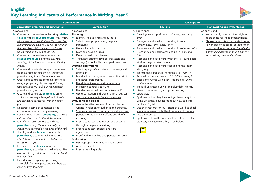

|                                                                                                                                                                                                                                                                                                                                                                                                                                                                                                                                                                                                                                                                                                                                                                                                                                                                                                                                                                                                                                                                                                                                                                                                                                                                                                                                                                                                                                                                                                                                                                                                                                                                                                                                             | <b>Composition</b>                                                                                                                                                                                                                                                                                                                                                                                                                                                                                                                                                                                                                                                                                                                                                                                                                                                                                                                                                                                                                                                                                                                                                                                                                                                                                                                                                                                                                   | <b>Transcription</b>                                                                                                                                                                                                                                                                                                                                                                                                                                                                                                                                                                                                                                                                                                                                                                                                                                                                                                                                                                                                                                                                                                                                                                                                       |                                                                                                                                                                                                                                                                                                                                                  |  |
|---------------------------------------------------------------------------------------------------------------------------------------------------------------------------------------------------------------------------------------------------------------------------------------------------------------------------------------------------------------------------------------------------------------------------------------------------------------------------------------------------------------------------------------------------------------------------------------------------------------------------------------------------------------------------------------------------------------------------------------------------------------------------------------------------------------------------------------------------------------------------------------------------------------------------------------------------------------------------------------------------------------------------------------------------------------------------------------------------------------------------------------------------------------------------------------------------------------------------------------------------------------------------------------------------------------------------------------------------------------------------------------------------------------------------------------------------------------------------------------------------------------------------------------------------------------------------------------------------------------------------------------------------------------------------------------------------------------------------------------------|--------------------------------------------------------------------------------------------------------------------------------------------------------------------------------------------------------------------------------------------------------------------------------------------------------------------------------------------------------------------------------------------------------------------------------------------------------------------------------------------------------------------------------------------------------------------------------------------------------------------------------------------------------------------------------------------------------------------------------------------------------------------------------------------------------------------------------------------------------------------------------------------------------------------------------------------------------------------------------------------------------------------------------------------------------------------------------------------------------------------------------------------------------------------------------------------------------------------------------------------------------------------------------------------------------------------------------------------------------------------------------------------------------------------------------------|----------------------------------------------------------------------------------------------------------------------------------------------------------------------------------------------------------------------------------------------------------------------------------------------------------------------------------------------------------------------------------------------------------------------------------------------------------------------------------------------------------------------------------------------------------------------------------------------------------------------------------------------------------------------------------------------------------------------------------------------------------------------------------------------------------------------------------------------------------------------------------------------------------------------------------------------------------------------------------------------------------------------------------------------------------------------------------------------------------------------------------------------------------------------------------------------------------------------------|--------------------------------------------------------------------------------------------------------------------------------------------------------------------------------------------------------------------------------------------------------------------------------------------------------------------------------------------------|--|
| <b>Vocabulary, grammar and punctuation</b>                                                                                                                                                                                                                                                                                                                                                                                                                                                                                                                                                                                                                                                                                                                                                                                                                                                                                                                                                                                                                                                                                                                                                                                                                                                                                                                                                                                                                                                                                                                                                                                                                                                                                                  | <b>Composition</b>                                                                                                                                                                                                                                                                                                                                                                                                                                                                                                                                                                                                                                                                                                                                                                                                                                                                                                                                                                                                                                                                                                                                                                                                                                                                                                                                                                                                                   | <b>Spelling</b>                                                                                                                                                                                                                                                                                                                                                                                                                                                                                                                                                                                                                                                                                                                                                                                                                                                                                                                                                                                                                                                                                                                                                                                                            | <b>Handwriting and Presentation</b>                                                                                                                                                                                                                                                                                                              |  |
| As above and:<br>Create complex sentences by using relative<br>clauses with relative pronouns who, which,<br>where, whose, when, that e.g. Sam, who had<br>remembered his wellies, was first to jump in<br>the river. The thief broke into the house<br>which stood on the top of the hill.<br>$\triangleright$ Create complex sentences where the<br>relative pronoun is omitted e.g. Tina,<br>standing at the bus stop, pondered the day<br>ahead.<br>$\blacktriangleright$ Create and punctuate complex sentences<br>using ed opening clauses e.g. Exhausted<br>from the race, Sam collapsed in a heap.<br>$\triangleright$ Create and punctuate complex sentences<br>using ing opening clauses, e.g. Grinning<br>with anticipation, Paul launched himself<br>from the diving board.<br>▶ Create and punctuate <b>sentences</b> using<br>simile starters, e.g. Like a fish out of water,<br>she conversed awkwardly with the other<br>quests.<br>Demarcate complex sentences using<br>commas in order to clarify meaning.<br>Use commas to avoid <b>ambiguity</b> , e.g. 'Let's<br>eat Grandma.' and 'Let's eat, Grandma.'<br>• Identify and use commas to indicate<br>parenthesis, e.g. The house, lonely and<br>abandoned, teetered on the edge of the cliff.<br>▶ Identify and use <b>brackets</b> to indicate<br>parenthesis, e.g. in formal writing: The<br>Cheetah (Acinonyx jubatus) inhabits open<br>grassland in Africa.<br>▶ Identify and use <b>dashes</b> to indicate<br>parenthesis, e.g. in less formal writing: The<br>cake was lovely - delicious in fact - so I had<br>another slice.<br>$\triangleright$ Link ideas across paragraphs using<br>adverbials for time, place and numbers e.g.<br>later, nearby, secondly. | As above and:<br><b>Planning</b><br>$\blacktriangleright$ Identify the audience and purpose.<br>$\triangleright$ Select the appropriate language and<br>structures.<br>$\triangleright$ Use similar writing models.<br>Note and develop ideas.<br>▶<br>Draw on reading and research.<br>Þ<br>$\blacktriangleright$ Think how authors develop characters and<br>settings (in books, films and performances).<br><b>Drafting and Writing</b><br>Select appropriate structure, vocabulary and<br>grammar.<br>Blend action, dialogue and description within<br>Þ.<br>and across paragraphs.<br>Use different sentence structures with<br>Þ.<br>increasing control (see VGP).<br>Use devices to build cohesion (see VGP).<br>Þ<br>Use organisation and presentational devices<br>Þ.<br>e.g. underlining, bullet points, headings.<br><b>Evaluating and Editing</b><br>Assess the effectiveness of own and others'<br>writing in relation to audience and purpose.<br>Suggest changes to grammar, vocabulary and<br>$\blacktriangleright$<br>punctuation to enhance effects and clarify<br>meaning.<br>Ensure consistent and correct use of tense<br>Þ.<br>throughout a piece of writing.<br>Ensure consistent subject and verb<br>Þ.<br>agreement.<br>Proofread for spelling and punctuation errors.<br>Performing<br>Use appropriate intonation and volume.<br>▶<br>Add movement.<br>×<br>$\blacktriangleright$ Ensure meaning is clear. | As above and:<br>> Investigate verb prefixes e.g. dis-, re-, pre-, mis-,<br>over-.<br>Recognise and spell words ending in -ant,<br>▶<br>-ance/-ancy, -ent, -ence/-ency.<br>Recognise and spell words ending in -able and -ible.<br>Recognise and spell words ending in -ably and -<br>▶<br>ibly.<br>Recognise and spell words with the /i:/ sound spelt<br>ei after c, e.g. deceive, receive.<br>Recognise and spell words containing the letter-<br>Þ.<br>string ough.<br>$\triangleright$ To recognise and spell the suffixes -al,- ary,- ic.<br>To spell further suffixes, e.g. Il in full becoming I.<br>Spell some words with 'silent' letters, e.g. knight,<br>psalm, solemn.<br>To spell unstressed vowels in polysyllabic words.<br>Develop self-checking and proof reading<br>$\blacktriangleright$ strategies.<br>▶ Spell words that they have not yet been taught by<br>using what they have learnt about how spelling<br>works in English.<br>Use the first three or four letters of a word to check<br>spelling, meaning or both of these in a dictionary.<br>Use a thesaurus.<br>Þ.<br>Spell words from the Year 5 list (selected from the<br>Þ.<br>statutory Year 5/6 word list) - see below.<br>$\bigcirc$ | As above and:<br>$\blacktriangleright$ Write fluently using a joined style as<br>appropriate for independent writing.<br>Choose when it is appropriate to print<br>Þ.<br>(lower case or upper case) rather than<br>to join writing e.g. printing for labelling<br>a scientific diagram or data, filling in a<br>form, writing an e mail address. |  |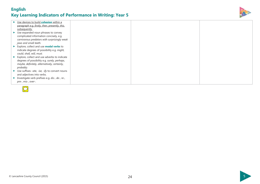

| Use devices to build cohesion within a                                 |  |  |
|------------------------------------------------------------------------|--|--|
| paragraph e.g. firstly, then, presently, this,                         |  |  |
| <u>subsequently.</u>                                                   |  |  |
| ▶ Use expanded noun phrases to convey                                  |  |  |
| complicated information concisely, e.g.                                |  |  |
| carnivorous predators with surprisingly weak                           |  |  |
| jaws and small teeth.                                                  |  |  |
| Explore, collect and use <b>modal verbs</b> to                         |  |  |
| indicate degrees of possibility e.g. might,                            |  |  |
| could, shall, will, must.                                              |  |  |
| $\blacktriangleright$ Explore, collect and use adverbs to indicate     |  |  |
| degrees of possibility e.g. surely, perhaps,                           |  |  |
| maybe, definitely, alternatively, certainly,                           |  |  |
| probably.                                                              |  |  |
| $\triangleright$ Use suffixes <i>-ate, -ise, -ify</i> to convert nouns |  |  |
| and adjectives into verbs.                                             |  |  |
| Investigate verb prefixes e.g. dis-, de-, re-,                         |  |  |
|                                                                        |  |  |
| pre-, mis-, over-.                                                     |  |  |

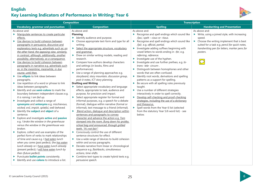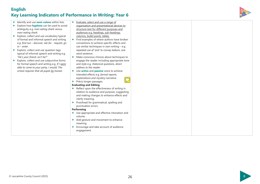#### $\circ$  Lancashire County Council (2015)  $26$

#### **English Key Learning Indicators of Performance in Writing: Year 6**

- **F** Identify and use **semi-colons** within lists.
- **Explore how hyphens** can be used to avoid ambiguity e.g. *man eating shark* versus *man-eating shark.*
- $\blacktriangleright$  Explore, collect and use vocabulary typical of formal and informal speech and writing e.g. *find out – discover, ask for - request, go in – enter.*
- $\blacktriangleright$  Explore, collect and use question tags typical of informal speech and writing e.g. *"He's your friend, isn't he?"*
- $\blacktriangleright$  Explore, collect and use subjunctive forms for formal speech and writing e.g. *If I were able to come to your party, I would; The school requires that all pupils be honest.*
- $\blacktriangleright$  Evaluate, select and use a range of organisation and presentational devices to structure text for different purposes and audiences e.g. *headings, sub-headings, columns, bullet points, tables.*
- $\blacktriangleright$  Find examples of where authors have broken conventions to achieve specific effects and use similar techniques in own writing – e.g. *repeated use of 'and' to convey tedium, one word sentence.*
- $\blacktriangleright$  Make conscious choices about techniques to engage the reader including appropriate tone and style e.g. *rhetorical questions, direct address to the reader.*
- ▶ Use **active** and **passive** voice to achieve intended effects e.g. *formal reports, explanations and mystery narrative.*   $\overline{\bigcirc}$
- $\blacktriangleright$  Précis longer passages.
- **Evaluating and Editing**
- $\blacktriangleright$  Reflect upon the effectiveness of writing in relation to audience and purpose, suggesting and making changes to enhance effects and clarify meaning.
- $\blacktriangleright$  Proofread for grammatical, spelling and punctuation errors.

#### **Performing**

- $\blacktriangleright$  Use appropriate and effective intonation and volume.
- $\blacktriangleright$  Add gesture and movement to enhance meaning.
- $\blacktriangleright$  Encourage and take account of audience engagement.

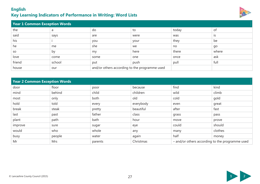

| <b>Year 1 Common Exception Words</b> |        |                                               |      |       |       |  |  |
|--------------------------------------|--------|-----------------------------------------------|------|-------|-------|--|--|
| the                                  | a      | do                                            | to   | today | οt    |  |  |
| said                                 | says   | are                                           | were | was   | IS    |  |  |
| his                                  |        | you                                           | your | they  | be    |  |  |
| he                                   | me     | she                                           | we   | no    | go    |  |  |
| SO                                   | by     | my                                            | here | there | where |  |  |
| love                                 | come   | some                                          | one  | once  | ask   |  |  |
| friend                               | school | put                                           | push | pull  | full  |  |  |
| house                                | our    | and/or others according to the programme used |      |       |       |  |  |

| <b>Year 2 Common Exception Words</b> |            |         |           |                                                 |         |  |
|--------------------------------------|------------|---------|-----------|-------------------------------------------------|---------|--|
| door                                 | floor      | poor    | because   | find                                            | kind    |  |
| mind                                 | behind     | child   | children  | wild                                            | climb   |  |
| most                                 | only       | both    | old       | cold                                            | gold    |  |
| hold                                 | told       | every   | everybody | even                                            | great   |  |
| break                                | steak      | pretty  | beautiful | after                                           | fast    |  |
| last                                 | past       | father  | class     | grass                                           | pass    |  |
| plant                                | path       | bath    | hour      | move                                            | prove   |  |
| improve                              | sure       | sugar   | eye       | could                                           | should  |  |
| would                                | who        | whole   | any       | many                                            | clothes |  |
| busy                                 | people     | water   | again     | half                                            | money   |  |
| Mr                                   | <b>Mrs</b> | parents | Christmas | - and/or others according to the programme used |         |  |

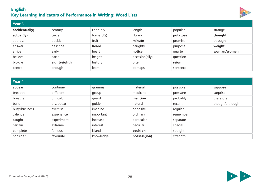

| Year 3         |              |            |                |          |             |
|----------------|--------------|------------|----------------|----------|-------------|
| accident(ally) | century      | February   | length         | popular  | strange     |
| actual(ly)     | circle       | forward(s) | library        | potatoes | thought     |
| address        | decide       | fruit      | minute         | promise  | through     |
| answer         | describe     | heard      | naughty        | purpose  | weight      |
| arrive         | early        | heart      | notice         | quarter  | woman/women |
| believe        | earth        | height     | occasion(ally) | question |             |
| bicycle        | eight/eighth | history    | often          | reign    |             |
| centre         | enough       | learn      | perhaps        | sentence |             |

| Year 4        |            |           |              |          |                 |
|---------------|------------|-----------|--------------|----------|-----------------|
| appear        | continue   | grammar   | material     | possible | suppose         |
| breadth       | different  | group     | medicine     | pressure | surprise        |
| breathe       | difficult  | guard     | mention      | probably | therefore       |
| build         | disappear  | quide     | natural      | recent   | though/although |
| busy/business | exercise   | imagine   | opposite     | regular  |                 |
| calendar      | experience | important | ordinary     | remember |                 |
| caught        | experiment | increase  | particular   | separate |                 |
| certain       | extreme    | interest  | peculiar     | special  |                 |
| complete      | famous     | island    | position     | straight |                 |
| consider      | favourite  | knowledge | possess(ion) | strength |                 |

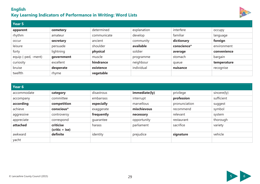

| Year 5              |            |             |             |             |             |
|---------------------|------------|-------------|-------------|-------------|-------------|
| apparent            | cemetery   | determined  | explanation | interfere   | occupy      |
| rhythm              | amateur    | communicate | develop     | familiar    | language    |
| occur               | secretary  | ancient     | community   | dictionary  | foreign     |
| leisure             | persuade   | shoulder    | available   | conscience* | environment |
| forty               | lightning  | physical    | soldier     | average     | convenience |
| equip (-ped, -ment) | government | muscle      | programme   | stomach     | bargain     |
| curiosity           | excellent  | hindrance   | neighbour   | queue       | temperature |
| bruise              | desperate  | existence   | individual  | nuisance    | recognise   |
| twelfth             | rhyme      | vegetable   |             |             |             |

| Year 6      |                  |            |               |               |             |
|-------------|------------------|------------|---------------|---------------|-------------|
| accommodate | category         | disastrous | immediate(ly) | privilege     | sincere(ly) |
| accompany   | committee        | embarrass  | interrupt     | profession    | sufficient  |
| according   | competition      | especially | marvellous    | pronunciation | suggest     |
| achieve     | conscious*       | exaggerate | mischievous   | recommend     | symbol      |
| aggressive  | controversy      | frequently | necessary     | relevant      | system      |
| appreciate  | correspond       | quarantee  | opportunity   | restaurant    | thorough    |
| attached    | criticise        | harass     | parliament    | sacrifice     | variety     |
|             | $(critic + ise)$ |            |               |               |             |
| awkward     | definite         | identity   | prejudice     | signature     | vehicle     |
| yacht       |                  |            |               |               |             |

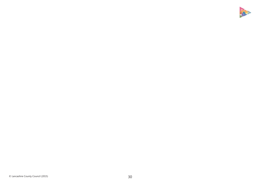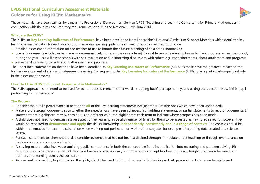

#### **Guidance for Using KLIPs: Mathematics**

These materials have been written by Lancashire Professional Development Service (LPDS) Teaching and Learning Consultants for Primary Mathematics in conjunction with the aims and statutory requirements set out in the National Curriculum 2014.

#### **What are the KLIPs?**

The KLIPs, or **Key Learning Indicators of Performance***,* have been developed from Lancashire's National Curriculum Support Materials which detail the key learning in mathematics for each year group. These key learning grids for each year group can be used to provide:

- $\triangleright$  detailed assessment information for the teacher to use to inform their future planning of next steps (formative);
- ▶ overall judgements which can be made more summatively (for example once a term), to enable senior leadership teams to track progress across the school, during the year. This will assist schools with self-evaluation and in informing discussions with others e.g. inspection teams, about attainment and progress;
- $\blacktriangleright$  a means of informing parents about attainment and progress.

The underlined statements on the grids have been identified as **Key Learning Indicators of Performance** (KLIPs) as these have the greatest impact on the further development of skills and subsequent learning. Consequently, the **Key Learning Indicators of Performance** (KLIPs) play a particularly significant role in the assessment process.

#### **How Do I Use KLIPs to Support Assessment in Mathematics?**

The KLIPs approach is intended to be used for periodic assessment, in other words 'stepping back', perhaps termly, and asking the question 'How is this pupil performing in mathematics?'

#### **The Process**

- ► Consider the pupil's performance in relation to all of the key learning statements not just the KLIPs (the ones which have been underlined).
- ▶ Make a professional judgement as to whether the expectations have been achieved, highlighting statements, or partial statements to record judgements. If statements are highlighted termly, consider using different coloured highlighters each term to indicate where progress has been made.
- A child does not need to demonstrate an aspect of key learning a specific number of times for them to be assessed as having achieved it. However, they would be expected to **demonstrate and apply** the skill or knowledge **independently, consistently and in a range of contexts**. The contexts could be within mathematics, for example calculation when working out perimeter, or within other subjects, for example, interpreting data created in a science lesson.
- ▶ For each statement, teachers should also consider evidence that has not been scaffolded through immediate direct teaching or through over reliance on tools such as process success criteria.
- ▶ Assessing mathematics involves examining pupils' competence in both the concept itself and its application into reasoning and problem solving. Rich opportunities to gather evidence include guided sessions, starters away from where the concept has been originally taught, discussion between talk partners and learning across the curriculum.
- Assessment information, highlighted on the grids, should be used to inform the teacher's planning so that gaps and next steps can be addressed.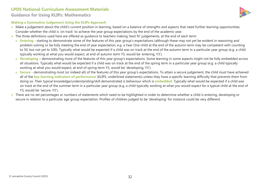

**Guidance for Using KLIPs: Mathematics** 

#### **Making a Summative Judgement Using the KLIPs Approach**

- ▶ Make a judgement about the child's current position in learning, based on a balance of strengths and aspects that need further learning opportunities. Consider whether the child is 'on track' to achieve the year group expectations by the end of the academic year.
- $\blacktriangleright$  The three definitions used here are offered as guidance to teachers making 'best fit' judgements, at the end of each term:
	- **o Entering** starting to demonstrate some of the features of this year group's expectations (although these may not yet be evident in reasoning and problem solving or be fully meeting the end of year expectation, e.g. a Year One child at the end of the autumn term may be competent with counting to 50, but not yet to 100). Typically what would be expected if a child was on track at the end of the autumn term in a particular year group (e.g. a child typically working at what you would expect, at end of autumn term Y3, would be 'entering, Y3').
	- **o Developing** demonstrating more of the features of this year group's expectations. Some learning in some aspects might not be fully embedded across all situations. Typically what would be expected if a child was on track at the end of the spring term in a particular year group (e.g. a child typically working at what you would expect, at end of spring term Y3, would be 'developing, Y3').
	- **o Secure** demonstrating most (or indeed all) of the features of this year group's expectations. To attain a secure judgement, the child must have achieved all of the **key learning indicators of performance** (KLIPS, underlined statements) unless they have a specific learning difficulty that prevents them from doing so. Their typical knowledge/understanding/skill demonstrated is behaviour which is **embedded**. Typically what would be expected if a child was on track at the end of the summer term in a particular year group (e.g. a child typically working at what you would expect for a typical child at the end of Y3, would be 'secure, Y3').
- ▶ There are no set percentages or numbers of statements which need to be highlighted in order to determine whether a child is entering, developing or secure in relation to a particular age group expectation. Profiles of children judged to be 'developing' for instance could be very different.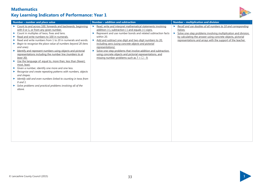## **Mathematics**

## **Key Learning Indicators of Performance: Year 1**



1

| Number - number and place value                                                                                                                                                                                                                                                                                                                                                                                                                                                                                                                                                                                                                                                                                                                                                                                                                                         | <b>Number - addition and subtraction</b>                                                                                                                                                                                                                                                                                                                                                                                                                                                                                                          | Number - multiplication and division                                                                                                                                                                                                                                     |
|-------------------------------------------------------------------------------------------------------------------------------------------------------------------------------------------------------------------------------------------------------------------------------------------------------------------------------------------------------------------------------------------------------------------------------------------------------------------------------------------------------------------------------------------------------------------------------------------------------------------------------------------------------------------------------------------------------------------------------------------------------------------------------------------------------------------------------------------------------------------------|---------------------------------------------------------------------------------------------------------------------------------------------------------------------------------------------------------------------------------------------------------------------------------------------------------------------------------------------------------------------------------------------------------------------------------------------------------------------------------------------------------------------------------------------------|--------------------------------------------------------------------------------------------------------------------------------------------------------------------------------------------------------------------------------------------------------------------------|
| Count to and across 100, forwards and backwards, beginning<br>with 0 or 1, or from any given number.<br>Count in multiples of twos, fives and tens.<br>▶<br>Read and write numbers to 100 in numerals.<br>Read and write numbers from 1 to 20 in numerals and words.<br>Begin to recognise the place value of numbers beyond 20 (tens<br>and ones).<br>Identify and represent numbers using objects and pictorial<br>representations including the number line (numbers to at<br>least 30).<br>Use the language of: equal to, more than, less than (fewer),<br>most, least.<br>Given a number, identify one more and one less.<br>Recognise and create repeating patterns with numbers, objects<br>and shapes.<br>▶ Identify odd and even numbers linked to counting in twos from<br>$0$ and 1.<br>Solve problems and practical problems involving all of the<br>above. | Read, write and interpret mathematical statements involving<br>▶<br>$addition (+)$ , subtraction (-) and equals (=) signs.<br>Represent and use number bonds and related subtraction facts<br>Þ.<br>within 20.<br>Add and subtract one-digit and two-digit numbers to 20,<br>including zero (using concrete objects and pictorial<br>representations).<br>Solve one-step problems that involve addition and subtraction,<br>▶<br>using concrete objects and pictorial representations, and<br>missing number problems such as $7 = \square - 9$ . | Recall and use doubles of all numbers to 10 and corresponding<br>halves.<br>Solve one-step problems involving multiplication and division.<br>by calculating the answer using concrete objects, pictorial<br>representations and arrays with the support of the teacher. |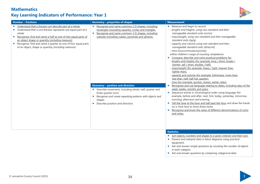#### **Mathematics Key Learning Indicators of Performance: Year 1**



| <b>Number - fractions</b>                                                                                                                                                                                                                                                                                                                                                                          | <b>Geometry - properties of shapes</b>                                                                                                                                                                                                                                                                                                                                                                                                                          | <b>Measurement</b>                                                                                                                                                                                                                                                                                                                                                                                                                                                                                                                                                                                                                                                                                                                                                                                                                                                                                                                                                                                                                                                                                                                                                                                                                                                                          |
|----------------------------------------------------------------------------------------------------------------------------------------------------------------------------------------------------------------------------------------------------------------------------------------------------------------------------------------------------------------------------------------------------|-----------------------------------------------------------------------------------------------------------------------------------------------------------------------------------------------------------------------------------------------------------------------------------------------------------------------------------------------------------------------------------------------------------------------------------------------------------------|---------------------------------------------------------------------------------------------------------------------------------------------------------------------------------------------------------------------------------------------------------------------------------------------------------------------------------------------------------------------------------------------------------------------------------------------------------------------------------------------------------------------------------------------------------------------------------------------------------------------------------------------------------------------------------------------------------------------------------------------------------------------------------------------------------------------------------------------------------------------------------------------------------------------------------------------------------------------------------------------------------------------------------------------------------------------------------------------------------------------------------------------------------------------------------------------------------------------------------------------------------------------------------------------|
| Understand that a fraction can describe part of a whole.<br>$\triangleright$ Understand that a unit fraction represents one equal part of a<br>whole.<br>Recognise, find and name a half as one of two equal parts of<br>an object shape or quantity (including measure).<br>Recognise, find and name a quarter as one of four equal parts<br>of an object, shape or quantity (including measure). | Recognise and name common 2-D shapes, including<br>rectangles (including squares), circles and triangles.<br>Recognise and name common 3-D shapes, including<br>ь<br>cuboids (including cubes), pyramids and spheres.<br><b>Geometry - position and direction</b><br>▶ Describe movement, including whole, half, quarter and<br>three-quarter turns.<br>Recognise and create repeating patterns with objects and<br>shapes.<br>Describe position and direction. | Measure and begin to record:<br>- lengths and heights, using non-standard and then<br>manageable standard units (m/cm)<br>- mass/weight, using non-standard and then manageable<br>standard units (kg/g)<br>- capacity and volume using non-standard and then<br>manageable standard units (litres/ml)<br>- time (hours/minutes/seconds)<br>within children's range of counting competence.<br>Compare, describe and solve practical problems for:<br>- lengths and heights (for example, long / short, longer /<br>shorter. tall / short, double / half).<br>- mass/weight (for example, heavy / light, heavier than,<br>lighter than).<br>- capacity and volume (for example, full/empty, more than,<br>less than, half, half full, quarter).<br>- time (for example, quicker, slower, earlier, later).<br>Recognise and use language relating to dates, including days of the<br>week, weeks, months and years.<br>Sequence events in chronological order using language (for<br>example, before and after, next, first, today, yesterday, tomorrow,<br>morning, afternoon and evening.<br>Tell the time to the hour and half past the hour and draw the hands<br>on a clock face to show these times.<br>Recognise and know the value of different denominations of coins<br>and notes. |

#### **Statistics**

- **F** Sort objects, numbers and shapes to a given criterion and their own.
- **Present and interpret data in block diagrams using practical** *equipment.*
- **Ask and answer simple questions by counting the number of objects** *in each category.*
- **Ask and answer questions by comparing categorical data.**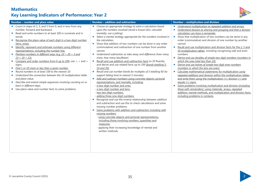#### **Mathematics**

## **Key Learning Indicators of Performance: Year 2**



 $\begin{bmatrix} 2 \end{bmatrix}$ 

| Number - number and place value                                                                                                                                                                                                                                                                                                                                                                                                                                                                                                                                                                                                                                                                                                                                                                                                                                                                                               | Number - addition and subtraction                                                                                                                                                                                                                                                                                                                                                                                                                                                                                                                                                                                                                                                                                                                                                                                                                                                                                                                                                                                                                                                                                                                                                                                                                                                                                                                                                                                                                                                                                       | Number - multiplication and division                                                                                                                                                                                                                                                                                                                                                                                                                                                                                                                                                                                                                                                                                                                                                                                                                                                                                                                                                                                                                                                                                                                                                                                                                                         |
|-------------------------------------------------------------------------------------------------------------------------------------------------------------------------------------------------------------------------------------------------------------------------------------------------------------------------------------------------------------------------------------------------------------------------------------------------------------------------------------------------------------------------------------------------------------------------------------------------------------------------------------------------------------------------------------------------------------------------------------------------------------------------------------------------------------------------------------------------------------------------------------------------------------------------------|-------------------------------------------------------------------------------------------------------------------------------------------------------------------------------------------------------------------------------------------------------------------------------------------------------------------------------------------------------------------------------------------------------------------------------------------------------------------------------------------------------------------------------------------------------------------------------------------------------------------------------------------------------------------------------------------------------------------------------------------------------------------------------------------------------------------------------------------------------------------------------------------------------------------------------------------------------------------------------------------------------------------------------------------------------------------------------------------------------------------------------------------------------------------------------------------------------------------------------------------------------------------------------------------------------------------------------------------------------------------------------------------------------------------------------------------------------------------------------------------------------------------------|------------------------------------------------------------------------------------------------------------------------------------------------------------------------------------------------------------------------------------------------------------------------------------------------------------------------------------------------------------------------------------------------------------------------------------------------------------------------------------------------------------------------------------------------------------------------------------------------------------------------------------------------------------------------------------------------------------------------------------------------------------------------------------------------------------------------------------------------------------------------------------------------------------------------------------------------------------------------------------------------------------------------------------------------------------------------------------------------------------------------------------------------------------------------------------------------------------------------------------------------------------------------------|
| Count in steps of 2, 3, and 5 from 0, and in tens from any<br>number, forward and backward.<br>Read and write numbers to at least 100 in numerals and in<br>words.<br>Recognise the place value of each digit in a two-digit number<br>(tens, ones).<br>• Identify, represent and estimate numbers using different<br>representations, including the number line.<br>Partition numbers in different ways (e.g. $23 = 20 + 3$ and<br>$23 = 10 + 13$ ).<br>Compare and order numbers from 0 up to 100; use $\langle$ , $>$ and =<br>signs.<br>$\triangleright$ Find 1 or 10 more or less than a given number.<br>Round numbers to at least 100 to the nearest 10.<br>$\triangleright$ Understand the connection between the 10 multiplication table<br>and place value.<br>▶ Describe and extend simple sequences involving counting on or<br>back in different steps.<br>▶ Use place value and number facts to solve problems. | ▶ Choose an appropriate strategy to solve a calculation based<br>upon the numbers involved (recall a known fact, calculate<br>mentally, use a jotting).<br>$\triangleright$ Select a mental strategy appropriate for the numbers involved in<br>the calculation.<br>$\triangleright$ Show that addition of two numbers can be done in any order<br>(commutative) and subtraction of one number from another<br>cannot.<br>Understand subtraction as take away and difference (how many<br>Þ.<br>more, how many less/fewer).<br>Recall and use addition and subtraction facts to 20 fluently,<br>Þ.<br>and derive and use related facts up to 100 (bonds totalling 5,<br>10 and 20).<br>Recall and use number bonds for multiples of 5 totalling 60 (to<br>Þ.<br>support telling time to nearest 5 minutes).<br>Add and subtract numbers using concrete objects, pictorial<br>Þ.<br>representations, and mentally, including:<br>- a two-digit number and ones.<br>- a two-digit number and tens.<br>- two two-digit numbers.<br>- adding three one-digit numbers.<br>Recognise and use the inverse relationship between addition<br>and subtraction and use this to check calculations and solve<br>missing number problems.<br>Solve problems with addition and subtraction including with<br>missing numbers:<br>- using concrete objects and pictorial representations,<br>including those involving numbers, quantities and<br>measures.<br>- applying their increasing knowledge of mental and<br>written methods. | Understand multiplication as repeated addition and arrays.<br>Understand division as sharing and grouping and that a division<br>$\blacktriangleright$<br>calculation can have a remainder.<br>Show that multiplication of two numbers can be done in any<br>×<br>order (commutative) and division of one number by another<br>cannot.<br>Recall and use multiplication and division facts for the 2, 5 and<br>×<br>10 multiplication tables, including recognising odd and even<br>numbers.<br>Derive and use doubles of simple two-digit numbers (numbers in<br>$\blacktriangleright$<br>which the ones total less than 10).<br>Derive and use halves of simple two-digit even numbers<br>▶<br>(numbers in which the tens are even).<br>Calculate mathematical statements for multiplication using<br>$\blacktriangleright$<br>repeated addition) and division within the multiplication tables<br>and write them using the multiplication $(x)$ , division $\left(\div\right)$ and<br>equals $(=)$ signs.<br>Solve problems involving multiplication and division (including<br>$\blacktriangleright$<br>those with remainders), using materials, arrays, repeated<br>addition, mental methods, and multiplication and division facts,<br>including problems in contexts. |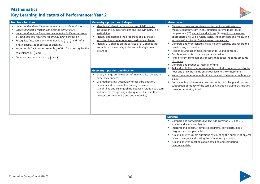## **Mathematics**

## **Key Learning Indicators of Performance: Year 2**



| <b>Number - fractions</b>                                                                                                                                                                                                                                                                                                                                                                                                                                                                                                                                                                                                       | <b>Geometry - properties of shapes</b>                                                                                                                                                                                                                                                                                                                                                                                                                                                                                                                                                                                                                                                                                                                                                      | <b>Measurement</b>                                                                                                                                                                                                                                                                                                                                                                                                                                                                                                                                                                                                                                                                                                                                                                                                                                                                                                                                                                                                                                                              |
|---------------------------------------------------------------------------------------------------------------------------------------------------------------------------------------------------------------------------------------------------------------------------------------------------------------------------------------------------------------------------------------------------------------------------------------------------------------------------------------------------------------------------------------------------------------------------------------------------------------------------------|---------------------------------------------------------------------------------------------------------------------------------------------------------------------------------------------------------------------------------------------------------------------------------------------------------------------------------------------------------------------------------------------------------------------------------------------------------------------------------------------------------------------------------------------------------------------------------------------------------------------------------------------------------------------------------------------------------------------------------------------------------------------------------------------|---------------------------------------------------------------------------------------------------------------------------------------------------------------------------------------------------------------------------------------------------------------------------------------------------------------------------------------------------------------------------------------------------------------------------------------------------------------------------------------------------------------------------------------------------------------------------------------------------------------------------------------------------------------------------------------------------------------------------------------------------------------------------------------------------------------------------------------------------------------------------------------------------------------------------------------------------------------------------------------------------------------------------------------------------------------------------------|
| Understand and use the terms numerator and denominator.<br>Understand that a fraction can describe part of a set.<br>Understand that the larger the denominator is, the more pieces<br>it is split into and therefore the smaller each part will be.<br>Recognise, find, name and write fractions $\frac{1}{3}$ , $\frac{1}{4}$ , $\frac{2}{4}$ and $\frac{3}{4}$ of a<br>length, shape, set of objects or quantity.<br>• Write simple fractions for example, $\frac{1}{2}$ of 6 = 3 and recognise the<br>equivalence of $\frac{2}{4}$ and $\frac{1}{2}$ .<br>► Count on and back in steps of $\frac{1}{2}$ and $\frac{1}{4}$ . | Identify and describe the properties of 2-D shapes,<br>including the number of sides and line symmetry in a<br>vertical line.<br>Identify and describe the properties of 3-D shapes.<br>including the number of edges, vertices and faces.<br>• Identify 2-D shapes on the surface of 3-D shapes, [for<br>example, a circle on a cylinder and a triangle on a<br>pyramid].<br><b>Geometry - position and direction</b><br>Order/arrange combinations of mathematical objects in<br>patterns/sequences.<br>Use mathematical vocabulary to describe position.<br>direction and movement, including movement in a<br>straight line and distinguishing between rotation as a turn<br>and in terms of right angles for quarter, half and three-<br>quarter turns (clockwise and anti-clockwise). | Choose and use appropriate standard units to estimate and<br>measure length/height in any direction (m/cm); mass (kg/g);<br>temperature (°C); capacity and volume (litres/ml) to the nearest<br>appropriate unit, using rulers, scales, thermometers and measuring<br>vessels (within children's place value competence).<br>• Compare and order lengths, mass, volume/capacity and record the<br>results using $>$ , < and =.<br>Recognise and use symbols for pounds $(f)$ and pence (p).<br>Combine amounts to make a particular value.<br>Find different combinations of coins that equal the same amounts<br>of money.<br>Compare and sequence intervals of time.<br>Tell and write the time to five minutes, including quarter past/to the<br>hour and draw the hands on a clock face to show these times.<br>Know the number of minutes in an hour and the number of hours in<br>Þ.<br>a day.<br>Solve simple problems in a practical context involving addition and<br>subtraction of money of the same unit, including giving change and<br>measures (including time). |
|                                                                                                                                                                                                                                                                                                                                                                                                                                                                                                                                                                                                                                 |                                                                                                                                                                                                                                                                                                                                                                                                                                                                                                                                                                                                                                                                                                                                                                                             |                                                                                                                                                                                                                                                                                                                                                                                                                                                                                                                                                                                                                                                                                                                                                                                                                                                                                                                                                                                                                                                                                 |

#### **Statistics**

- f Compare and sort *objects, numbers and* common 2-D and 3-D shapes and everyday objects.
- $\blacktriangleright$  Interpret and construct simple pictograms, tally charts, block diagrams and simple tables.
- $\blacktriangleright$  Ask and answer simple questions by counting the number of objects in each category and sorting the categories by quantity.
- $\triangleright$  Ask and answer questions about totalling and comparing categorical data.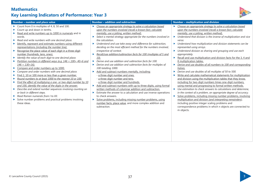# **Key Learning Indicators of Performance: Year 3**



| Number - number and place value                                                                                                                                                                                                                                                                                                                                                                                                                                                                                                                                                                                                                                                                                                                                                                                                                                                                                                                                                                                                                                                                                                                                         | <b>Number - addition and subtraction</b>                                                                                                                                                                                                                                                                                                                                                                                                                                                                                                                                                                                                                                                                                                                                                                                                                                                                                                                                                                                                                                                                                                                                                                 | Number - multiplication and division                                                                                                                                                                                                                                                                                                                                                                                                                                                                                                                                                                                                                                                                                                                                                                                                                                                                                                                                                                                                                                                                                                                                                                                                                                                                                                                                                          |
|-------------------------------------------------------------------------------------------------------------------------------------------------------------------------------------------------------------------------------------------------------------------------------------------------------------------------------------------------------------------------------------------------------------------------------------------------------------------------------------------------------------------------------------------------------------------------------------------------------------------------------------------------------------------------------------------------------------------------------------------------------------------------------------------------------------------------------------------------------------------------------------------------------------------------------------------------------------------------------------------------------------------------------------------------------------------------------------------------------------------------------------------------------------------------|----------------------------------------------------------------------------------------------------------------------------------------------------------------------------------------------------------------------------------------------------------------------------------------------------------------------------------------------------------------------------------------------------------------------------------------------------------------------------------------------------------------------------------------------------------------------------------------------------------------------------------------------------------------------------------------------------------------------------------------------------------------------------------------------------------------------------------------------------------------------------------------------------------------------------------------------------------------------------------------------------------------------------------------------------------------------------------------------------------------------------------------------------------------------------------------------------------|-----------------------------------------------------------------------------------------------------------------------------------------------------------------------------------------------------------------------------------------------------------------------------------------------------------------------------------------------------------------------------------------------------------------------------------------------------------------------------------------------------------------------------------------------------------------------------------------------------------------------------------------------------------------------------------------------------------------------------------------------------------------------------------------------------------------------------------------------------------------------------------------------------------------------------------------------------------------------------------------------------------------------------------------------------------------------------------------------------------------------------------------------------------------------------------------------------------------------------------------------------------------------------------------------------------------------------------------------------------------------------------------------|
| ▶ Count from 0 in multiples of 4, 8, 50 and 100.<br>$\triangleright$ Count up and down in tenths.<br>Read and write numbers up to 1000 in numerals and in<br>words.<br>$\triangleright$ Read and write numbers with one decimal place.<br>Identify, represent and estimate numbers using different<br>representations (including the number line).<br>Recognise the place value of each digit in a three-digit<br>number (hundreds, tens, ones).<br>• Identify the value of each digit to one decimal place.<br>Partition numbers in different ways (e.g. $146 = 100 + 40 + 6$ and<br>$146 = 130 + 16$ .<br>Compare and order numbers up to 1000.<br>Compare and order numbers with one decimal place.<br>Find 1, 10 or 100 more or less than a given number.<br>Round numbers to at least 1000 to the nearest 10 or 100.<br>Find the effect of multiplying a one- or two-digit number by 10<br>and 100, identify the value of the digits in the answer.<br>▶ Describe and extend number sequences involving counting on<br>or back in different steps.<br>Read Roman numerals from I to XII.<br>Solve number problems and practical problems involving<br>these ideas. | Choose an appropriate strategy to solve a calculation based<br>upon the numbers involved (recall a known fact, calculate<br>mentally, use a jotting, written method).<br>Select a mental strategy appropriate for the numbers involved in<br>Þ.<br>the calculation.<br>Understand and use take away and difference for subtraction,<br>▶<br>deciding on the most efficient method for the numbers involved,<br>irrespective of context.<br>Recall/use addition/subtraction facts for 100 (multiples of 5 and<br>10.<br>Derive and use addition and subtraction facts for 100.<br>Derive and use addition and subtraction facts for multiples of<br>100 totalling 1000.<br>Add and subtract numbers mentally, including:<br>Þ.<br>- a three-digit number and ones.<br>- a three-digit number and tens.<br>- a three-digit number and hundreds.<br>Add and subtract numbers with up to three digits, using formal<br>written methods of columnar addition and subtraction.<br>Estimate the answer to a calculation and use inverse operations<br>to check answers.<br>Solve problems, including missing number problems, using<br>number facts, place value, and more complex addition and<br>subtraction. | Choose an appropriate strategy to solve a calculation based<br>upon the numbers involved (recall a known fact, calculate<br>mentally, use a jotting, written method).<br>Understand that division is the inverse of multiplication and vice<br>$\blacktriangleright$<br>versa.<br>• Understand how multiplication and division statements can be<br>represented using arrays.<br>• Understand division as sharing and grouping and use each<br>appropriately.<br>Recall and use multiplication and division facts for the 3, 4 and<br>Þ.<br>8 multiplication tables.<br>Derive and use doubles of all numbers to 100 and corresponding<br>Þ.<br>halves.<br>Derive and use doubles of all multiples of 50 to 500.<br>▶<br>Write and calculate mathematical statements for multiplication<br>and division using the multiplication tables that they know,<br>including for two-digit numbers times one-digit numbers,<br>using mental and progressing to formal written methods.<br>Use estimation to check answers to calculations and determine,<br>Þ.<br>in the context of a problem, an appropriate degree of accuracy.<br>Solve problems, including missing number problems, involving<br>Þ.<br>multiplication and division (and interpreting remainders),<br>including positive integer scaling problems and<br>correspondence problems in which n objects are connected to<br>m objects. |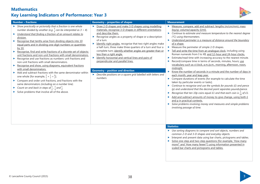#### **Mathematics Key Learning Indicators of Performance: Year 3**



| <b>Number - fractions</b>                                                                                                                                                                                                                                                                                                                                                                                                                                                                                                                                                                                                                                                                                                                                                                                                                                                                                                                                                                                                                                                                                               | <b>Geometry - properties of shapes</b>                                                                                                                                                                                                                                                                                                                                                                                                                                                                                                                                                                                                                                    | <b>Measurement</b>                                                                                                                                                                                                                                                                                                                                                                                                                                                                                                                                                                                                                                                                                                                                                                                                                                                                                                                                                                                                                                                                                                                                                                                                                                                                                                                                                                             |
|-------------------------------------------------------------------------------------------------------------------------------------------------------------------------------------------------------------------------------------------------------------------------------------------------------------------------------------------------------------------------------------------------------------------------------------------------------------------------------------------------------------------------------------------------------------------------------------------------------------------------------------------------------------------------------------------------------------------------------------------------------------------------------------------------------------------------------------------------------------------------------------------------------------------------------------------------------------------------------------------------------------------------------------------------------------------------------------------------------------------------|---------------------------------------------------------------------------------------------------------------------------------------------------------------------------------------------------------------------------------------------------------------------------------------------------------------------------------------------------------------------------------------------------------------------------------------------------------------------------------------------------------------------------------------------------------------------------------------------------------------------------------------------------------------------------|------------------------------------------------------------------------------------------------------------------------------------------------------------------------------------------------------------------------------------------------------------------------------------------------------------------------------------------------------------------------------------------------------------------------------------------------------------------------------------------------------------------------------------------------------------------------------------------------------------------------------------------------------------------------------------------------------------------------------------------------------------------------------------------------------------------------------------------------------------------------------------------------------------------------------------------------------------------------------------------------------------------------------------------------------------------------------------------------------------------------------------------------------------------------------------------------------------------------------------------------------------------------------------------------------------------------------------------------------------------------------------------------|
| > Show practically or pictorially that a fraction is one whole<br>number divided by another (e.g. $\frac{3}{4}$ can be interpreted as 3 ÷ 4).<br>Understand that finding a fraction of an amount relates to<br>division.<br>Recognise that tenths arise from dividing objects into 10<br>equal parts and in dividing one-digit numbers or quantities<br>by 10.<br>Recognise, find and write fractions of a discrete set of objects:<br>unit fractions and non-unit fractions with small denominators.<br>Recognise and use fractions as numbers: unit fractions and<br>non-unit fractions with small denominators.<br>Recognise and show, using diagrams, equivalent fractions<br>with small denominators.<br>Add and subtract fractions with the same denominator within<br>one whole [for example, $\frac{5}{7} + \frac{1}{7} = \frac{6}{7}$ ].<br>$\triangleright$ Compare and order unit fractions, and fractions with the<br>same denominators (including on a number line).<br>► Count on and back in steps of $\frac{1}{2}$ , $\frac{1}{4}$ and $\frac{1}{3}$ .<br>Solve problems that involve all of the above. | Draw 2-D shapes and make 3-D shapes using modelling<br>materials; recognise 3-D shapes in different orientations<br>and describe them.<br>Recognise angles as a property of shape or a description<br>Þ.<br>of a turn.<br>Identify right angles, recognise that two right angles make<br>a half-turn, three make three quarters of a turn and four a<br>complete turn; identify whether angles are greater than or<br>less than a right angle.<br>Identify horizontal and vertical lines and pairs of<br>Þ.<br>perpendicular and parallel lines.<br><b>Geometry - position and direction</b><br>Describe positions on a square grid labelled with letters and<br>numbers. | Measure, compare, add and subtract: lengths (m/cm/mm); mass<br>(kg/g); volume/capacity (l/ml).<br>Continue to estimate and measure temperature to the nearest degree<br>$\blacktriangleright$<br>(°C) using thermometers.<br>Understand perimeter is a measure of distance around the boundary<br>ь<br>of a shape.<br>Measure the perimeter of simple 2-D shapes.<br>Tell and write the time from an analogue clock, including using<br>Roman numerals from I to XII, and 12-hour and 24-hour clocks.<br>Estimate/read time with increasing accuracy to the nearest minute.<br>Þ.<br>Record/compare time in terms of seconds, minutes, hours; use<br>vocabulary such as o'clock, a.m./p.m., morning, afternoon, noon,<br>midnight.<br>Know the number of seconds in a minute and the number of days in<br>each month, year and leap year.<br>Compare durations of events [for example to calculate the time<br>taken by particular events or tasks].<br>Continue to recognise and use the symbols for pounds $(f)$ and pence<br>(p) and understand that the decimal point separates pounds/pence.<br>Recognise that ten 10p coins equal £1 and that each coin is $\frac{1}{10}$ of £1.<br>▶<br>Add and subtract amounts of money to give change, using both £<br>and p in practical contexts.<br>Solve problems involving money and measures and simple problems<br>involving passage of time. |
|                                                                                                                                                                                                                                                                                                                                                                                                                                                                                                                                                                                                                                                                                                                                                                                                                                                                                                                                                                                                                                                                                                                         |                                                                                                                                                                                                                                                                                                                                                                                                                                                                                                                                                                                                                                                                           | <b>Statistics</b>                                                                                                                                                                                                                                                                                                                                                                                                                                                                                                                                                                                                                                                                                                                                                                                                                                                                                                                                                                                                                                                                                                                                                                                                                                                                                                                                                                              |

- ▶ Use sorting diagrams to compare and sort objects, numbers and *common 2-D and 3-D shapes and everyday objects.*
- $\blacktriangleright$  Interpret and present data using bar charts, pictograms and tables.
- Solve one-step and two-step questions [for example, 'How many more?' and 'How many fewer?'] using information presented in scaled bar charts and pictograms and tables.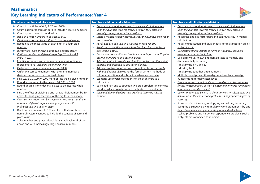# **Key Learning Indicators of Performance: Year 4**



 $\overline{4}$ 

| Number - number and place value                                                                                                                                                                                                                                                                                                                                                                                                                                                                                                                                                                                                                                                                                                                                                                                                                                                                                                                                                                                                                                                                                                                                                                                                                                                                                                                                                                                                                                                                                                                                                                                                                    | Number - addition and subtraction                                                                                                                                                                                                                                                                                                                                                                                                                                                                                                                                                                                                                                                                                                                                                                                                                                                                                                                                                                                                                                                                                                                                                                    | Number - multiplication and division                                                                                                                                                                                                                                                                                                                                                                                                                                                                                                                                                                                                                                                                                                                                                                                                                                                                                                                                                                                                                                                                                                                                                                                                                                                                                                                                                                                                       |
|----------------------------------------------------------------------------------------------------------------------------------------------------------------------------------------------------------------------------------------------------------------------------------------------------------------------------------------------------------------------------------------------------------------------------------------------------------------------------------------------------------------------------------------------------------------------------------------------------------------------------------------------------------------------------------------------------------------------------------------------------------------------------------------------------------------------------------------------------------------------------------------------------------------------------------------------------------------------------------------------------------------------------------------------------------------------------------------------------------------------------------------------------------------------------------------------------------------------------------------------------------------------------------------------------------------------------------------------------------------------------------------------------------------------------------------------------------------------------------------------------------------------------------------------------------------------------------------------------------------------------------------------------|------------------------------------------------------------------------------------------------------------------------------------------------------------------------------------------------------------------------------------------------------------------------------------------------------------------------------------------------------------------------------------------------------------------------------------------------------------------------------------------------------------------------------------------------------------------------------------------------------------------------------------------------------------------------------------------------------------------------------------------------------------------------------------------------------------------------------------------------------------------------------------------------------------------------------------------------------------------------------------------------------------------------------------------------------------------------------------------------------------------------------------------------------------------------------------------------------|--------------------------------------------------------------------------------------------------------------------------------------------------------------------------------------------------------------------------------------------------------------------------------------------------------------------------------------------------------------------------------------------------------------------------------------------------------------------------------------------------------------------------------------------------------------------------------------------------------------------------------------------------------------------------------------------------------------------------------------------------------------------------------------------------------------------------------------------------------------------------------------------------------------------------------------------------------------------------------------------------------------------------------------------------------------------------------------------------------------------------------------------------------------------------------------------------------------------------------------------------------------------------------------------------------------------------------------------------------------------------------------------------------------------------------------------|
| Count in multiples of 6, 7, 9, 25 and 1000.<br>Þ.<br>Count backwards through zero to include negative numbers.<br>▶<br>Count up and down in hundredths.<br>▶<br>Read and write numbers to at least 10 000.<br>Read and write numbers with up to two decimal places.<br>▶<br>Recognise the place value of each digit in a four-digit<br>▶<br>number.<br>Identify the value of each digit to two decimal places.<br>▶<br>Partition numbers in different ways (e.g. $2.3 = 2 + 0.3$ )<br>$\blacktriangleright$<br>and $1 + 1.3$ ).<br>Identify, represent and estimate numbers using different<br>representations (including the number line).<br>Order and compare numbers beyond 1000.<br>$\blacktriangleright$<br>Order and compare numbers with the same number of<br>$\blacktriangleright$<br>decimal places up to two decimal places.<br>Find 0.1, 1, 10, 100 or 1000 more or less than a given number.<br>$\blacktriangleright$<br>Round any number to the nearest 10, 100 or 1000.<br>▶<br>Round decimals (one decimal place) to the nearest whole<br>Þ.<br>number.<br>Find the effect of dividing a one- or two-digit number by 10<br>and 100, identifying the value of the digits in the answer.<br>Describe and extend number sequences involving counting on<br>Þ.<br>or back in different steps, including sequences with<br>multiplication and division steps.<br>Read Roman numerals to 100 and know that over time, the<br>ь<br>numeral system changed to include the concept of zero and<br>place value.<br>Solve number and practical problems that involve all of the<br>Þ.<br>above and with increasingly large positive numbers. | Choose an appropriate strategy to solve a calculation based<br>$\blacktriangleright$<br>upon the numbers involved (recall a known fact, calculate<br>mentally, use a jotting, written method).<br>Select a mental strategy appropriate for the numbers involved in<br>$\blacktriangleright$<br>the calculation.<br>Recall and use addition and subtraction facts for 100.<br>ь<br>Recall and use addition and subtraction facts for multiples of<br>ь<br>100 totalling 1000.<br>Derive and use addition and subtraction facts for 1 and 10 (with<br>Þ.<br>decimal numbers to one decimal place).<br>Add and subtract mentally combinations of two and three digit<br>×<br>numbers and decimals to one decimal place.<br>Add and subtract numbers with up to 4 digits and decimals<br>ь<br>with one decimal place using the formal written methods of<br>columnar addition and subtraction where appropriate.<br>Estimate; use inverse operations to check answers to a<br>×<br>calculation.<br>Solve addition and subtraction two-step problems in contexts,<br>deciding which operations and methods to use and why.<br>Solve addition and subtraction problems involving missing<br>Þ.<br>numbers. | Choose an appropriate strategy to solve a calculation based<br>▶<br>upon the numbers involved (recall a known fact, calculate<br>mentally, use a jotting, written method).<br>Recognise and use factor pairs and commutativity in mental<br>Þ.<br>calculations.<br>Recall multiplication and division facts for multiplication tables<br>ы<br>up to $12 \times 12$ .<br>Use partitioning to double or halve any number, including<br>Þ.<br>decimals to one decimal place.<br>▶ Use place value, known and derived facts to multiply and<br>divide mentally, including:<br>- multiplying by 0 and 1.<br>- dividing by 1.<br>- multiplying together three numbers.<br>Multiply two-digit and three-digit numbers by a one-digit<br>Þ.<br>number using formal written layout.<br>Divide numbers up to 3 digits by a one-digit number using the<br>▶<br>formal written method of short division and interpret remainders<br>appropriately for the context.<br>$\triangleright$ Use estimation and inverse to check answers to calculations and<br>determine, in the context of a problem, an appropriate degree of<br>accuracy.<br>Solve problems involving multiplying and adding, including<br>Þ.<br>using the distributive law to multiply two digit numbers by one<br>digit, division (including interpreting remainders), integer<br>scaling problems and harder correspondence problems such as<br>n objects are connected to m objects. |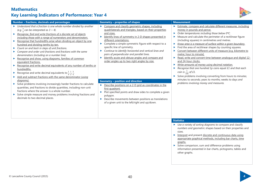# **Key Learning Indicators of Performance: Year 4**



| Number - fractions, decimals and percentages                                                                                                                                                                                                                                                                                                                                                                                                                                                                                                                                                                                                                                                                                                                                                                                                                                                                                                                                                                                                                                                                                                                                                                                         | <b>Geometry - properties of shapes</b>                                                                                                                                                                                                                                                                                                                                                                                                                                                                                                                                                                                                                                                                                                                                                                                                       | Measurement                                                                                                                                                                                                                                                                                                                                                                                                                                                                                                                                                                                                                                                                                                                                                                                                                                                                                                            |
|--------------------------------------------------------------------------------------------------------------------------------------------------------------------------------------------------------------------------------------------------------------------------------------------------------------------------------------------------------------------------------------------------------------------------------------------------------------------------------------------------------------------------------------------------------------------------------------------------------------------------------------------------------------------------------------------------------------------------------------------------------------------------------------------------------------------------------------------------------------------------------------------------------------------------------------------------------------------------------------------------------------------------------------------------------------------------------------------------------------------------------------------------------------------------------------------------------------------------------------|----------------------------------------------------------------------------------------------------------------------------------------------------------------------------------------------------------------------------------------------------------------------------------------------------------------------------------------------------------------------------------------------------------------------------------------------------------------------------------------------------------------------------------------------------------------------------------------------------------------------------------------------------------------------------------------------------------------------------------------------------------------------------------------------------------------------------------------------|------------------------------------------------------------------------------------------------------------------------------------------------------------------------------------------------------------------------------------------------------------------------------------------------------------------------------------------------------------------------------------------------------------------------------------------------------------------------------------------------------------------------------------------------------------------------------------------------------------------------------------------------------------------------------------------------------------------------------------------------------------------------------------------------------------------------------------------------------------------------------------------------------------------------|
| • Understand that a fraction is one whole number divided by another<br>(e.g. $\frac{3}{4}$ can be interpreted as 3 ÷ 4).<br>Recognise, find and write fractions of a discrete set of objects<br>including those with a range of numerators and denominators.<br>Recognise that hundredths arise when dividing an object by one<br>$\blacktriangleright$<br>hundred and dividing tenths by ten.<br>Count on and back in steps of unit fractions.<br>Compare and order unit fractions and fractions with the same<br>denominators (including on a number line).<br>Recognise and show, using diagrams, families of common<br>▶<br>equivalent fractions.<br>Recognise and write decimal equivalents of any number of tenths or<br>▶<br>hundredths.<br>Recognise and write decimal equivalents to $\frac{1}{4}$ , $\frac{1}{2}$ , $\frac{3}{4}$ .<br>Add and subtract fractions with the same denominator (using<br>diagrams).<br>Solve problems involving increasingly harder fractions to calculate<br>quantities, and fractions to divide quantities, including non-unit<br>fractions where the answer is a whole number.<br>Solve simple measure and money problems involving fractions and<br>Þ.<br>decimals to two decimal places. | Compare and classify geometric shapes, including<br>guadrilaterals and triangles, based on their properties<br>and sizes.<br>Identify lines of symmetry in 2-D shapes presented in<br>Þ.<br>different orientations.<br>▶ Complete a simple symmetric figure with respect to a<br>specific line of symmetry.<br>Continue to identify horizontal and vertical lines and<br>pairs of perpendicular and parallel lines.<br>Identify acute and obtuse angles and compare and<br>Þ.<br>order angles up to two right angles by size.<br><b>Geometry - position and direction</b><br>▶ Describe positions on a 2-D grid as coordinates in the<br>first quadrant.<br>▶ Plot specified points and draw sides to complete a given<br>polygon.<br>Describe movements between positions as translations<br>of a given unit to the left/right and up/down. | Estimate, compare and calculate different measures, including<br>money in pounds and pence.<br>$\triangleright$ Order temperatures including those below 0°C.<br>• Measure and calculate the perimeter of a rectilinear figure<br>(including squares) in centimetres and metres.<br>▶ Know area is a measure of surface within a given boundary.<br>Find the area of rectilinear shapes by counting squares.<br>Convert between different units of measure [e.g. kilometre to<br>metre; hour to minute].<br>Read, write and convert time between analogue and digital 12-<br>and 24-hour clocks.<br>Write amounts of money using decimal notation.<br>Recognise that one hundred 1p coins equal $f1$ and that each<br>coin is $\frac{1}{100}$ of £1.<br>Solve problems involving converting from hours to minutes;<br>minutes to seconds; years to months; weeks to days and<br>problems involving money and measures. |
|                                                                                                                                                                                                                                                                                                                                                                                                                                                                                                                                                                                                                                                                                                                                                                                                                                                                                                                                                                                                                                                                                                                                                                                                                                      |                                                                                                                                                                                                                                                                                                                                                                                                                                                                                                                                                                                                                                                                                                                                                                                                                                              | <b>Statistics</b>                                                                                                                                                                                                                                                                                                                                                                                                                                                                                                                                                                                                                                                                                                                                                                                                                                                                                                      |
|                                                                                                                                                                                                                                                                                                                                                                                                                                                                                                                                                                                                                                                                                                                                                                                                                                                                                                                                                                                                                                                                                                                                                                                                                                      |                                                                                                                                                                                                                                                                                                                                                                                                                                                                                                                                                                                                                                                                                                                                                                                                                                              | ▶ Use a variety of sorting diagrams to compare and classify<br>numbers and geometric shapes based on their properties and<br>sizes.<br>Interpret and present discrete and continuous data using<br>appropriate graphical methods, including bar charts, time<br>graphs.                                                                                                                                                                                                                                                                                                                                                                                                                                                                                                                                                                                                                                                |

 $\triangleright$  Solve comparison, sum and difference problems using information presented in bar charts, pictograms, tables and other graphs.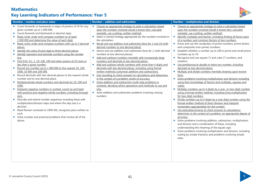# **Key Learning Indicators of Performance: Year 5**



| ▶ Count forwards or backwards in steps of powers of 10 for any<br>Choose an appropriate strategy to solve a calculation based<br>Choose an appropriate strategy to solve a calculation based<br>$\blacktriangleright$<br>given number up to 1 000 000.<br>upon the numbers involved (recall a known fact, calculate<br>upon the numbers involved (recall a known fact, calculate<br>Count forwards and backwards in decimal steps.<br>mentally, use a jotting, written method).<br>mentally, use a jotting, written method).<br>Read, write, order and compare numbers to at least<br>Select a mental strategy appropriate for the numbers involved in<br>×<br>$\blacktriangleright$<br>▶<br>1 000 000 and determine the value of each digit.<br>of a number, and common factors of two numbers.<br>the calculation.<br>Read, write, order and compare numbers with up to 3 decimal<br>Recall and use addition and subtraction facts for 1 and 10 (with<br>$\blacktriangleright$<br>▶<br>decimal numbers to one decimal place).<br>and composite (non-prime) numbers.<br>places.<br>Identify the value of each digit to three decimal places.<br>Derive and use addition and subtraction facts for 1 (with decimal<br>$\blacktriangleright$<br>Þ.<br>Identify represent and estimate numbers using the number<br>numbers to two decimal places).<br>numbers up to 19.<br>▶<br>Recognise and use square $(^2)$ and cube $(^3)$ numbers, and<br>Add and subtract numbers mentally with increasingly large<br>line.<br>$\blacktriangleright$<br>numbers and decimals to two decimal places.<br>Find 0.01, 0.1, 1, 10, 100, 100 and other powers of 10 more or<br>notation.<br>less than a given number.<br>Add and subtract whole numbers with more than 4 digits and<br>Use partitioning to double or halve any number, including<br>$\blacktriangleright$<br>Þ.<br>decimals to two decimal places.<br>Round any number up to 1 000 000 to the nearest 10, 100,<br>decimals with two decimal places, including using formal<br>▶<br>1000, 10 000 and 100 000.<br>written methods (columnar addition and subtraction).<br>Multiply and divide numbers mentally drawing upon known<br>Þ.<br>Use rounding to check answers to calculations and determine.<br>▶ Round decimals with two decimal places to the nearest whole<br>facts.<br>$\blacktriangleright$<br>number and to one decimal place.<br>in the context of a problem, levels of accuracy.<br>ы<br>Solve addition and subtraction multi-step problems in<br>Multiply/divide whole numbers and decimals by 10, 100 and<br>using their knowledge of factors and multiples, squares and<br>$\blacktriangleright$<br>1000.<br>contexts, deciding which operations and methods to use and<br>cubes.<br>Interpret negative numbers in context, count on and back<br>why.<br>$\blacktriangleright$<br>with positive and negative whole numbers, including through<br>Solve addition and subtraction problems involving missing<br>using a formal written method, including long multiplication<br>$\blacktriangleright$<br>for two-digit numbers.<br>numbers.<br>zero.<br>▶ Describe and extend number sequences including those with<br>×<br>formal written method of short division and interpret<br>multiplication/division steps and where the step size is a<br>decimal.<br>remainders appropriately for the context.<br>Read Roman numerals to 1000 (M); recognise years written as<br>Use estimation/inverse to check answers to calculations;<br>Þ.<br>such.<br>Solve number and practical problems that involve all of the<br>accuracy.<br>Solve problems involving addition, subtraction, multiplication<br>above.<br>and division and a combination of these, including<br>understanding the meaning of the equals sign.<br>scaling by simple fractions and problems involving simple<br>rates. | Number - number and place value | Number - addition and subtraction | Number - multiplication and division                                                                                                                                                                                                                                                                                                                                                                                                                                                                                                           |
|-----------------------------------------------------------------------------------------------------------------------------------------------------------------------------------------------------------------------------------------------------------------------------------------------------------------------------------------------------------------------------------------------------------------------------------------------------------------------------------------------------------------------------------------------------------------------------------------------------------------------------------------------------------------------------------------------------------------------------------------------------------------------------------------------------------------------------------------------------------------------------------------------------------------------------------------------------------------------------------------------------------------------------------------------------------------------------------------------------------------------------------------------------------------------------------------------------------------------------------------------------------------------------------------------------------------------------------------------------------------------------------------------------------------------------------------------------------------------------------------------------------------------------------------------------------------------------------------------------------------------------------------------------------------------------------------------------------------------------------------------------------------------------------------------------------------------------------------------------------------------------------------------------------------------------------------------------------------------------------------------------------------------------------------------------------------------------------------------------------------------------------------------------------------------------------------------------------------------------------------------------------------------------------------------------------------------------------------------------------------------------------------------------------------------------------------------------------------------------------------------------------------------------------------------------------------------------------------------------------------------------------------------------------------------------------------------------------------------------------------------------------------------------------------------------------------------------------------------------------------------------------------------------------------------------------------------------------------------------------------------------------------------------------------------------------------------------------------------------------------------------------------------------------------------------------------------------------------------------------------------------------------------------------------------------------------------------------------------------------------------------------------------------------------------------------------------------------------------------------------------------------------------------------------------------------------------------------------------------------------------------------------------------------------------------------------------------------------------------------------------------------------------------------------------------------------------------------------------------------|---------------------------------|-----------------------------------|------------------------------------------------------------------------------------------------------------------------------------------------------------------------------------------------------------------------------------------------------------------------------------------------------------------------------------------------------------------------------------------------------------------------------------------------------------------------------------------------------------------------------------------------|
|                                                                                                                                                                                                                                                                                                                                                                                                                                                                                                                                                                                                                                                                                                                                                                                                                                                                                                                                                                                                                                                                                                                                                                                                                                                                                                                                                                                                                                                                                                                                                                                                                                                                                                                                                                                                                                                                                                                                                                                                                                                                                                                                                                                                                                                                                                                                                                                                                                                                                                                                                                                                                                                                                                                                                                                                                                                                                                                                                                                                                                                                                                                                                                                                                                                                                                                                                                                                                                                                                                                                                                                                                                                                                                                                                                                                                                                           |                                 |                                   | Identify multiples and factors, including finding all factor pairs<br>Know and use the vocabulary of prime numbers, prime factors<br>Establish whether a number up to 100 is prime and recall prime<br>Solve problems involving multiplication and division including<br>Multiply numbers up to 4 digits by a one- or two-digit number<br>Divide numbers up to 4 digits by a one-digit number using the<br>determine, in the context of a problem, an appropriate degree of<br>Solve problems involving multiplication and division, including |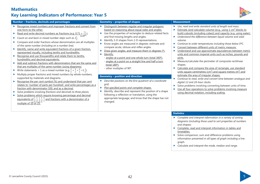# **Key Learning Indicators of Performance: Year 5**



| Number - fractions, decimals and percentages                                                                                                                                                                                                                                                                                                                                                                                                                                                                                                                                                                                                                                                                                                                                                                                                                           | <b>Geometry - properties of shapes</b>                                                                                                                                                                                                                                                                                                                                                                                                                                                                                                                                                                                                          | <b>Measurement</b>                                                                                                                                                                                                                                                                                                                                                                                                                                                                                                                                                                                                                                                                                                                                                                                           |
|------------------------------------------------------------------------------------------------------------------------------------------------------------------------------------------------------------------------------------------------------------------------------------------------------------------------------------------------------------------------------------------------------------------------------------------------------------------------------------------------------------------------------------------------------------------------------------------------------------------------------------------------------------------------------------------------------------------------------------------------------------------------------------------------------------------------------------------------------------------------|-------------------------------------------------------------------------------------------------------------------------------------------------------------------------------------------------------------------------------------------------------------------------------------------------------------------------------------------------------------------------------------------------------------------------------------------------------------------------------------------------------------------------------------------------------------------------------------------------------------------------------------------------|--------------------------------------------------------------------------------------------------------------------------------------------------------------------------------------------------------------------------------------------------------------------------------------------------------------------------------------------------------------------------------------------------------------------------------------------------------------------------------------------------------------------------------------------------------------------------------------------------------------------------------------------------------------------------------------------------------------------------------------------------------------------------------------------------------------|
| Recognise mixed numbers and improper fractions and convert from<br>one form to the other.<br>Read and write decimal numbers as fractions (e.g. $0.71 = \frac{71}{100}$ ).<br>► Count on and back in mixed number steps such as $1\frac{1}{2}$ .<br>• Compare and order fractions whose denominators are all multiples<br>of the same number (including on a number line).<br>Identify, name and write equivalent fractions of a given fraction,<br>represented visually, including tenths and hundredths.<br>Recognise and use thousandths and relate them to tenths.<br>▶<br>hundredths and decimal equivalents.<br>Add and subtract fractions with denominators that are the same and<br>Þ.<br>that are multiples of the same number (using diagrams).<br>• Write statements > 1 as a mixed number (e.g. $\frac{2}{5} + \frac{4}{5} = \frac{6}{5} = 1\frac{1}{5}$ ). | Distinguish between regular and irregular polygons<br>$\blacktriangleright$<br>based on reasoning about equal sides and angles.<br>Use the properties of rectangles to deduce related facts<br>Þ.<br>and find missing lengths and angles.<br>Identify 3-D shapes from 2-D representations.<br>▶<br>Know angles are measured in degrees: estimate and<br>Þ.<br>compare acute, obtuse and reflex angles.<br>Draw given angles, and measure them in degrees (°).<br>Identify:<br>▶<br>- angles at a point and one whole turn (total 360°).<br>- angles at a point on a straight line and half a turn<br>(total 180°).<br>- other multiples of 90°. | ▶ Use, read and write standard units of length and mass.<br>Estimate (and calculate) volume ((e.g., using 1 cm <sup>3</sup> blocks to<br>build cuboids (including cubes)) and capacity (e.g. using water).<br>• Understand the difference between liquid volume and solid<br>volume.<br>$\triangleright$ Continue to order temperatures including those below 0 °C.<br>Convert between different units of metric measure.<br>▶<br>Understand and use approximate equivalences between metric<br>▶<br>units and common imperial units such as inches, pounds and<br>pints.<br>• Measure/calculate the perimeter of composite rectilinear<br>shapes.<br>Calculate and compare the area of rectangle, use standard<br>▶.<br>units square centimetres (cm <sup>2</sup> ) and square metres (m <sup>2</sup> ) and |
| Multiply proper fractions and mixed numbers by whole numbers,<br>supported by materials and diagrams.<br>Recognise the per cent symbol (%) and understand that per cent<br>Þ.<br>relates to 'number of parts per hundred', and write percentages as a<br>fraction with denominator 100, and as a decimal.<br>Solve problems involving fractions and decimals to three places.<br>Solve problems which require knowing percentage and decimal<br>equivalents of $\frac{1}{2}$ , $\frac{1}{4}$ , $\frac{1}{5}$ , $\frac{2}{5}$ , $\frac{4}{5}$ and fractions with a denominator of a<br>multiple of 10 or 25.                                                                                                                                                                                                                                                            | <b>Geometry - position and direction</b><br>Describe positions on the first quadrant of a coordinate<br>▶<br>grid.<br>Plot specified points and complete shapes.<br>▶<br>Identify, describe and represent the position of a shape<br>▶<br>following a reflection or translation, using the<br>appropriate language, and know that the shape has not<br>changed.                                                                                                                                                                                                                                                                                 | estimate the area of irregular shapes.<br>Continue to read, write and convert time between analogue and<br>digital 12 and 24-hour clocks.<br>Solve problems involving converting between units of time.<br>▶.<br>Use all four operations to solve problems involving measure<br>using decimal notation, including scaling.                                                                                                                                                                                                                                                                                                                                                                                                                                                                                   |
|                                                                                                                                                                                                                                                                                                                                                                                                                                                                                                                                                                                                                                                                                                                                                                                                                                                                        |                                                                                                                                                                                                                                                                                                                                                                                                                                                                                                                                                                                                                                                 | <b>Statistics</b>                                                                                                                                                                                                                                                                                                                                                                                                                                                                                                                                                                                                                                                                                                                                                                                            |
|                                                                                                                                                                                                                                                                                                                                                                                                                                                                                                                                                                                                                                                                                                                                                                                                                                                                        |                                                                                                                                                                                                                                                                                                                                                                                                                                                                                                                                                                                                                                                 | • Complete and interpret information in a variety of sorting<br>digarams (including those used to sort properties of numbers)                                                                                                                                                                                                                                                                                                                                                                                                                                                                                                                                                                                                                                                                                |

*diagrams (including those used to sort properties of numbers and shapes).*

- $\triangleright$  Complete, read and interpret information in tables and timetables.
- $\triangleright$  Solve comparison, sum and difference problems using information presented in *all types of graph including* a line graph.
- **F** Calculate and interpret the mode, median and range.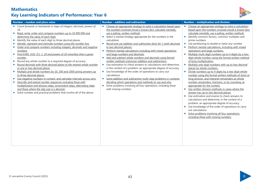# **Key Learning Indicators of Performance: Year 6**



| Number - number and place value                                                                                                                                                                                                                                                                                                                                                                                                                                                                                                                                                                                                                                                                                                                                                                                                                                                                                                                                                                                                                                                                      | Number - addition and subtraction                                                                                                                                                                                                                                                                                                                                                                                                                                                                                                                                                                                                                                                                                                                                                                                                                                                                                                                                                                                                                   | Number - multiplication and division                                                                                                                                                                                                                                                                                                                                                                                                                                                                                                                                                                                                                                                                                                                                                                                                                                                                                                                                                                                                                                                                                                                                                                                                                                                                                               |
|------------------------------------------------------------------------------------------------------------------------------------------------------------------------------------------------------------------------------------------------------------------------------------------------------------------------------------------------------------------------------------------------------------------------------------------------------------------------------------------------------------------------------------------------------------------------------------------------------------------------------------------------------------------------------------------------------------------------------------------------------------------------------------------------------------------------------------------------------------------------------------------------------------------------------------------------------------------------------------------------------------------------------------------------------------------------------------------------------|-----------------------------------------------------------------------------------------------------------------------------------------------------------------------------------------------------------------------------------------------------------------------------------------------------------------------------------------------------------------------------------------------------------------------------------------------------------------------------------------------------------------------------------------------------------------------------------------------------------------------------------------------------------------------------------------------------------------------------------------------------------------------------------------------------------------------------------------------------------------------------------------------------------------------------------------------------------------------------------------------------------------------------------------------------|------------------------------------------------------------------------------------------------------------------------------------------------------------------------------------------------------------------------------------------------------------------------------------------------------------------------------------------------------------------------------------------------------------------------------------------------------------------------------------------------------------------------------------------------------------------------------------------------------------------------------------------------------------------------------------------------------------------------------------------------------------------------------------------------------------------------------------------------------------------------------------------------------------------------------------------------------------------------------------------------------------------------------------------------------------------------------------------------------------------------------------------------------------------------------------------------------------------------------------------------------------------------------------------------------------------------------------|
| Count forwards or backwards in steps of integers, decimals, powers of<br>10.<br>Read, write, order and compare numbers up to 10 000 000 and<br>determine the value of each digit.<br>Identify the value of each digit to three decimal places.<br>Identify, represent and estimate numbers using the number line.<br>Order and compare numbers including integers, decimals and negative<br>numbers.<br>Find 0.001, 0.01, 0.1, 1, 10 and powers of 10 more/less than a given<br>number.<br>Round any whole number to a required degree of accuracy.<br>Round decimals with three decimal places to the nearest whole number<br>or one or two decimal places.<br>Multiply and divide numbers by 10, 100 and 1000 giving answers up<br>to three decimal places.<br>Use negative numbers in context, and calculate intervals across zero.<br>Describe and extend number sequences including those with<br>multiplication and division steps, inconsistent steps, alternating steps<br>and those where the step size is a decimal.<br>Solve number and practical problems that involve all of the above. | Choose an appropriate strategy to solve a calculation based upon<br>the numbers involved (recall a known fact, calculate mentally,<br>use a jotting, written method).<br>Select a mental strategy appropriate for the numbers in the<br>calculation.<br>Recall and use addition and subtraction facts for 1 (with decimals<br>to two decimal places).<br>Perform mental calculations including with mixed operations<br>and large numbers and decimals.<br>Add and subtract whole numbers and decimals using formal<br>written methods (columnar addition and subtraction).<br>Use estimation to check answers to calculations and determine,<br>Þ.<br>in the context of a problem, an appropriate degree of accuracy.<br>$\triangleright$ Use knowledge of the order of operations to carry out<br>calculations.<br>Solve addition and subtraction multi-step problems in contexts,<br>Þ.<br>deciding which operations and methods to use and why.<br>Solve problems involving all four operations, including those<br>Þ.<br>with missing numbers. | Choose an appropriate strategy to solve a calculation<br>based upon the numbers involved (recall a known fact,<br>calculate mentally, use a jotting, written method).<br>Identify common factors, common multiples and<br>prime numbers.<br>Use partitioning to double or halve any number.<br>▶<br>Perform mental calculations, including with mixed<br>operations and large numbers.<br>Multiply multi-digit numbers up to 4 digits by a two-<br>▶<br>digit whole number using the formal written method<br>of long multiplication.<br>Multiply one-digit numbers with up to two decimal<br>places by whole numbers.<br>Divide numbers up to 4 digits by a two-digit whole<br>number using the formal written methods of short or<br>long division, and interpret remainders as whole<br>number remainders, fractions, or by rounding, as<br>appropriate for the context.<br>Use written division methods in cases where the<br>Þ.<br>answer has up to two decimal places.<br>$\blacktriangleright$ Use estimation and inverse to check answers to<br>calculations and determine, in the context of a<br>problem, an appropriate degree of accuracy.<br>▶ Use knowledge of the order of operations to carry<br>out calculations.<br>Solve problems involving all four operations,<br>Þ.<br>including those with missing numbers. |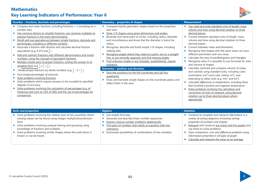# **Key Learning Indicators of Performance: Year 6**



| Number - fractions, decimals and percentages                                                                                                                                                                                                                                                                                                                                                                                                                                                                                                                                                                                                                                                                                                                                                                                                                                                                                                                                                                                                                                                                                                                   | <b>Geometry - properties of shapes</b>                                                                                                                                                                                                                                                                                                                                                                                                                                                                                                                                                                                                                                                                                                                                                           | <b>Measurement</b>                                                                                                                                                                                                                                                                                                                                                                                                                                                                                                                                                                                                                                                                                                                                                                                                                                                                                                                                                                                                                                                                                   |
|----------------------------------------------------------------------------------------------------------------------------------------------------------------------------------------------------------------------------------------------------------------------------------------------------------------------------------------------------------------------------------------------------------------------------------------------------------------------------------------------------------------------------------------------------------------------------------------------------------------------------------------------------------------------------------------------------------------------------------------------------------------------------------------------------------------------------------------------------------------------------------------------------------------------------------------------------------------------------------------------------------------------------------------------------------------------------------------------------------------------------------------------------------------|--------------------------------------------------------------------------------------------------------------------------------------------------------------------------------------------------------------------------------------------------------------------------------------------------------------------------------------------------------------------------------------------------------------------------------------------------------------------------------------------------------------------------------------------------------------------------------------------------------------------------------------------------------------------------------------------------------------------------------------------------------------------------------------------------|------------------------------------------------------------------------------------------------------------------------------------------------------------------------------------------------------------------------------------------------------------------------------------------------------------------------------------------------------------------------------------------------------------------------------------------------------------------------------------------------------------------------------------------------------------------------------------------------------------------------------------------------------------------------------------------------------------------------------------------------------------------------------------------------------------------------------------------------------------------------------------------------------------------------------------------------------------------------------------------------------------------------------------------------------------------------------------------------------|
| • Compare and order fractions, including fractions $> 1$ (including on a<br>number line).<br>▶ Use common factors to simplify fractions; use common multiples to<br>express fractions in the same denomination.<br>Recall and use equivalences between simple fractions, decimals and<br>percentages, including in different contexts.<br>Associate a fraction with division and calculate decimal fraction<br>equivalents (e.g. 0.375 and $\frac{3}{8}$ ).<br>Add and subtract fractions with different denominators and mixed<br>numbers, using the concept of equivalent fractions.<br>Multiply simple pairs of proper fractions, writing the answer in its<br>simplest form (e.g. $\frac{1}{4} \times \frac{1}{2} = \frac{1}{8}$ ).<br>Divide proper fractions by whole numbers (e.g. $\frac{1}{3} \div 2 = \frac{1}{6}$ ).<br>Find simple percentages of amounts.<br>Solve problems involving fractions.<br>Solve problems which require answers to be rounded to specified<br>degrees of accuracy.<br>Solve problems involving the calculation of percentages (e.g. of<br>measures and such as 15% of 260) and the use of percentages for<br>comparison. | ▶ Compare/classify geometric shapes based on the properties<br>and sizes.<br>▶ Draw 2-D shapes using given dimensions and angles.<br>Illustrate and name parts of circles, including radius, diameter<br>and circumference and know that the diameter is twice the<br>radius.<br>Recognise, describe and build simple 3-D shapes, including<br>making nets.<br>Recognise angles where they meet at a point, are on a straight<br>line, or are vertically opposite, and find missing angles.<br>Find unknown angles in any triangles, quadrilaterals, regular<br>polygons.<br><b>Geometry - position and direction</b><br>Describe positions on the full coordinate grid (all four<br>quadrants).<br>▶ Draw and translate simple shapes on the coordinate plane, and<br>reflect them in the axes. | ▶ Use, read and write standard units of length, mass,<br>volume and time using decimal notation to three<br>decimal places.<br>Convert between standard units of length, mass,<br>volume and time using decimal notation to three<br>decimal places.<br>Convert between miles and kilometres.<br>$\blacktriangleright$ Recognise that shapes with the same areas can have<br>different perimeters and vice versa.<br>$\triangleright$ Calculate the area of parallelograms and triangles.<br>Recognise when it is possible to use formulae for area<br>and volume of shapes.<br>▶ Calculate, estimate and compare volume of cubes<br>and cuboids using standard units, including cubic<br>centimetres (cm <sup>3</sup> ) and cubic metres (m <sup>3</sup> ), and<br>extending to other units (e.g. $mm3$ and $km3$ ).<br>• Calculate differences in temperature, including those<br>that involved a positive and negative temperature.<br>Solve problems involving the calculation and<br>conversion of units of measure, using decimal<br>notation up to three decimal places where<br>appropriate. |
| <b>Ratio and proportion</b>                                                                                                                                                                                                                                                                                                                                                                                                                                                                                                                                                                                                                                                                                                                                                                                                                                                                                                                                                                                                                                                                                                                                    | <b>Algebra</b>                                                                                                                                                                                                                                                                                                                                                                                                                                                                                                                                                                                                                                                                                                                                                                                   | <b>Statistics</b>                                                                                                                                                                                                                                                                                                                                                                                                                                                                                                                                                                                                                                                                                                                                                                                                                                                                                                                                                                                                                                                                                    |
| Solve problems involving the relative sizes of two quantities where<br>missing values can be found using integer multiplication/division<br>facts.<br>Solve problems involving unequal sharing and grouping using<br>knowledge of fractions and multiples.<br>Solve problems involving similar shapes where the scale factor is<br>known or can be found.                                                                                                                                                                                                                                                                                                                                                                                                                                                                                                                                                                                                                                                                                                                                                                                                      | $\triangleright$ Use simple formulae.<br>Generate and describe linear number sequences.<br>Express missing number problems algebraically.<br>Find pairs of numbers that satisfy an equation with two<br>unknowns.<br>Enumerate possibilities of combinations of two variables.                                                                                                                                                                                                                                                                                                                                                                                                                                                                                                                   | Continue to complete and interpret information in a<br>variety of sorting diagrams (including sorting<br>properties of numbers and shapes).<br>Interpret and construct pie charts and line graphs and<br>use these to solve problems.<br>Solve comparison, sum and difference problems using<br>information presented in all types of graph.<br>▶ Calculate and interpret the mean as an average.                                                                                                                                                                                                                                                                                                                                                                                                                                                                                                                                                                                                                                                                                                    |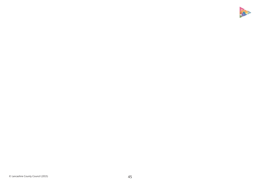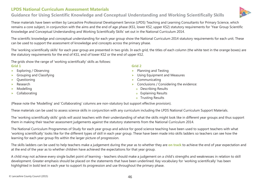#### Collaborating

#### **1 Grid 2 Grid 2**

- $\blacktriangleright$  Planning and Testing
- $\blacktriangleright$  Using Equipment and Measures
- $\blacktriangleright$  Communicating
- $\triangleright$  Conclusions / Considering the evidence:
	- **o** Describing Results
	- **o** Explaining Results
	- **o** Trusting Results

(Please note the 'Modelling' and 'Collaborating' columns are non-statutory but support effective provision).

These materials can be used to assess science skills in conjunction with any curriculum including the LPDS National Curriculum Support Materials.

The 'working scientifically skills' grids will assist teachers with their understanding of what the skills might look like in different year groups and thus support them in making their teacher assessment judgements against the statutory statements from the National Curriculum 2014.

The National Curriculum Programmes of Study for each year group and advice for good science teaching have been used to support teachers with what 'working scientifically' looks like for the different types of skill in each year group. These have been made into skills ladders so teachers can see how the learning for each year group fits within the larger picture of progression.

The skills ladders can be used to help teachers make a judgement during the year as to whether they are **on track** to achieve the end of year expectation and at the end of the year as to whether children have achieved the expectations for that year group.

A child may not achieve every single bullet point of learning - teachers should make a judgement on a child's strengths and weaknesses in relation to skill development. Greater emphasis should be placed on the statements that have been underlined. Key vocabulary for 'working scientifically' has been highlighted in bold text in each year to support its progression and use throughout the primary phase.

## **LPDS National Curriculum Assessment Materials**

## **Guidance for Using Scientific Knowledge and Conceptual Understanding and Working Scientifically Skills**

These materials have been written by Lancashire Professional Development Service (LPDS) Teaching and Learning Consultants for Primary Science, which remains a core subject, in conjunction with the aims and the end of age phase (KS1, lower KS2, upper KS2) statutory requirements for 'Year Group Scientific Knowledge and Conceptual Understanding and Working Scientifically Skills' set out in the National Curriculum 2014.

The scientific knowledge and conceptual understanding for each year group show the National Curriculum 2014 statutory requirements for each unit. These can be used to support the assessment of knowledge and concepts across the primary phase.

The 'working scientifically skills' for each year group are presented in two grids. In each grid, the titles of each column (the white text in the orange boxes) are the statutory requirements for the end of KS1, end of lower KS2 or the end of upper KS2.

The grids show the range of 'working scientifically' skills as follows:

#### **Grid 1**

- fExploring / Observing
- $\blacktriangleright$ Grouping and Classifying
- f**Ouestioning**
- fResearch
- fModelling
- $\blacktriangleright$

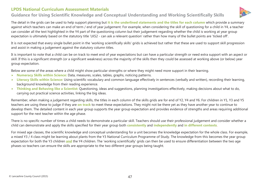#### **LPDS National Curriculum Assessment Materials**

#### **Guidance for Using Scientific Knowledge and Conceptual Understanding and Working Scientifically Skills**



The detail in the grids can be used to help support planning but **it is the underlined statements and the titles for each column** which provide a summary against which teachers can make an end of term / end of year judgement. For example, when considering the skill of questioning for a child in Y4, a teacher can consider all the text highlighted in the Y4 part of the questioning column but their judgement regarding whether the child is working at year group expectation is ultimately based on the statutory title 'LKS2 - can ask a relevant question' rather than how many of the bullet points are 'ticked off'.

It is not expected that every single bullet point in the 'working scientifically skills' grids is achieved but rather that these are used to support skill progression and assist in making a judgement against the statutory column titles.

It is important to note that a child can be on track to meet end of year expectations but can have a particular strength or need extra support with an aspect or skill. If this is a significant strength (or a significant weakness) across the majority of the skills then they could be assessed at working above (or below) year group expectation.

Below are some of the areas where a child might show particular strengths or where they might need more support in their learning.

- f**Numeracy Skills within Science:** Data, measures, scales, tables, graphs, noticing patterns.
- $\blacktriangleright$  **Literacy Skills within Science:** Using scientific vocabulary and common language effectively in sentences (verbally and written), recording their learning, background knowledge from their reading experience.
- ▶ Thinking and Behaving like a Scientist: Questioning, ideas and suggestions, planning investigations effectively, making decisions about what to do, carrying out practical science activities, linking the big ideas.

Remember, when making a judgement regarding skills, the titles in each column of the skills grids are for end of Y2, Y4 and Y6. For children in Y1, Y3 and Y5 teachers are using these to judge if they are **on track** to meet these expectations. They might not be there yet as they have another year to continue to develop them. The detailed content in each year group supports the year group expectation and provides evidence of strengths and areas requiring additional support for the next teacher within the age phase.

There is no specific number of times a child needs to demonstrate a particular skill. Teachers should use their professional judgement and consider whether a child can demonstrate and apply the skills specified for their year group both **consistently** and **independently** and **in different contexts**.

For mixed age classes, the scientific knowledge and conceptual understanding for a unit becomes the knowledge expectation for the whole class. For example, a mixed Y3 / 4 class might be learning about plants from the Y3 National Curriculum Programme of Study. The knowledge from this becomes the year group expectation for both the Y3 children **and** the Y4 children. The 'working scientifically' grids can then be used to ensure differentiation between the two age phases so teachers can ensure the skills are appropriate to the two different year groups being taught.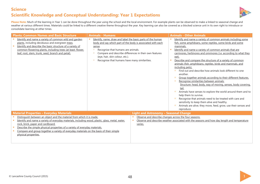# **Science Scientific Knowledge and Conceptual Understanding: Year 1 Expectations**



Please Note: Much of the learning in Year 1 can be done throughout the year using the school and the local environment. For example plants can be observed to make a linked to seasonal change and weather at various different times. Materials could be linked to a different creative theme throughout the year. Key learning can also be covered as a blocked science unit in its own right to introduce or consolidate learning at other times.

| <b>Plants: Common Names and Basic Structure</b>                                                                                                                                                                                                                                                                                                                                                                  | <b>Animals - Humans</b>                                                                                                                                                                                                                                                                                                            |                                              | <b>Animals - Other Animals</b>                                                                                                                                                                                                                                                                                                                                                                                                                                                                                                                                                                                                                                                                                                                                                                                                                                                                                                                                                   |
|------------------------------------------------------------------------------------------------------------------------------------------------------------------------------------------------------------------------------------------------------------------------------------------------------------------------------------------------------------------------------------------------------------------|------------------------------------------------------------------------------------------------------------------------------------------------------------------------------------------------------------------------------------------------------------------------------------------------------------------------------------|----------------------------------------------|----------------------------------------------------------------------------------------------------------------------------------------------------------------------------------------------------------------------------------------------------------------------------------------------------------------------------------------------------------------------------------------------------------------------------------------------------------------------------------------------------------------------------------------------------------------------------------------------------------------------------------------------------------------------------------------------------------------------------------------------------------------------------------------------------------------------------------------------------------------------------------------------------------------------------------------------------------------------------------|
| Identify and name a variety of common wild and garden<br>plants, including deciduous and evergreen trees.<br>Identify and describe the basic structure of a variety of<br>common flowering plants, including trees (at least: flower,<br>leaf, root, stem, trunk, seed, branch and petal).                                                                                                                       | Identify, name, draw and label the basic parts of the human<br>body and say which part of the body is associated with each<br>sense.<br>Recognise that humans are animals.<br>$\Box$<br>Compare and describe differences in their own features<br>(eye, hair, skin colour, etc.).<br>Recognise that humans have many similarities. |                                              | Identify and name a variety of common animals including some<br>fish, some amphibians, some reptiles, some birds and some<br>mammals.<br>Identify and name a variety of common animals that are<br>carnivores, herbivores and omnivores (i.e. according to what they<br>eat).<br>Describe and compare the structure of a variety of common<br>animals (fish, amphibians, reptiles, birds and mammals, and<br>including pets).<br>Find out and describe how animals look different to one<br>another.<br>Group together animals according to their different features.<br>Recognise similarities between animals:<br>Structure: head, body, way of moving, senses, body covering,<br>tail.<br>Animals have senses to explore the world around them and to<br>o<br>help them to survive.<br>Recognise that animals need to be treated with care and<br>sensitivity to keep them alive and healthy.<br>Animals are alive; they move, feed, grow, use their senses and<br>reproduce. |
| <b>Material Properties - Everyday Materials</b>                                                                                                                                                                                                                                                                                                                                                                  |                                                                                                                                                                                                                                                                                                                                    | <b>Light and Astronomy - Seasonal Change</b> |                                                                                                                                                                                                                                                                                                                                                                                                                                                                                                                                                                                                                                                                                                                                                                                                                                                                                                                                                                                  |
| Distinguish between an object and the material from which it is made.<br>Identify and name a variety of everyday materials, including wood, plastic, glass, metal, water,<br>rock, brick, paper and cardboard.<br>Describe the simple physical properties of a variety of everyday materials.<br>Compare and group together a variety of everyday materials on the basis of their simple<br>physical properties. |                                                                                                                                                                                                                                                                                                                                    | х<br>varies.                                 | Observe and describe changes across the four seasons.<br>Observe and describe weather associated with the seasons and how day length and temperature                                                                                                                                                                                                                                                                                                                                                                                                                                                                                                                                                                                                                                                                                                                                                                                                                             |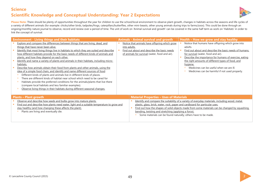#### **Science Scientific Knowledge and Conceptual Understanding: Year 2 Expectations**



Please Note: There should be plenty of opportunities throughout the year for children to use the school/local environment to observe plant growth, changes in habitats across the seasons and life cycles of a variety of different animals (for example: chicks/other birds, tadpoles/frogs, caterpillars/butterflies, other mini-beasts, other young animals during trips to farms/zoos). This could be done through an ongoing/monthly nature journal to observe, record and review over a period of time. The unit of work on 'Animal survival and growth' can be covered in the same half term as work on 'Habitats' in order to link the concept of survival.

|                                                                                                                                                                                                                                                                     | <b>Environment - Living things and their habitats</b>                                                                                                                                                                                                                                                                                                                                                                                                                                                                                                                                                                                                                                                                                                                                                                                                                                                                                                                                                               |                                                                                                                                                                                                        | <b>Animals - Animal survival and growth</b>                                                                                                                    |                                                                                                                                                                                                   | Health - How we grow and stay healthy                                                                                                                                                                                                                                                                                                                                                  |
|---------------------------------------------------------------------------------------------------------------------------------------------------------------------------------------------------------------------------------------------------------------------|---------------------------------------------------------------------------------------------------------------------------------------------------------------------------------------------------------------------------------------------------------------------------------------------------------------------------------------------------------------------------------------------------------------------------------------------------------------------------------------------------------------------------------------------------------------------------------------------------------------------------------------------------------------------------------------------------------------------------------------------------------------------------------------------------------------------------------------------------------------------------------------------------------------------------------------------------------------------------------------------------------------------|--------------------------------------------------------------------------------------------------------------------------------------------------------------------------------------------------------|----------------------------------------------------------------------------------------------------------------------------------------------------------------|---------------------------------------------------------------------------------------------------------------------------------------------------------------------------------------------------|----------------------------------------------------------------------------------------------------------------------------------------------------------------------------------------------------------------------------------------------------------------------------------------------------------------------------------------------------------------------------------------|
|                                                                                                                                                                                                                                                                     | Explore and compare the differences between things that are living, dead, and<br>things that have never been alive.<br>Identify that most living things live in habitats to which they are suited and describe<br>how different habitats provide for the basic needs of different kinds of animals and<br>plants, and how they depend on each other.<br>Identify and name a variety of plants and animals in their habitats, including micro-<br>habitats.<br>Describe how animals obtain their food from plants and other animals, using the<br>idea of a simple food chain, and identify and name different sources of food.<br>Different kinds of plants and animals live in different kinds of places.<br>There are different kinds of habitat near school which need to be cared for<br>Habitats provide the preferred conditions for the animals/plants that live there<br>(compare local habitats and less familiar examples).<br>Observe living things in their habitats during different seasonal changes. |                                                                                                                                                                                                        | Notice that animals have offspring which grow<br>into adults.<br>Find out about and describe the basic needs<br>of animals for survival (water, food and air). | ×                                                                                                                                                                                                 | Notice that humans have offspring which grow into<br>adults.<br>Find out about and describe the basic needs of humans,<br>for survival (water, food and air).<br>Describe the importance for humans of exercise, eating<br>the right amounts of different types of food, and<br>hygiene.<br>Medicines can be useful when we are ill.<br>Medicines can be harmful if not used properly. |
|                                                                                                                                                                                                                                                                     | <b>Plants - Plant growth</b>                                                                                                                                                                                                                                                                                                                                                                                                                                                                                                                                                                                                                                                                                                                                                                                                                                                                                                                                                                                        |                                                                                                                                                                                                        | <b>Material Properties - Uses of Materials</b>                                                                                                                 |                                                                                                                                                                                                   |                                                                                                                                                                                                                                                                                                                                                                                        |
| Observe and describe how seeds and bulbs grow into mature plants.<br>Find out and describe how plants need water, light and a suitable temperature to grow and<br>stay healthy (and how changing these affects the plant).<br>Plants are living and eventually die. |                                                                                                                                                                                                                                                                                                                                                                                                                                                                                                                                                                                                                                                                                                                                                                                                                                                                                                                                                                                                                     | plastic, glass, brick, water, rock, paper and cardboard for particular uses.<br>bending, twisting and stretching (applying a force).<br>Some materials can be found naturally; others have to be made. |                                                                                                                                                                | Identify and compare the suitability of a variety of everyday materials, including wood, metal,<br>Find out how the shapes of solid objects made from some materials can be changed by squashing, |                                                                                                                                                                                                                                                                                                                                                                                        |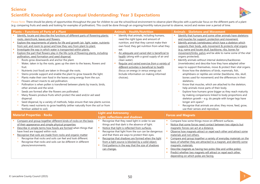# **Science Scientific Knowledge and Conceptual Understanding: Year 3 Expectations**



Please Note: There should be plenty of opportunities throughout the year for children to use the school/local environment to observe plant lifecycles with a particular focus on the different parts of a plant (e.g. comparing fruits and seeds and looking for examples of pollination). This could be done through an ongoing/monthly nature journal to observe, record and review over a period of time.

| <b>Plants - Functions of Parts of a Plant</b>                                                                                                                                                                                                                                                                                                                                                                                                                                                                                                                                                                                                                                                                                                                                                                                                                                                                                                                                                                                                                                                                                                                                                                                                                                                                                                                                                                                      | <b>Animals - Health/Nutrition</b>                                                                                                                                                                                                                                                                                                                                                                                                                                                                                | <b>Animals - Skeletons and Movement</b>                                                                                                                                                                                                                                                                                                                                                                                                                                                                                                                                                                                                                                                                                                                                                                                                                                                                                                                                                                                                                                                                                                                                                 |
|------------------------------------------------------------------------------------------------------------------------------------------------------------------------------------------------------------------------------------------------------------------------------------------------------------------------------------------------------------------------------------------------------------------------------------------------------------------------------------------------------------------------------------------------------------------------------------------------------------------------------------------------------------------------------------------------------------------------------------------------------------------------------------------------------------------------------------------------------------------------------------------------------------------------------------------------------------------------------------------------------------------------------------------------------------------------------------------------------------------------------------------------------------------------------------------------------------------------------------------------------------------------------------------------------------------------------------------------------------------------------------------------------------------------------------|------------------------------------------------------------------------------------------------------------------------------------------------------------------------------------------------------------------------------------------------------------------------------------------------------------------------------------------------------------------------------------------------------------------------------------------------------------------------------------------------------------------|-----------------------------------------------------------------------------------------------------------------------------------------------------------------------------------------------------------------------------------------------------------------------------------------------------------------------------------------------------------------------------------------------------------------------------------------------------------------------------------------------------------------------------------------------------------------------------------------------------------------------------------------------------------------------------------------------------------------------------------------------------------------------------------------------------------------------------------------------------------------------------------------------------------------------------------------------------------------------------------------------------------------------------------------------------------------------------------------------------------------------------------------------------------------------------------------|
| Identify, locate and describe the functions of different parts of flowering plants:<br>roots, stem/trunk, leaves and flowers.<br>Explore the requirements of plants for life and growth (air, light, water, nutrients<br>from soil, and room to grow) and how they vary from plant to plant.<br>Investigate the way in which water is transported within plants.<br>Explore the part that flowers play in the life cycle of flowering plants, including<br>pollination, seed formation and seed dispersal.<br>Roots grow downwards and anchor the plant.<br>Water, taken in by the roots, goes up the stem to the leaves, flowers and<br>o<br>fruit.<br>Nutrients (not food) are taken in through the roots.<br>$\Box$<br>Stems provide support and enable the plant to grow towards the light.<br>o<br>Plants make their own food in the leaves using energy from the sun.<br>$\Box$<br>Flowers attract insects to aid pollination.<br>$\Box$<br>Pollination is when pollen is transferred between plants by insects, birds,<br>$\Box$<br>other animals and the wind.<br>Seeds are formed after the flowers are pollinated.<br>Many flowers produce fruits which protect the seed and/or aid seed<br>dispersal.<br>Seed dispersal, by a variety of methods, helps ensure that new plants survive.<br>o<br>Plants need nutrients to grow healthily (either naturally from the soil or from<br>$\Box$<br>fertiliser added to soil). | Identify that animals, including humans,<br>a.<br>need the right types and amount of<br>nutrition, and that they cannot make their<br>own food; they get nutrition from what they<br>eat.<br>An adequate and varied diet is beneficial to<br>٠<br>health (along with a good supply of air and<br>clean water).<br>Regular and varied exercise from a variety of<br>different activities is beneficial to health<br>(focus on energy in versus energy out.<br>Include information on making informed<br>choices). | Identify that humans and some other animals have skeletons<br>and muscles for support, protection and movement.<br>Identify animals (vertebrates) which have a skeleton which<br>supports their body, aids movement & protects vital organs<br>(e.g. name and locate skull, backbone, ribs, bones for<br>movement/limbs, pelvis and be able to name some of the vital<br>organs protected).<br>Identify animals without internal skeletons/backbones<br>(invertebrates) and describe how they have adapted other<br>ways to support themselves, move & protect their vital organs.<br>Know how the skeletons of birds, mammals, fish,<br>amphibians or reptiles are similar (backbone, ribs, skull,<br>bones used for movement) and the differences in their<br>skeletons.<br>Know that muscles, which are attached to the skeleton,<br>$\Box$<br>help animals move parts of their body.<br>Explore how humans grow bigger as they reach maturity<br>by making comparisons linked to body proportions and<br>skeleton growth - e.g. do people with longer legs have<br>longer arm spans?<br>Recognise that animals are alive; they move, feed, grow,<br>use their senses and reproduce. |
| <b>Material Properties - Rocks</b>                                                                                                                                                                                                                                                                                                                                                                                                                                                                                                                                                                                                                                                                                                                                                                                                                                                                                                                                                                                                                                                                                                                                                                                                                                                                                                                                                                                                 | <b>Light and Astronomy -</b><br><b>Light, reflections and shadows</b>                                                                                                                                                                                                                                                                                                                                                                                                                                            | <b>Forces and Magnets</b>                                                                                                                                                                                                                                                                                                                                                                                                                                                                                                                                                                                                                                                                                                                                                                                                                                                                                                                                                                                                                                                                                                                                                               |
| Compare and group together different kinds of rocks on the basis<br>of their appearance and simple physical properties.<br>Describe in simple terms how fossils are formed when things that<br>have lived are trapped within rock.<br>Recognise that soils are made from rocks and organic matter<br>Recognise that rocks and soils can feel and look different.<br>$\Box$<br>Recognise that rocks and soils can be different in different<br>o<br>places/environments.                                                                                                                                                                                                                                                                                                                                                                                                                                                                                                                                                                                                                                                                                                                                                                                                                                                                                                                                                            | Recognise that they need light in order to see<br>things and that dark is the absence of light.<br>Notice that light is reflected from surfaces.<br>Recognise that light from the sun can be dangerous<br>and that there are ways to protect their eyes.<br>Recognise that shadows are formed when the light<br>from a light source is blocked by a solid object.<br>Find patterns in the way that the size of shadows<br>can change.                                                                            | Compare how some things move on different surfaces.<br>п<br>Notice that some forces need contact between two objects but<br>$\blacksquare$<br>magnetic forces can act at a distance.<br>Observe how magnets attract or repel each other and attract some<br>materials and not others.<br>Compare and group together a variety of everyday materials on the<br>$\mathcal{L}_{\mathcal{A}}$<br>basis of whether they are attracted to a magnet, and identify some<br>magnetic materials.<br>Describe magnets as having two poles (like and unlike poles).<br>$\mathcal{L}_{\mathcal{A}}$<br>Predict whether two magnets will attract or repel each other,<br>$\mathbf{u}$<br>depending on which poles are facing.                                                                                                                                                                                                                                                                                                                                                                                                                                                                         |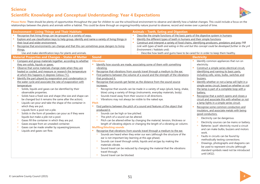## **Science Scientific Knowledge and Conceptual Understanding: Year 4 Expectations**



Please Note: There should be plenty of opportunities throughout the year for children to use the school/local environment to observe and identify how a habitat changes. This could include a focus on the relationships between the plants and animals within a habitat. This could be done through an ongoing/monthly nature journal to observe, record and review over a period of time.

| <b>Environment - Living Things and Their Habitats</b>                                                                                                                                                                                                                                                                                                                                                                                                                                                                                                                                                                                                                                                                                                                                                                                                                                                                                                                                                                                               |                                                                                                                                                                                                                                                                                                                                                    | <b>Animals - Teeth, Eating and Digestion</b>                                                                                                                                                                                                                                                                                                                                                                                                                                                                                                                                                                                                                                                                                                                                                                                                                                                                                                                                                                                                                                  |                                                                                                                                                                                                                                                                                                                                                                                                                                                                                                                                                                                                                                                                                                                                                                                                                                                                                                                                                                                   |  |  |  |
|-----------------------------------------------------------------------------------------------------------------------------------------------------------------------------------------------------------------------------------------------------------------------------------------------------------------------------------------------------------------------------------------------------------------------------------------------------------------------------------------------------------------------------------------------------------------------------------------------------------------------------------------------------------------------------------------------------------------------------------------------------------------------------------------------------------------------------------------------------------------------------------------------------------------------------------------------------------------------------------------------------------------------------------------------------|----------------------------------------------------------------------------------------------------------------------------------------------------------------------------------------------------------------------------------------------------------------------------------------------------------------------------------------------------|-------------------------------------------------------------------------------------------------------------------------------------------------------------------------------------------------------------------------------------------------------------------------------------------------------------------------------------------------------------------------------------------------------------------------------------------------------------------------------------------------------------------------------------------------------------------------------------------------------------------------------------------------------------------------------------------------------------------------------------------------------------------------------------------------------------------------------------------------------------------------------------------------------------------------------------------------------------------------------------------------------------------------------------------------------------------------------|-----------------------------------------------------------------------------------------------------------------------------------------------------------------------------------------------------------------------------------------------------------------------------------------------------------------------------------------------------------------------------------------------------------------------------------------------------------------------------------------------------------------------------------------------------------------------------------------------------------------------------------------------------------------------------------------------------------------------------------------------------------------------------------------------------------------------------------------------------------------------------------------------------------------------------------------------------------------------------------|--|--|--|
| Recognise that living things can be grouped in a variety of ways.                                                                                                                                                                                                                                                                                                                                                                                                                                                                                                                                                                                                                                                                                                                                                                                                                                                                                                                                                                                   |                                                                                                                                                                                                                                                                                                                                                    | Describe the simple functions of the basic parts of the digestive system in humans.                                                                                                                                                                                                                                                                                                                                                                                                                                                                                                                                                                                                                                                                                                                                                                                                                                                                                                                                                                                           |                                                                                                                                                                                                                                                                                                                                                                                                                                                                                                                                                                                                                                                                                                                                                                                                                                                                                                                                                                                   |  |  |  |
| Explore and use classification keys to help group, identify and name a variety of living things in                                                                                                                                                                                                                                                                                                                                                                                                                                                                                                                                                                                                                                                                                                                                                                                                                                                                                                                                                  |                                                                                                                                                                                                                                                                                                                                                    | Identify the different types of teeth in humans and their simple functions.<br>л                                                                                                                                                                                                                                                                                                                                                                                                                                                                                                                                                                                                                                                                                                                                                                                                                                                                                                                                                                                              |                                                                                                                                                                                                                                                                                                                                                                                                                                                                                                                                                                                                                                                                                                                                                                                                                                                                                                                                                                                   |  |  |  |
| their local and wider environment.                                                                                                                                                                                                                                                                                                                                                                                                                                                                                                                                                                                                                                                                                                                                                                                                                                                                                                                                                                                                                  |                                                                                                                                                                                                                                                                                                                                                    |                                                                                                                                                                                                                                                                                                                                                                                                                                                                                                                                                                                                                                                                                                                                                                                                                                                                                                                                                                                                                                                                               | Construct and interpret a variety of food chains, identifying producers, predators and prey (NB                                                                                                                                                                                                                                                                                                                                                                                                                                                                                                                                                                                                                                                                                                                                                                                                                                                                                   |  |  |  |
| Recognise that environments can change and that this can sometimes pose dangers to living                                                                                                                                                                                                                                                                                                                                                                                                                                                                                                                                                                                                                                                                                                                                                                                                                                                                                                                                                           |                                                                                                                                                                                                                                                                                                                                                    |                                                                                                                                                                                                                                                                                                                                                                                                                                                                                                                                                                                                                                                                                                                                                                                                                                                                                                                                                                                                                                                                               | Link with types of teeth and eating in this unit but this concept could be developed further in the yr4                                                                                                                                                                                                                                                                                                                                                                                                                                                                                                                                                                                                                                                                                                                                                                                                                                                                           |  |  |  |
| things.                                                                                                                                                                                                                                                                                                                                                                                                                                                                                                                                                                                                                                                                                                                                                                                                                                                                                                                                                                                                                                             |                                                                                                                                                                                                                                                                                                                                                    | Environment / habitats unit).                                                                                                                                                                                                                                                                                                                                                                                                                                                                                                                                                                                                                                                                                                                                                                                                                                                                                                                                                                                                                                                 |                                                                                                                                                                                                                                                                                                                                                                                                                                                                                                                                                                                                                                                                                                                                                                                                                                                                                                                                                                                   |  |  |  |
| Use and make identification keys for plants and animals.                                                                                                                                                                                                                                                                                                                                                                                                                                                                                                                                                                                                                                                                                                                                                                                                                                                                                                                                                                                            |                                                                                                                                                                                                                                                                                                                                                    | Describe how teeth and gums have to be cared for in order to keep them healthy.                                                                                                                                                                                                                                                                                                                                                                                                                                                                                                                                                                                                                                                                                                                                                                                                                                                                                                                                                                                               |                                                                                                                                                                                                                                                                                                                                                                                                                                                                                                                                                                                                                                                                                                                                                                                                                                                                                                                                                                                   |  |  |  |
| <b>Material Properties and Changes - States of Matter</b>                                                                                                                                                                                                                                                                                                                                                                                                                                                                                                                                                                                                                                                                                                                                                                                                                                                                                                                                                                                           | <b>Sound</b>                                                                                                                                                                                                                                                                                                                                       |                                                                                                                                                                                                                                                                                                                                                                                                                                                                                                                                                                                                                                                                                                                                                                                                                                                                                                                                                                                                                                                                               | <b>Electricity</b>                                                                                                                                                                                                                                                                                                                                                                                                                                                                                                                                                                                                                                                                                                                                                                                                                                                                                                                                                                |  |  |  |
| Compare and group materials together, according to whether<br>they are solids, liquids or gases.<br>Observe that some materials change state when they are<br>×.<br>heated or cooled, and measure or research the temperature<br>at which this happens in degrees Celsius (°C).<br>Identify the part played by evaporation and condensation in<br>×.<br>the water cycle and associate the rate of evaporation with<br>temperature.<br>Solids, liquids and gases can be identified by their<br>observable properties.<br>Solids have a fixed size and shape (the size and shape can<br>be changed but it remains the same after the action).<br>Liquids can pour and take the shape of the container in<br>which they are put.<br>Liquids form a pool not a pile.<br>Solids in the form of powders can pour as if they were<br>liquids but make a pile not a pool.<br>Gases fill the container in which they are put.<br>Gases escape from an unsealed container.<br>Gases can be made smaller by squeezing/pressure.<br>Liquids and gases can flow. | <b>Vibrations</b><br>vibrating.<br>that produced it.<br>increases.<br>$\Box$<br>$\Box$<br>$\Box$<br><b>Pitch</b><br>produced it.<br>Sounds can be high or low pitched.<br>$\Box$<br>The pitch of a sound can be altered.<br>$\Box$<br>$\Box$<br><b>Muffling/blocking sounds</b><br>ear is not important key learning at this age phase).<br>$\Box$ | Identify how sounds are made, associating some of them with something<br>Recognise that vibrations from sounds travel through a medium to the ear.<br>Find patterns between the volume of a sound and the strength of the vibrations<br>Recognise that sounds get fainter as the distance from the sound source<br>Recognise that sounds can be made in a variety of ways (pluck, bang, shake,<br>blow) using a variety of things (instruments, everyday materials, body).<br>Sounds travel away from their source in all directions.<br>Vibrations may not always be visible to the naked eye.<br>Find patterns between the pitch of a sound and features of the object that<br>Pitch can be altered either by changing the material, tension, thickness or<br>length of vibrating objects or changing the length of a vibrating air column.<br>Recognise that vibrations from sounds travel through a medium to the ear.<br>Sounds are heard when they enter our ears (although the structure of the<br>Sounds can travel through solids, liquids and air/gas by making the | Identify common appliances that run on<br>electricity.<br>$\blacksquare$<br>Construct a simple series electrical circuit,<br>identifying and naming its basic parts,<br>including cells, wires, bulbs, switches and<br>buzzers.<br>$\blacksquare$<br>Identify whether or not a lamp will light in a<br>simple series circuit, based on whether or not<br>the lamp is part of a complete loop with a<br>battery.<br>Recognise that a switch opens and closes a<br>٠<br>circuit and associate this with whether or not<br>a lamp lights in a simple series circuit.<br>Recognise some common conductors and<br>$\blacksquare$<br>insulators, and associate metals with being<br>good conductors.<br>Electricity can be dangerous.<br>$\Box$<br>Electricity sources can be mains or battery.<br>Batteries 'push' electricity round a circuit<br>and can make bulbs, buzzers and motors<br>work.<br>Faults in circuits can be found by<br>$\Box$<br>methodically testing connections. |  |  |  |
|                                                                                                                                                                                                                                                                                                                                                                                                                                                                                                                                                                                                                                                                                                                                                                                                                                                                                                                                                                                                                                                     | materials vibrate.<br>$\Box$<br>travel through.<br>Sound travel can be blocked.                                                                                                                                                                                                                                                                    | Sound travel can be reduced by changing the material that the vibrations                                                                                                                                                                                                                                                                                                                                                                                                                                                                                                                                                                                                                                                                                                                                                                                                                                                                                                                                                                                                      | Drawings, photographs and diagrams can<br>be used to represent circuits (although<br>standard symbols need not be introduced<br>until UKS2).                                                                                                                                                                                                                                                                                                                                                                                                                                                                                                                                                                                                                                                                                                                                                                                                                                      |  |  |  |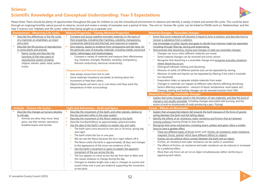#### **Science Scientific Knowledge and Conceptual Understanding: Year 5 Expectations**



Please Note: There should be plenty of opportunities throughout the year for children to use the school/local environment to observe and identify a variety of plant and animal life cycles. This could be done through an ongoing/monthly nature journal to observe, record and review a variety of examples over a period of time. The unit on 'Human life cycles' can be linked to PSHEE work on 'Relationships' and the Year 5 Science unit 'Habitats and life cycles' rather than being taught as a separate unit.

| <b>Environment - Observing Life cycles</b>                                                                                                                                                                                                                                                                                              | <b>Material Properties - Testing Material Properties</b>                                                                                                                                                                                                                                                                                                                                                                                                                                                                                                                                                                                                                                                                                                                                                                                                                                                                                                                                                                                                                                     | <b>Material Changes - Reversible changes</b>                                                                                                                                                                                                                                                                                                                                                                                                                                                                                                                                                                                                                                                                                                                                                                                                                                                                                                                                                                                                                                                                                                                                                                                                                                                                                                                                                                               |
|-----------------------------------------------------------------------------------------------------------------------------------------------------------------------------------------------------------------------------------------------------------------------------------------------------------------------------------------|----------------------------------------------------------------------------------------------------------------------------------------------------------------------------------------------------------------------------------------------------------------------------------------------------------------------------------------------------------------------------------------------------------------------------------------------------------------------------------------------------------------------------------------------------------------------------------------------------------------------------------------------------------------------------------------------------------------------------------------------------------------------------------------------------------------------------------------------------------------------------------------------------------------------------------------------------------------------------------------------------------------------------------------------------------------------------------------------|----------------------------------------------------------------------------------------------------------------------------------------------------------------------------------------------------------------------------------------------------------------------------------------------------------------------------------------------------------------------------------------------------------------------------------------------------------------------------------------------------------------------------------------------------------------------------------------------------------------------------------------------------------------------------------------------------------------------------------------------------------------------------------------------------------------------------------------------------------------------------------------------------------------------------------------------------------------------------------------------------------------------------------------------------------------------------------------------------------------------------------------------------------------------------------------------------------------------------------------------------------------------------------------------------------------------------------------------------------------------------------------------------------------------------|
| Describe the differences in the life cycles<br>of a mammal, an amphibian, an insect<br>and a bird.<br>Describe the life process of reproduction<br>in some plants and animals.<br>Name, locate and describe the<br>functions of the main parts of<br>reproductive system of plants<br>(stigma, stamen, petal, sepal, pollen,<br>ovary). | Compare and group together everyday materials on the basis of<br>their properties, including their hardness, solubility, transparency,<br>conductivity (electrical and thermal), and response to magnets.<br>Give reasons, based on evidence from comparative and fair tests, for<br>п<br>the particular uses of everyday materials, including metals, wood and<br>plastic (advantages and disadvantages).<br>Compare a variety of materials and measure their effectiveness<br>$\Box$<br>(e.g. hardness, strength, flexibility, solubility, transparency,<br>thermal conductivity, electrical conductivity).<br><b>Temperature and Thermal Insulation</b><br>Heat always moves from hot to cold.<br>Some materials (insulators) are better at slowing down the<br>$\Box$<br>movement of heat than others.<br>Objects/liquids will warm up or cool down until they reach the<br>$\Box$<br>temperature of their surroundings.                                                                                                                                                                 | Know that some materials will dissolve in liquid to form a solution, and describe how to<br>recover a substance from a solution.<br>$\blacksquare$<br>Use knowledge of solids, liquids and gases to decide how mixtures might be separated,<br>including through filtering, sieving and evaporating.<br>Demonstrate that dissolving, mixing and changes of state are reversible changes.<br>ш<br>Changes can occur when different materials are mixed.<br>$\Box$<br>Some material changes can be reversed and some cannot.<br>$\Box$<br>Recognise that dissolving is a reversible change and recognise everyday situations<br>$\Box$<br>where dissolving occurs.<br>Distinguish between melting and dissolving.<br>$\Box$<br>Mixtures of solids (of different particle size) can be separated by sieving.<br>Mixtures of solids and liquids can be separated by filtering if the solid is insoluble<br>o<br>(un-dissolved).<br>Evaporation helps us separate soluble materials from water.<br>$\Box$<br>Changes to materials can happen at different rates (factors affecting dissolving,<br>$\Box$<br>factors affecting evaporation - amount of liquid, temperature, wind speed, etc).<br>Freezing, melting and boiling changes can be reversed (revision from YR4).<br>Ω.<br><b>Material Changes - Irreversible changes</b><br>Explain that some changes result in the formation of new materials, and that this kind of |
|                                                                                                                                                                                                                                                                                                                                         |                                                                                                                                                                                                                                                                                                                                                                                                                                                                                                                                                                                                                                                                                                                                                                                                                                                                                                                                                                                                                                                                                              | change is not usually reversible, including changes associated with burning, and the<br>action of acid on bicarbonate of soda (producing a gas / fizzing).                                                                                                                                                                                                                                                                                                                                                                                                                                                                                                                                                                                                                                                                                                                                                                                                                                                                                                                                                                                                                                                                                                                                                                                                                                                                 |
| <b>Animals - Human Life Cycles</b>                                                                                                                                                                                                                                                                                                      | <b>Light and Astronomy - Earth and Space</b>                                                                                                                                                                                                                                                                                                                                                                                                                                                                                                                                                                                                                                                                                                                                                                                                                                                                                                                                                                                                                                                 | <b>Forces - Effects on Movement</b>                                                                                                                                                                                                                                                                                                                                                                                                                                                                                                                                                                                                                                                                                                                                                                                                                                                                                                                                                                                                                                                                                                                                                                                                                                                                                                                                                                                        |
| Describe the changes as humans develop<br>to old age.<br>Animals are alive; they move, feed,<br>o<br>grow, use their senses, reproduce,<br>breathe/respire and excrete.                                                                                                                                                                 | Describe the movement of the Earth, and other planets, relative to<br>the Sun and each other in the solar system.<br>п<br>Describe the movement of the Moon relative to the Earth.<br>Describe Sun/Earth/Moon as approximately spherical bodies.<br>п<br>Use the idea of the Earth's rotation to explain day and night.<br>$\blacksquare$<br>The Earth spins once around its own axis in 24 hours, giving day<br>and night.<br>The Earth orbits the Sun in one year.<br>o<br>We can see the Moon because the Sun's light reflects off it.<br>$\Box$<br>The Moon orbits the Earth in approximately 28 days and changes<br>$\Box$<br>to the appearance of the moon are evidence of this.<br>$\Box$<br>Use the Earth's movement in space to explain the apparent<br>movement of the sun across the sky.<br>The Sun appears to move across the sky from East to West and<br>$\Box$<br>this causes shadows to change during the day.<br>Changes to shadow length over a day or changes to sunrise and<br>$\Box$<br>sunset times over a year are evidence supporting the movement<br>of the Earth. | Explain that unsupported objects fall towards the Earth because of the force of gravity<br>٠<br>acting between the Earth and the falling object.<br>Identify the effects of air resistance, water resistance and friction that act between<br>ш<br>moving surfaces (causing things to slow down)<br>ш<br>Recognise that some mechanisms, including levers, pulleys and gears, allow a smaller<br>force to have a greater effect.<br>There are different types of forces (push, pull, friction, air resistance, water resistance,<br>o<br>magnetic forces, gravity) which have different effects on objects<br>Gravity can act without direct contact between the Earth and an object.<br>$\Box$<br>Friction, air resistance and water resistance can be useful or unwanted.<br>$\Box$<br>The effects of friction, air resistance and water resistance can be reduced or increased<br>o<br>for a preferred effect.<br>More than one force can act on an object simultaneously (either reinforcing or<br>$\Box$<br>opposing each other).                                                                                                                                                                                                                                                                                                                                                                                     |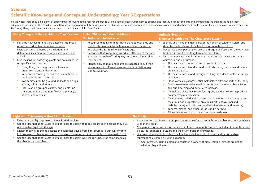# **Science Scientific Knowledge and Conceptual Understanding: Year 6 Expectations**



Please Note: There should be plenty of opportunities throughout the year for children to use the school/local environment to observe and identify a variety of plants and animals that live there focusing on their adaptations for survival. This could be done through an ongoing/monthly nature journal to observe, record and review a variety of examples over a period of time and would support their learning and wider research in the 'Living Things and Their Habitats' unit and the 'Evolution and Inheritance' unit.

|                                                                                                  | <b>Living Things and their Habitats - Classification</b>                                                                                                                                                                                                                                                                                                                                                                                                                                                                                                                                                                                                                                         | Living Things and their Habitats - |                                                                                                                                                                                                                                                                                                                                                                                                                                                              |  | <b>Animals/Health -</b>   |                                                                                                                                                                                                                                                                                                                                                                                                                                                                                                                                                                                                                                                                                                                                                                                                                                                                                                                                                                                                                                                                                                                                                                                                                                                                                       |                                                                                                   |
|--------------------------------------------------------------------------------------------------|--------------------------------------------------------------------------------------------------------------------------------------------------------------------------------------------------------------------------------------------------------------------------------------------------------------------------------------------------------------------------------------------------------------------------------------------------------------------------------------------------------------------------------------------------------------------------------------------------------------------------------------------------------------------------------------------------|------------------------------------|--------------------------------------------------------------------------------------------------------------------------------------------------------------------------------------------------------------------------------------------------------------------------------------------------------------------------------------------------------------------------------------------------------------------------------------------------------------|--|---------------------------|---------------------------------------------------------------------------------------------------------------------------------------------------------------------------------------------------------------------------------------------------------------------------------------------------------------------------------------------------------------------------------------------------------------------------------------------------------------------------------------------------------------------------------------------------------------------------------------------------------------------------------------------------------------------------------------------------------------------------------------------------------------------------------------------------------------------------------------------------------------------------------------------------------------------------------------------------------------------------------------------------------------------------------------------------------------------------------------------------------------------------------------------------------------------------------------------------------------------------------------------------------------------------------------|---------------------------------------------------------------------------------------------------|
|                                                                                                  |                                                                                                                                                                                                                                                                                                                                                                                                                                                                                                                                                                                                                                                                                                  |                                    | <b>Evolution and Inheritance</b>                                                                                                                                                                                                                                                                                                                                                                                                                             |  |                           |                                                                                                                                                                                                                                                                                                                                                                                                                                                                                                                                                                                                                                                                                                                                                                                                                                                                                                                                                                                                                                                                                                                                                                                                                                                                                       | <b>Exercise, Health and The Circulatory System</b>                                                |
|                                                                                                  | Describe how living things are classified into broad<br>groups according to common observable<br>characteristics and based on similarities and<br>differences, including micro-organisms, plants and<br>animals.<br>Give reasons for classifying plants and animals based<br>on specific characteristics.<br>Living things can be grouped into micro-<br>organisms, plants and animals.<br>Vertebrates can be grouped as fish, amphibians,<br>reptiles, birds and mammals.<br>Invertebrates can be grouped as snails and slugs,<br>worms, spiders and insects.<br>Plants can be grouped as flowering plants (incl.<br>trees and grasses) and non-flowering plants (such<br>as ferns and mosses). | п.<br><b>COL</b><br><b>COL</b>     | Recognise that living things have changed over time and<br>that fossils provide information about living things that<br>inhabited the Earth millions of years ago.<br>Recognise that living things produce offspring of the same<br>kind, but normally offspring vary and are not identical to<br>their parents.<br>Identify how animals and plants are adapted to suit their<br>environment in different ways and that adaptation may<br>lead to evolution. |  | ×.                        | Identify and name the main parts of the human circulatory system, and<br>describe the functions of the heart, blood vessels and blood.<br>Recognise the impact of diet, exercise, drugs and lifestyle on the way their<br>bodies function (in the long term and short term).<br>Describe the ways in which nutrients and water are transported within<br>animals, including humans.<br>The heart is a major organ and is made of muscle.<br>$\Box$<br>The heart pumps blood around the body through vessels and this can<br>$\Box$<br>be felt as a pulse.<br>The heart pumps blood through the lungs in order to obtain a supply<br>of oxygen.<br>Blood carries oxygen/essential materials to different parts of the body.<br>During exercise muscles need more oxygen so the heart beats faster<br>and our breathing and pulse rates increase.<br>Animals are alive; they move, feed, grow, use their senses, reproduce,<br>breathe/respire and excrete.<br>An adequate, varied and balanced diet is needed to help us grow and<br>repair our bodies (proteins), provide us with energy (fats and<br>carbohydrates) and maintain good health (vitamins and minerals).<br>Tobacco, alcohol and other 'drugs' can be harmful.<br>All medicines are drugs, not all drugs are medicines. |                                                                                                   |
|                                                                                                  | <b>Light and Astronomy - How Light Travels</b>                                                                                                                                                                                                                                                                                                                                                                                                                                                                                                                                                                                                                                                   |                                    |                                                                                                                                                                                                                                                                                                                                                                                                                                                              |  | <b>Electricity</b>        |                                                                                                                                                                                                                                                                                                                                                                                                                                                                                                                                                                                                                                                                                                                                                                                                                                                                                                                                                                                                                                                                                                                                                                                                                                                                                       |                                                                                                   |
|                                                                                                  | Recognise that light appears to travel in straight lines.<br>Use the idea that light travels in straight lines to explain that objects are seen because they give                                                                                                                                                                                                                                                                                                                                                                                                                                                                                                                                |                                    |                                                                                                                                                                                                                                                                                                                                                                                                                                                              |  | used in the circuit.      |                                                                                                                                                                                                                                                                                                                                                                                                                                                                                                                                                                                                                                                                                                                                                                                                                                                                                                                                                                                                                                                                                                                                                                                                                                                                                       | Associate the brightness of a lamp or the volume of a buzzer with the number and voltage of cells |
| out or reflect light into the eye.                                                               |                                                                                                                                                                                                                                                                                                                                                                                                                                                                                                                                                                                                                                                                                                  |                                    |                                                                                                                                                                                                                                                                                                                                                                                                                                                              |  |                           | Compare and give reasons for variations in how components function, including the brightness of                                                                                                                                                                                                                                                                                                                                                                                                                                                                                                                                                                                                                                                                                                                                                                                                                                                                                                                                                                                                                                                                                                                                                                                       |                                                                                                   |
| Explain that we see things because the light that travels from light sources to our eyes or from |                                                                                                                                                                                                                                                                                                                                                                                                                                                                                                                                                                                                                                                                                                  |                                    |                                                                                                                                                                                                                                                                                                                                                                                                                                                              |  |                           | bulbs, the loudness of buzzers and the on/off position of switches.                                                                                                                                                                                                                                                                                                                                                                                                                                                                                                                                                                                                                                                                                                                                                                                                                                                                                                                                                                                                                                                                                                                                                                                                                   |                                                                                                   |
|                                                                                                  | light sources to objects and then to our eyes (and represent this in simple diagrammatic form).                                                                                                                                                                                                                                                                                                                                                                                                                                                                                                                                                                                                  |                                    |                                                                                                                                                                                                                                                                                                                                                                                                                                                              |  |                           |                                                                                                                                                                                                                                                                                                                                                                                                                                                                                                                                                                                                                                                                                                                                                                                                                                                                                                                                                                                                                                                                                                                                                                                                                                                                                       | Use recognised symbols (at least: cells, wires, switches, bulbs, buzzers and motors) when         |
|                                                                                                  | Use the idea that light travels in straight lines to explain why shadows have the same shape as                                                                                                                                                                                                                                                                                                                                                                                                                                                                                                                                                                                                  |                                    |                                                                                                                                                                                                                                                                                                                                                                                                                                                              |  |                           |                                                                                                                                                                                                                                                                                                                                                                                                                                                                                                                                                                                                                                                                                                                                                                                                                                                                                                                                                                                                                                                                                                                                                                                                                                                                                       | representing a simple circuit in a diagram.                                                       |
|                                                                                                  | the objects that cast them.                                                                                                                                                                                                                                                                                                                                                                                                                                                                                                                                                                                                                                                                      |                                    |                                                                                                                                                                                                                                                                                                                                                                                                                                                              |  | whether they will 'work'. |                                                                                                                                                                                                                                                                                                                                                                                                                                                                                                                                                                                                                                                                                                                                                                                                                                                                                                                                                                                                                                                                                                                                                                                                                                                                                       | Use/interpret circuit diagrams to construct a variety of more complex circuits predicting         |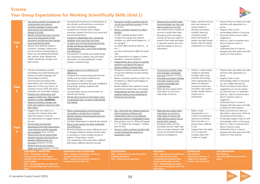## **Science Year Group Expectations for Working Scientifically Skills (Grid 1)**



KS1

| <b>Year</b><br>$6\phantom{1}$   | Use correct scientific knowledge and<br>understanding and relevant<br>scientific language to discuss their<br>observations and explorations<br>(linked to Y6 PoS).<br>Identify changes that have occurred<br>over a very long period of time<br>(evolution) and discuss how changes<br>have impacted the world.<br>Explore more abstract systems /<br>functions / changes / behaviours<br>and record their understanding of<br>these (e.g. the relationship between<br>diet, exercise, drugs, lifestyle and<br>health; evolutionary changes; how<br>light travels). | Recognise the importance of classification to<br>the scientific world and form a conclusion<br>from their sorting and classifying.<br>٠<br>Compare and contrast more complex<br>processes, systems, functions (e.g. sexual and<br>asexual reproduction).<br>Construct a classification key / branching<br>database using more than two items.<br>Compare and contrast things beyond their<br>$\mathcal{L}_{\mathcal{A}}$<br>locality and discuss advantages /<br>disadvantages, pros / cons of the similarities<br>and differences.<br>Use research* to identify and classify things.<br>Use classification systems, keys and other<br>information records [databases] to help<br>classify or identify things. | Recognise scientific questions that do<br>not yet have definitive answers (linked<br>to Y6 PoS).<br>Refine a scientific question to make it<br>testable<br>i.e. ask a testable question which<br>includes the change and measure<br>variables, e.g. what would happen to  if<br>we changed?<br>e.g. What effect would we have on  if<br>we?<br>e.g. How would exercise affect the pulse<br>rate?<br>Use observations to suggest a further<br>ж.<br>(testable or research) question.<br>Independently ask a variety of scientific<br>questions and decide the type of<br>enquiry needed to answer them. | Research how scientific ideas<br>have developed over time and<br>had an impact on our lives.<br>Use evidence from a variety of<br>sources to justify their ideas<br>Recognise which secondary<br>$\mathbf{m}$<br>sources will be most useful to<br>research their ideas and begin<br>to separate opinion from fact.<br>Interview people to find out<br>information | Make / perform and use<br>their own versions of<br>simple models to<br>describe and explain<br>scientific ideas (e.g.<br>circulatory system<br>drama, periscopes to<br>explain how light travels,<br>burglar alarm to explain<br>components in a circuit).                   | Propose their own ideas and make<br>decisions with agreement in a<br>group.<br>Support, listen to and<br><b>COL</b><br>acknowledge others in the group.<br>Check the clarity of each other's<br>suggestions.<br>Build on / add to someone else's<br>idea to improve a plan or<br>suggestion.<br>Understand that it is okay to<br>disagree with their peers and offer<br>reasons for their opinion.                                                                                 |
|---------------------------------|---------------------------------------------------------------------------------------------------------------------------------------------------------------------------------------------------------------------------------------------------------------------------------------------------------------------------------------------------------------------------------------------------------------------------------------------------------------------------------------------------------------------------------------------------------------------|----------------------------------------------------------------------------------------------------------------------------------------------------------------------------------------------------------------------------------------------------------------------------------------------------------------------------------------------------------------------------------------------------------------------------------------------------------------------------------------------------------------------------------------------------------------------------------------------------------------------------------------------------------------------------------------------------------------|--------------------------------------------------------------------------------------------------------------------------------------------------------------------------------------------------------------------------------------------------------------------------------------------------------------------------------------------------------------------------------------------------------------------------------------------------------------------------------------------------------------------------------------------------------------------------------------------------------|--------------------------------------------------------------------------------------------------------------------------------------------------------------------------------------------------------------------------------------------------------------------------------------------------------------------------------------------------------------------|------------------------------------------------------------------------------------------------------------------------------------------------------------------------------------------------------------------------------------------------------------------------------|------------------------------------------------------------------------------------------------------------------------------------------------------------------------------------------------------------------------------------------------------------------------------------------------------------------------------------------------------------------------------------------------------------------------------------------------------------------------------------|
| Year<br>5 <sub>1</sub>          | ٠.<br>Use their developing scientific<br>knowledge and understanding and<br>relevant scientific language and<br>terminology to discuss,<br>communicate and explain their<br>observations (incl. more abstract<br>ideas from Y5 PoS (e.g. friction, air<br>resistance, forces, Earth and space,<br>reversible and irreversible changes).<br>Evaluate their observations and<br>suggest a further test, offer another<br>question or make a prediction.<br>Observe (including changes over<br>time) and suggest a reason for what<br>they notice.                     | Suggest reasons for similarities and<br>differences.<br>Compare and contrast things beyond their<br>ж.<br>locality and use these similarities and<br>differences to help to classify<br>(e.g. features of animals, life cycles of different<br>living things, melting compared with<br>dissolving, etc).<br>Use secondary sources of information to<br>identify and classify.<br>Decide which sources of information (and /<br>or equipment and / or test) to help identify<br>and classify.                                                                                                                                                                                                                   | Recognise scientific questions that do<br>ж.<br>not yet have definitive answers (linked<br>to Y5 PoS).<br>Refine a scientific question so that it can<br>$\mathbf{m}_{\mathrm{c}}$<br>be tested e.g. 'What would happen to<br>if we changed?'<br>Decide whether their questions can be<br>answered by researching or by testing.<br>Independently ask their own scientific<br>questions taking some ownership for<br>finding out the answers.                                                                                                                                                          | Find out how scientific ideas<br>have changed / developed<br>over time (linked to Y5 PoS).<br>Articulate and explain findings<br>from their research using<br>scientific knowledge and<br>understanding.<br>Make decisions about which<br>information to use from a<br>wide range of sources.                                                                      | Perform / create simple<br>л.<br>models to exemplify<br>scientific ideas using<br>scientific terminology<br>where appropriate (e.g.<br>spheres to represent<br>movements of the Sun<br>and Earth, solar system<br>models, shadow clocks, a<br>simple lever or<br>mechanism). | Propose their own ideas and make<br>decisions with agreement in a<br>group.<br>Support, listen to and<br>acknowledge others in the group<br>e.g. Yes. I prefer that one too.<br>Check the clarity of each other's<br>suggestions e.g. are you saying<br>you think this one is a herbivore?<br>Build on / add to someone else's<br>idea to improve a plan or<br>suggestion.<br>Understand that it is okay to<br>disagree with their peers and offer<br>a reasons for their opinion. |
| Year<br>$\overline{\mathbf{4}}$ | Suggest their own ideas on a<br>concept and compare these with<br>what they observe / find out.<br>Use observations to suggest what to<br>do next.<br>Discuss ideas and develop<br>descriptions from their observations<br>using relevant scientific language<br>and vocabulary (from Y4 PoS).<br>Observe and record relationships<br>between structure and function or<br>between different parts of a<br>processes (linked to Y4 PoS).<br>Observe and record changes /<br>stages over time (linked to Y4 PoS).                                                    | Make a simple quide to local living things.<br>Use quides or simple keys to classify /<br>identify [animals, flowering plants and non-<br>flowering plants].<br>Use their observations to identify and classify.<br><b>B</b><br>Begin to give reasons for these similarities<br>and differences.<br>Record similarities as well as differences and /<br>or changes related to simple scientific ideas<br>or processes or more complex groups of<br>objects / living things / events<br>(e.g. evaporation and condensation, different<br>food chains, different electrical circuits).                                                                                                                           | Ask / raise their own relevant questions<br>with increasing confidence and<br>independence that can be explored,<br>observed, tested or investigated further.<br>Ask questions such as 'What will happen<br>if?" or 'What if we changed? (linked<br>with Y4 PoS).<br>Choose / select a relevant question that<br>can be answered [by research or<br>experiment / test].                                                                                                                                                                                                                                | Make decisions about which<br>information to use from a<br>wide range of sources and<br>make decisions about how to<br>present their research.<br>Recognise when and how<br>secondary sources might help<br>them to answer questions that<br>cannot be answered through<br>practical investigations.                                                               | $\mathbf{m}$<br>Make a visual<br>representation or a<br>model of something to<br>represent something<br>they have seen or a<br>process that is difficult<br>to see.<br>Suggest their own ideas<br>on a concept and<br>compare these with<br>models or images.                | Make some decisions about an<br>idea within a group (e.g. I think we<br>should find out by testing)<br>Increasingly support, listen to and<br>acknowledge others in the group.<br>Build on / add to someone else's<br>idea to improve a plan.<br>Understand that it is okay to<br>disagree with their peers and offer<br>reasons for their opinion.                                                                                                                                |
|                                 | <b>EXPLORING / OBSERVING</b><br><b>UKS2 - Developing a deeper</b><br>understanding of a wide range of<br>scientific ideas and encountering more<br>abstract ideas.<br><b>LKS2 - Developing their own ideas and</b><br>their understanding of the world around<br>them.                                                                                                                                                                                                                                                                                              | <b>GROUPING AND CLASSIFYING</b><br><b>UKS2 - Compare and contrast a variety of</b><br>examples linked to UKS2 PoS.<br>LKS2 - Compare and contrast a variety of<br>examples linked to LKS2 PoS.                                                                                                                                                                                                                                                                                                                                                                                                                                                                                                                 | <b>QUESTIONING</b><br><b>UKS2 - Asking their own questions about</b><br>scientific phenomena.<br><b>LKS2</b> - Asking relevant questions.                                                                                                                                                                                                                                                                                                                                                                                                                                                              | <b>RESEARCH</b><br><b>UKS2</b> - Summarise research from a<br>wide variety of sources and<br>recognising that scientific ideas<br>change and develop over time.<br>LKS2 - Finding things out using a<br>wide range of secondary sources of<br>information.                                                                                                         | <b>MODELLING</b><br><b>Non Statutory</b><br>Using dance, drama or a<br>visual aid to represent<br>science in the real world.                                                                                                                                                 | <b>COLLABORATING</b><br><b>Non Statutory</b><br>Interacting effectively as part of a<br>group.                                                                                                                                                                                                                                                                                                                                                                                     |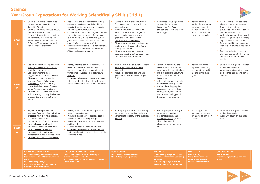### **Science Year Group Expectations for Working Scientifically Skills (Grid 1)**



|                        | <b>EXPLORING / OBSERVING</b><br>LKS2 - Developing their own ideas and<br>their understanding of the world around<br>them.                                                                                                                                                                                                                                                                                                                                                              | <b>GROUPING AND CLASSIFYING</b><br><b>LKS2</b> - Compare and contrast a variety of<br>examples linked to LKS2 PoS.<br>KS1 - Compare and contrast a variety of examples                                                                                                                                                                                                                                                                                                                                                                               | <b>QUESTIONING</b><br><b>LKS2</b> - Asking relevant questions.<br><b>KS1</b> - Asking simple questions.                                                                                                                                                                                                                                                                                                                                                                                                              | <b>RESEARCH</b><br>LKS2 - Finding things out using a<br>wide range of secondary sources of<br>information.                                                                                                                                                                                                                                                                                             | <b>MODELLING</b><br><b>Non Statutory</b><br>Using dance, drama or a<br>visual aid to represent                                                 | <b>COLLABORATING</b><br><b>Non Statutory</b><br>Interacting effectively as part of a<br>group.                                                                                                                                                                                                                                                                                                                                                                                          |
|------------------------|----------------------------------------------------------------------------------------------------------------------------------------------------------------------------------------------------------------------------------------------------------------------------------------------------------------------------------------------------------------------------------------------------------------------------------------------------------------------------------------|------------------------------------------------------------------------------------------------------------------------------------------------------------------------------------------------------------------------------------------------------------------------------------------------------------------------------------------------------------------------------------------------------------------------------------------------------------------------------------------------------------------------------------------------------|----------------------------------------------------------------------------------------------------------------------------------------------------------------------------------------------------------------------------------------------------------------------------------------------------------------------------------------------------------------------------------------------------------------------------------------------------------------------------------------------------------------------|--------------------------------------------------------------------------------------------------------------------------------------------------------------------------------------------------------------------------------------------------------------------------------------------------------------------------------------------------------------------------------------------------------|------------------------------------------------------------------------------------------------------------------------------------------------|-----------------------------------------------------------------------------------------------------------------------------------------------------------------------------------------------------------------------------------------------------------------------------------------------------------------------------------------------------------------------------------------------------------------------------------------------------------------------------------------|
| Year<br>-1             | Begin to use simple scientific<br>language (from Y1 PoS) to talk about<br>or record what they have noticed.<br>Use observations to make<br>suggestions and / or ask guestions.<br>Look / observe closely and<br>communicate changes over time.<br>Look / observe closely and<br>communicate the features or<br>properties of things in the real world.<br>Observe closely using their senses.                                                                                          | Name / identify common examples and<br>some common features.<br>With help, decide how to sort and group<br>objects, materials or living things.<br>Name basic features of objects, materials<br>and living things.<br>Say how things are similar or different.<br><b>Compare</b> and contrast simple observable<br>features / characteristics of objects, materials<br>and living things.                                                                                                                                                            | Ask simple questions about what they<br>notice about the world around them.<br>• Demonstrate curiosity by the questions<br>they ask.                                                                                                                                                                                                                                                                                                                                                                                 | Ask people questions (e.g. an<br>expert or hot-seating).<br><b>Use simple primary and</b><br>secondary sources (such as<br>objects, books and<br>photographs) to find things<br>out.                                                                                                                                                                                                                   | With help, follow<br>movements (dance /<br>drama) to act out their<br>science.                                                                 | Share ideas in a group and listen<br>to the ideas of others.<br>• Work with others on a science<br>task.                                                                                                                                                                                                                                                                                                                                                                                |
| Year<br>2 <sup>1</sup> | Use simple scientific language from<br>the Y2 PoS to talk about / record<br>what they have noticed.<br>Use observations to make<br>suggestions and / or ask guestions.<br>Observe and describe simple<br>processes / cycles / changes with<br>several steps (e.g. growth cycle,<br>simple food chain, saying how living<br>things depend on one another).<br>Observe closely and communicate<br>with increasing accuracy the features<br>or properties of things in the real<br>world. | Name / identify common examples, some<br>common features or different uses.<br>Sort and group objects, materials or living<br>things by observable and/or behavioural<br>features.<br><b>Compare</b> and contrast a variety of things<br>[objects, materials or living things] - focusing<br>on the similarities as well as the differences.                                                                                                                                                                                                         | Raise their own logical questions based<br>on or linked to things they have<br>observed.<br>With help / scaffolds, begin to ask<br>questions such as 'What will happen<br>if?''                                                                                                                                                                                                                                                                                                                                      | Talk about how useful the<br>information source was and<br>express opinion about findings.<br>Make suggestions about who<br>to ask or where to look for<br>information.<br>Ask people questions to help<br>a.<br>them answer their questions.<br>Use simple and appropriate<br>secondary sources (such as<br>books, photographs, videos<br>and other technology) to find<br>things out / find answers. | Act out something to<br>represent something<br>else about the world<br>around us (e.g a life<br>cycle).                                        | Share ideas in a group and listen<br>to the ideas of others.<br><b>Work cooperatively with others</b><br>on a science task making some<br>choices.                                                                                                                                                                                                                                                                                                                                      |
| Year<br>$\overline{3}$ | Observe and record relationships<br>between structure and function<br>(linked to Y3 PoS).<br>• Observe and record changes / stages<br>over time (linked to Y3 PoS).<br>Explore / observe things in the local<br>environment / real contexts and<br>record observations (linked to Y3<br>PoS) – see 'Communicating' section<br>also re links to vocabulary.                                                                                                                             | Decide ways and give reasons for sorting.<br>grouping, classifying, identifying things /<br>objects, living things, processes or events<br>based on specific characteristics.<br>Compare and contrast and begin to consider<br>the relationships between different things<br>(e.g. structures of plants, functions of plant<br>parts, diets, skeletons of humans and other<br>animals, changes over time, etc.).<br>Record similarities as well as differences (e.g.<br>what do all skeletons have? as well as the<br>differences between skeletons. | <b>Explore their own ideas about 'what</b><br>if?' scenarios e.g. humans did not<br>have skeletons.<br>$\mathbf{m}$<br>Ask questions such as 'What if we<br>tried? or 'What if we changed?'<br>Begin to understand that some<br>questions can be tested in the<br>classroom and some cannot.<br>• Within a group suggest questions that<br>can be explored, observed, tested or<br>investigated further.<br>Within a group suggest relevant<br>questions about what they observe and<br>about the world around them. | Find things out using a range<br>of secondary sources of<br>information (e.g. books,<br>photographs, videos and other<br>technology).                                                                                                                                                                                                                                                                  | Act out or make a<br>model of something to<br>represent something in<br>the real world using<br>appropriate scientific<br>vocabulary verbally. | Begin to make some decisions<br>about an idea within a group<br>from a list of choices<br>(e.g. let's put them all in a pile first<br>OR I think we should try).<br>• With help; support, listen to and<br>acknowledge others in the group<br>(e.g. Yes. I prefer that one too).<br>Build on / add to someone else's<br>idea. (e.g. we could use x as well as<br>у).<br>Begin to understand that it is<br>okay to disagree with their peers<br>and offer a reason for their<br>opinion. |
|                        |                                                                                                                                                                                                                                                                                                                                                                                                                                                                                        |                                                                                                                                                                                                                                                                                                                                                                                                                                                                                                                                                      |                                                                                                                                                                                                                                                                                                                                                                                                                                                                                                                      |                                                                                                                                                                                                                                                                                                                                                                                                        |                                                                                                                                                |                                                                                                                                                                                                                                                                                                                                                                                                                                                                                         |

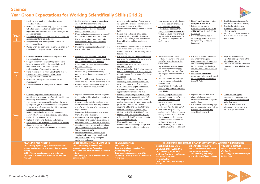#### **Science Year Group Expectations for Working Scientifically Skills (Grid 2)**



| Year<br>6              | Predict what a graph might look like before<br>collecting results.<br>Make a hypothesis where they say how one thing<br>will affect another and give a reason for their<br>suggestion with a developing understanding of the<br>scientific concept.<br>Identify variables to change, measure and keep the<br>same in order for a test to be fair.<br>Independently plan investigations and explain<br>planning decisions.<br>Decide when it is appropriate to carry out a fair test<br>investigation, comparative test or alternative.                                                                                                                                                        | Decide whether to repeat any readings<br>and justify the reason for doing so.<br>Make their own decisions about what<br>measurements to take (and begin to<br>identify the ranges used).<br>Make, and act on, suggestions to control /<br>reduce risks to themselves and others.<br>Use equipment fit for purpose to take<br>measurements which are increasingly<br>accurate and precise.<br>Decide the most appropriate equipment to<br>use to collect data.                                                                                                                                                                                                                                                                               | Articulate understanding of the concept<br>using scientific language and terminology<br>when describing abstract ideas.<br>observations and findings (linked to the Y6<br>PoS).<br>Record data and results of increasing<br>complexity using scientific diagrams and<br>labels, recognised symbols, classification<br>keys, tables, bar and line graphs, and<br>models.<br>Make decisions about how to present and<br>explain their findings through talk, in<br>written forms or in other ways (e.g. using<br>technology).                                                                    | Spot unexpected results that do<br>not fit the pattern (anomalies).<br>" Identify patterns in results<br>collected and describe them<br>using the change and measure<br>variables (causal relationships)<br>(e.g. as we increased the number<br>of batteries the brightness the<br>bulb increased.                                                                                                                                                                        | Identify evidence that refutes<br>or supports their ideas.<br>$\blacktriangleright$ Independently form a<br>conclusion which draws on the<br>evidence from the test (linked<br>to Y6 PoS).<br>▶ Use scientific language and<br>terminology (linked to Y6 PoS)<br>to explain why something<br>happened.                            | Be able to suggest reasons for<br>unexpected results (anomalies).<br>Describe how to improve<br>planning to produce more<br>reliable results.<br>$\triangleright$ Say how confident they are that<br>their results are reliable and<br>give a reason. |
|------------------------|-----------------------------------------------------------------------------------------------------------------------------------------------------------------------------------------------------------------------------------------------------------------------------------------------------------------------------------------------------------------------------------------------------------------------------------------------------------------------------------------------------------------------------------------------------------------------------------------------------------------------------------------------------------------------------------------------|---------------------------------------------------------------------------------------------------------------------------------------------------------------------------------------------------------------------------------------------------------------------------------------------------------------------------------------------------------------------------------------------------------------------------------------------------------------------------------------------------------------------------------------------------------------------------------------------------------------------------------------------------------------------------------------------------------------------------------------------|------------------------------------------------------------------------------------------------------------------------------------------------------------------------------------------------------------------------------------------------------------------------------------------------------------------------------------------------------------------------------------------------------------------------------------------------------------------------------------------------------------------------------------------------------------------------------------------------|---------------------------------------------------------------------------------------------------------------------------------------------------------------------------------------------------------------------------------------------------------------------------------------------------------------------------------------------------------------------------------------------------------------------------------------------------------------------------|-----------------------------------------------------------------------------------------------------------------------------------------------------------------------------------------------------------------------------------------------------------------------------------------------------------------------------------|-------------------------------------------------------------------------------------------------------------------------------------------------------------------------------------------------------------------------------------------------------|
| Year<br>5 <sup>7</sup> | Carry our fair tests and other investigations with<br>increasing independence.<br>Suggest more than one possible prediction and<br>begin to suggest which is the most likely. Justify<br>their reason with some knowledge and<br>understanding of the scientific concept.<br>Make decisions about which variables to change,<br>measure and keep the same (linked to the<br>appropriate units in the Y5 PoS).<br>Make most of the planning decisions for an<br>investigation.<br>Recognise when it is appropriate to carry out a fair<br>test.                                                                                                                                                | Make their own decisions about what<br>observations to make or measurements to<br>use and how long to take them for<br>(recognising the need for repeat readings<br>on some occasions).<br>Take measurements using a range of<br>scientific equipment with increasing<br>accuracy and using more complex scales /<br>units.<br>Identify possible risks to themselves and<br>others and suggest ways of reducing these.<br>Choose the most appropriate equipment<br>and make accurate measurements.                                                                                                                                                                                                                                          | Use their developing scientific knowledge<br>and understanding and relevant scientific<br>language and terminology to<br>communicate more abstract concepts<br>(linked to Y5 PoS).<br>Present and explain their findings through<br>talk, in written forms or in other ways (e.g.<br>using technology) for a range of audiences<br>/ purposes.<br>Record data and results of increasing<br>complexity using different formats e.g.<br>tables, annotated scientific diagrams,<br>classification keys, graphs and models.<br>Make decisions about the most<br>appropriate way of recording data. | Describe straightforward<br>patterns in results linking cause<br>and effect e.g. using er or the<br>word 'more'<br>(e.g. the longer, thinner shapes<br>move through the water more<br>quickly OR the larger the wings,<br>the longer it takes the spinner to<br>fall).<br>Look for / notice relationships<br>between things and begin to<br>describe these.<br>Comment on the results and<br>whether they support the initial<br>prediction.                              | Use their scientific knowledge<br>and understanding and<br>appropriate scientific language<br>and terminology (linked to Y5<br>PoS) to explain their findings<br>and data and answer their initial<br>question.<br>Draw a valid conclusion<br>(explain why it happened) based<br>on their data and observations<br>(from Y5 PoS). | $\triangleright$ Begin to recognise how<br>repeated readings improve the<br>reliability of results.<br>Compare results with others and<br>comment on how reliable they<br>are.                                                                        |
| Year<br>$\overline{4}$ | Carry out simple fair tests with increasing<br>confidence investigating the effect of something on<br>something else (linked to Y4 PoS).<br>Start to make their own decisions about the most<br>appropriate type of science enquiry they might use<br>to answer scientific questions (is a fair test the best<br>way to investigate their question?)<br>Make a <b>prediction</b> based on the knowledge<br>acquired from previous explorations / observations<br>and apply it to a new situation.<br>Explain their planning decisions and choices.<br>Make some of the planning decisions about what to<br>change and measure / observe.<br>Begin to recognise when a fair test is necessary. | Begin to identify where patterns might be<br>found and use this to begin to identify what<br>data to collect.<br>Make more of the decisions about what<br>observations to make, how long to make<br>them for and the type of equipment that<br>might be used.<br>Recognise obvious risks and how to keep<br>themselves and others safe.<br>Learn how to use new equipment, such as<br>data loggers and measure temperature in<br>degrees Celsius (°C) using a thermometer.<br>Collect data from their own observations<br>and measurements, using notes / simple<br>tables / standard units.<br>Make accurate measurements using<br>standard units [and more complex units<br>and parts of units] using a range of<br>equipment and scales. | Record findings using relevant scientific<br>language and vocabulary (from Y4 PoS),<br>including discussions, oral and written<br>explanations, notes, drawings (annotated),<br>pictorial representations, labelled<br>diagrams, tables and bar charts [where<br>intervals and ranges agreed through<br>discussion], displays or presentations.<br>Begin to select the most useful ways to<br>collect, record, classify and present data<br>from a range of choices.<br>Make decisions on how best to<br>communicate their findings in ways that<br>are appropriate for different audiences.   | Notice / find patterns in their<br>observations and data. (Describe<br>the effect of something on<br>something else).<br>(e.g. as I lengthen the ruler I<br>notice that the pitch gets lower).<br>■ With some independence,<br>analyse results / observations by<br>writing a sentence that matches<br>the evidence i.e. deciding the<br>important aspect of the result<br>and summarising in a<br>conclusion (e.g. metals tend to<br>be good conductors of electricity). | Begin to develop their ideas<br>about relationships and<br>interactions between things and<br>explain them.<br>Use relevant scientific language<br>and vocabulary (from Y4 PoS) to<br>begin to say / explain why<br>something happened.                                                                                           | Use results to suggest<br>improvements, new questions<br>and / or predictions for setting<br>up further tests.<br>Compare their results with<br>others and give reasons why<br>results might be different.                                            |
|                        | <b>PLANNING AND TESTING</b>                                                                                                                                                                                                                                                                                                                                                                                                                                                                                                                                                                                                                                                                   | <b>USING EQUIPMENT AND MEASURES</b>                                                                                                                                                                                                                                                                                                                                                                                                                                                                                                                                                                                                                                                                                                         | <b>COMMUNICATING</b>                                                                                                                                                                                                                                                                                                                                                                                                                                                                                                                                                                           |                                                                                                                                                                                                                                                                                                                                                                                                                                                                           | <b>CONSIDERING THE RESULTS OF AN INVESTIGATION / WRITING A CONCLUSION</b>                                                                                                                                                                                                                                                         |                                                                                                                                                                                                                                                       |
|                        | <b>UKS2 - Using different types of scientific enquiry</b><br>making decisions about and explaining choices for<br>testing.<br><b>LKS2 - Making decisions about and setting up</b><br>simple practical enquiries, comparative tests and<br>fair test.                                                                                                                                                                                                                                                                                                                                                                                                                                          | <b>UKS2</b> - Increasing complexity and<br>increasing accuracy and precision<br>Make their own decisions about the data to<br>collect.<br><b>LKS2</b> - Making accurate measurements and<br>gathering data.                                                                                                                                                                                                                                                                                                                                                                                                                                                                                                                                 | UKS2 / LKS2 / KS1<br>Reporting findings, recording data,<br>presenting findings.<br>Read, spell and pronounce scientific<br>vocabulary correctly linked to the relevant<br>year group.                                                                                                                                                                                                                                                                                                                                                                                                         | <b>DESCRIBING RESULTS /</b><br><b>LOOKING FOR PATTERNS</b><br><b>UKS2 - Looking for patterns</b><br>analysing functions, relationships<br>and interactions more<br>systematically.<br><b>LKS2 - Describing their findings/</b><br>results.                                                                                                                                                                                                                                | <b>EXPLAINING RESULTS</b><br><b>UKS2 - Draw conclusions based</b><br>on / supported by evidence.<br><b>LKS2 - Reporting on findings</b><br>saying why something happened.                                                                                                                                                         | <b>TRUSTING RESULTS</b><br><b>UKS2 - Comment on how reliable</b><br>the data is.<br><b>LKS2</b> - Suggest improvements for<br>further tests.                                                                                                          |

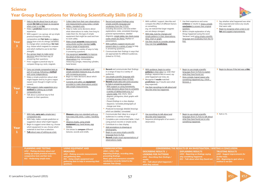#### **Science Year Group Expectations for Working Scientifically Skills (Grid 2)**



| Year<br>3              | Help to decide about how to set up a<br>simple fair test and begin to recognise<br>when a test is not fair.<br>Make a <b>prediction</b> based on everyday<br>experience.<br>With support / as a group, set up simple<br>practical enquiries including<br>comparative and fair tests e.g. make a<br>choice from a list of a things (variables)<br>to change when conducting a fair test.<br>(e.g. choose which magnets to compare<br>and which method to use to test their<br>strength).<br>As a group, begin to make some<br>decisions about the best way of<br>answering their questions.<br>Find / suggest a practical way to<br>compare things e.g. rocks, magnets. | Collect data from their own observations<br>and measurements using notes / simple<br>tables / standard units.<br>Help to make some decisions about<br>what observations to make, how long to<br>make them for, the type of simple<br>equipment that might be used and how<br>to work safely.<br>Make simple accurate measurements<br>using whole number standard units.<br>using a range of equipment.<br>Gather data in a variety of ways to help<br>in answering questions.<br>Use equipment <b>accurately</b> to improve<br>the detail of their measurements /<br>observations (e.g. microscopes,<br>measuring syringes, measuring cylinders,<br>hand lenses). | Record and present findings using<br>simple scientific language and<br>vocabulary from the Y3 PoS,<br>including discussions, oral and written<br>explanations, notes, annotated drawings,<br>pictorial representations, labelled<br>diagrams, simple tables, bar charts (using<br>scales chosen for them), displays or<br>presentations.<br>With scaffold / support record, and<br>present data in a variety of ways to help<br>in answering questions.<br>Communicate their findings in ways that<br>are appropriate for different audiences.<br>(linked to Y3 PoS).                                                                                                                        | " With scaffold / support, describe and<br>compare the effect of different factors<br>on something<br>(e.g. we noticed that larger magnets<br>are not always stronger).<br>With help, look for changes and<br>simple patterns in their observations,<br>data, chart or graph.<br>Use their results to consider whether<br>they met their predictions. | Use their experience and some<br>evidence or results to draw a simple<br>conclusion to answer their original<br>question.<br>Write a simple explanation of why<br>things happened (using the word<br>'because') and using simple scientific<br>language and vocabulary from the Y3<br>PoS. | Say whether what happened was what<br>they expected and notice any results<br>that seem odd.<br>Begin to recognise when a test is not<br>fair and suggest improvements. |
|------------------------|------------------------------------------------------------------------------------------------------------------------------------------------------------------------------------------------------------------------------------------------------------------------------------------------------------------------------------------------------------------------------------------------------------------------------------------------------------------------------------------------------------------------------------------------------------------------------------------------------------------------------------------------------------------------|-------------------------------------------------------------------------------------------------------------------------------------------------------------------------------------------------------------------------------------------------------------------------------------------------------------------------------------------------------------------------------------------------------------------------------------------------------------------------------------------------------------------------------------------------------------------------------------------------------------------------------------------------------------------|----------------------------------------------------------------------------------------------------------------------------------------------------------------------------------------------------------------------------------------------------------------------------------------------------------------------------------------------------------------------------------------------------------------------------------------------------------------------------------------------------------------------------------------------------------------------------------------------------------------------------------------------------------------------------------------------|-------------------------------------------------------------------------------------------------------------------------------------------------------------------------------------------------------------------------------------------------------------------------------------------------------------------------------------------------------|--------------------------------------------------------------------------------------------------------------------------------------------------------------------------------------------------------------------------------------------------------------------------------------------|-------------------------------------------------------------------------------------------------------------------------------------------------------------------------|
| Year<br>$\overline{2}$ | Carry out simple comparative tests as<br>part of a group, following a method<br>with some independence.<br>Make a simple prediction about what<br>might happen and try to give a vague<br>reason (even though it might not be<br>correct).<br>With support, make suggestions on a<br>method for setting up a simple<br>comparative test.<br>Talk about a practical way to find<br>answers to their questions.                                                                                                                                                                                                                                                          | Measure using non-standard and<br>simple standard measures (e.g. cm, time)<br>with increasing accuracy.<br>Begin to make decisions about which<br>equipment to use.<br>Correctly and safely use equipment<br>provided to make observations and/or<br>take simple measurements.                                                                                                                                                                                                                                                                                                                                                                                    | $\triangleright$ Record and communicate their findings<br>in a range of ways to a variety of<br>audiences.<br>$\triangleright$ Use simple scientific language with<br>increasing accuracy (from Y2 PoS).<br>Record simple data with some accuracy<br>to help in answering questions;<br>With support or using frameworks.<br>make decisions about how to complete<br>a variety of tables/charts (e.g. a 2<br>column table, tally charts, Venn<br>diagram, pictograms, block graphs with<br>$1:1$ scale).<br>Present findings in a class displays.<br>- Sequence / annotate photographs of<br>change over time.<br>Produced increasingly detailed drawings<br>which are labelled / annotated. | With quidance, begin to notice<br>patterns in their data e.g. order their<br>findings, sequence best to worst, say<br>what happened over time, etc.<br>Recognise if results matched<br>predictions (say if results were what<br>they expected).<br>Use their recordings to talk about and<br>describe what has happened.                              | Begin to use simple scientific<br>language (from Y2 PoS) to explain<br>what they have found out.<br>Give a simple, logical reason why<br>something happened (e.g. I think<br>because).                                                                                                     | Begin to discuss if the test was unfair.                                                                                                                                |
| Year<br>1.             | With help, carry out a simple test /<br>comparative test.<br>With help, make a simple prediction or<br>suggestion about what might happen.<br>Begin to suggest some ideas e.g. choose<br>which equipment to use, choose which<br>materials to test from a selection.<br>Talk about ways of setting up a test.                                                                                                                                                                                                                                                                                                                                                          | Measure using non-standard units e.g.<br>how many lolly sticks / cubes / handfuls,<br>etc.<br>Observe closely, using simple<br>equipment (e.g. hand lenses, egg<br>timers).<br>Use senses to compare different<br>textures, sounds and smells.                                                                                                                                                                                                                                                                                                                                                                                                                    | Communicate their ideas to a range of<br>audiences in a variety of ways.<br>Complete a pre-constructed table / chart<br>using picture records or simple words.<br>Contribute to a class display.<br>Add annotations to drawings or<br>photographs.<br>Begin to use some simple scientific<br>language from Y1 PoS.<br><b>Record</b> simple visual representations of<br>observations made.                                                                                                                                                                                                                                                                                                   | Use recordings to talk about and<br>describe what happened.<br>Sequence photographs of an event /<br>observation.                                                                                                                                                                                                                                     | Begin to use simple scientific<br>language (from Y1 PoS) to talk about<br>what they have found out or why<br>something happened.                                                                                                                                                           | $\triangleright$ N/A in Y1.                                                                                                                                             |
|                        | <b>PLANNING AND TESTING</b>                                                                                                                                                                                                                                                                                                                                                                                                                                                                                                                                                                                                                                            | <b>USING EQUIPMENT AND</b>                                                                                                                                                                                                                                                                                                                                                                                                                                                                                                                                                                                                                                        | <b>COMMUNICATING</b>                                                                                                                                                                                                                                                                                                                                                                                                                                                                                                                                                                                                                                                                         |                                                                                                                                                                                                                                                                                                                                                       | <b>CONSIDERING THE RESULTS OF AN INVESTIGATION / WRITING A CONCLUSION</b>                                                                                                                                                                                                                  |                                                                                                                                                                         |
|                        | <b>LKS2 - Making decisions about and</b>                                                                                                                                                                                                                                                                                                                                                                                                                                                                                                                                                                                                                               | <b>MEASURES</b>                                                                                                                                                                                                                                                                                                                                                                                                                                                                                                                                                                                                                                                   | <b>UKS2 / LKS2 / KS1</b>                                                                                                                                                                                                                                                                                                                                                                                                                                                                                                                                                                                                                                                                     | <b>DESCRIBING RESULTS /</b>                                                                                                                                                                                                                                                                                                                           | <b>EXPLAINING RESULTS</b>                                                                                                                                                                                                                                                                  | <b>TRUSTING RESULTS</b>                                                                                                                                                 |
|                        | setting up simple practical enquiries,<br>comparative tests and fair tests.<br><b>KS1 - Performing simple tests.</b>                                                                                                                                                                                                                                                                                                                                                                                                                                                                                                                                                   | <b>LKS2</b> - Making accurate measurements<br>and gathering data.<br><b>KS1 - Using simple equipment and</b><br>gathering data to help in answering their<br>questions.                                                                                                                                                                                                                                                                                                                                                                                                                                                                                           | Reporting findings, recording data,<br>presenting findings.<br>Read, spell and pronounce scientific<br>vocabulary correctly linked to the<br>relevant Year Group.                                                                                                                                                                                                                                                                                                                                                                                                                                                                                                                            | <b>LOOKING FOR PATTERNS</b><br>LKS2 - Describing their findings /<br>results.<br>KS1 - Talk about what happened /<br>what they noticed.                                                                                                                                                                                                               | <b>LKS2</b> - Reporting on findings saying<br>why something happened.<br>KS1 - Talk about what they found out.                                                                                                                                                                             | <b>LKS2</b> - Suggest improvements for<br>further tests.<br>KS1 - Beginning to spot when a<br>method is not fair.                                                       |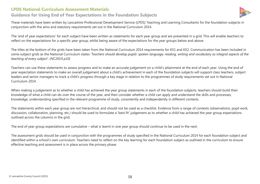#### **LPDS National Curriculum Assessment Materials**

#### **Guidance for Using End of Year Expectations in the Foundation Subjects**

These materials have been written by Lancashire Professional Development Service (LPDS) Teaching and Learning Consultants for the foundation subjects in conjunction with the aims and statutory requirements set out in the National Curriculum 2014.

The 'end of year expectations' for each subject have been written as statements for each year group and are presented in a grid. This will enable teachers to reflect on the expectations for a specific year group, whilst being aware of the expectations for the year groups below and above.

The titles at the bottom of the grids have been taken from the National Curriculum 2014 requirements for KS1 and KS2. Communication has been included in some subject grids as the National Curriculum states '*Teachers should develop pupils' spoken language, reading, writing and vocabulary as integral aspects of the teaching of every subject'. (NC2014 p10)* 

Teachers can use these statements to assess progress and to make an accurate judgement on a child's attainment at the end of each year. Using the end of year expectation statements to make an overall judgement about a child's achievement in each of the foundation subjects will support class teachers, subject leaders and senior managers to track a child's progress through a key stage in relation to the programmes of study requirements set out in National Curriculum 2014.

When making a judgement as to whether a child has achieved the year group statements in each of the foundation subjects, teachers should build their knowledge of what a child can do over the course of the year, and then consider whether a child can apply and understand the skills and processes, knowledge, understanding specified in the relevant programme of study, consistently and independently in different contexts.

The statements within each year group are not hierarchical, and should not be used as a checklist. Evidence from a range of contexts (observations, pupil work, discussion, collaboration, planning, etc.) should be used to formulate a 'best fit' judgement as to whether a child has achieved the year group expectations outlined across the columns in the grid.

The end of year group expectations are cumulative – what is learnt in one year group should continue to be used in the next.

The assessment grids should be used in conjunction with the programmes of study specified in the National Curriculum 2014 for each foundation subject and identified within a school's own curriculum. Teachers need to reflect on the key learning for each foundation subject as outlined in the curriculum to ensure effective teaching and assessment is in place across the primary phase.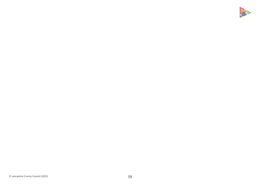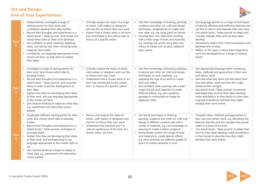#### **Art and Design End of Year Expectations**



| Year<br>6 <sup>1</sup> | Independently investigate a range of<br>starting points for their work, and<br>confidently develop their ideas further.<br>Record their thoughts and experiences in a<br>sketch book / 'ideas journal', and review and<br>revisit these ideas as their work develops.<br>Are confident to work creatively, adapting<br>ideas, and taking risks when choosing tools,<br>materials and media.<br>Confidently use language appropriate to the<br>chosen art form, to help them to explain<br>their ideas. | Critically analyse the styles of a range<br>of artists, craft makers or designers<br>and use this to inform their own work.<br>Explain how a chosen artist or art form<br>has contributed to the culture and /or<br>history of a specific nation. | ▶ Use their knowledge of drawing, painting,<br>sculpture and other art, craft and design<br>techniques, imaginatively to create their<br>own style, e.g. use spray paint on canvas.<br>Develop their own style when working<br>Þ.<br>with a wide range of tools and materials,<br>e.g. working into prints using their own<br>choice of media such as pens, ballpoint<br>pens, paints.                                  | Use language specific to a range of techniques<br>to identify effective and ineffective features and<br>use this to inform and evaluate their own work.<br>▶ Use sketch book / 'ideas journal' to adapt and<br>critically evaluate their work as their ideas<br>develop.<br>Annotations reflect their critical evaluations and<br>development of ideas.<br>$\blacktriangleright$ Reflect on the ways in which their imaginative<br>work has developed from a range of starting<br>points. |
|------------------------|--------------------------------------------------------------------------------------------------------------------------------------------------------------------------------------------------------------------------------------------------------------------------------------------------------------------------------------------------------------------------------------------------------------------------------------------------------------------------------------------------------|---------------------------------------------------------------------------------------------------------------------------------------------------------------------------------------------------------------------------------------------------|-------------------------------------------------------------------------------------------------------------------------------------------------------------------------------------------------------------------------------------------------------------------------------------------------------------------------------------------------------------------------------------------------------------------------|-------------------------------------------------------------------------------------------------------------------------------------------------------------------------------------------------------------------------------------------------------------------------------------------------------------------------------------------------------------------------------------------------------------------------------------------------------------------------------------------|
| Year<br>5 <sub>5</sub> | Investigate a range of starting points for<br>their work, and choose which idea to<br>develop further.<br>Record their thoughts and experiences in a<br>sketch book / 'ideas journal', and annotate<br>these in order to aid the development of<br>their ideas.<br>Explain how they are developing their ideas<br>as they work, and use language appropriate<br>to the chosen art form.<br>Use creative thinking to adapt an initial idea,<br>e.g. experiment with alternative colour<br>palette.      | Critically analyse the styles of artists,<br>craft makers or designers and use this<br>to inform their own work.<br>Understand how a chosen artist or art<br>form has contributed to the culture<br>and / or history of a specific nation.        | Use their knowledge of drawing, painting,<br>Þ.<br>sculpture and other art, craft and design<br>techniques to work creatively e.g.<br>adapting the style of an artist to create<br>their own effect.<br>$\triangleright$ Are confident when working with a wide<br>range of tools and materials to create<br>different effects, e.g. use a graphics<br>package to manipulate an image by<br>applying a filter.          | Use appropriate language when comparing<br>ideas, methods and approaches in their own<br>and others' work.<br>Describe what they think and feel about their<br>own and others' work and how this might<br>influence their designs.<br>▶ Use sketch book /'ideas journal' to evaluate<br>and adapt their work as their ideas develop;<br>make annotations in their books to show their<br>ongoing evaluations and how they might<br>develop their work further.                            |
| Year<br>4              | Investigate different starting points for their<br>work, and choose which idea to develop<br>further.<br>Record their thoughts and experiences in a<br>sketch book / 'ideas journal', and begin to<br>annotate these.<br>Explain how they are developing their ideas<br>as they work, and are beginning to use<br>language appropriate to the chosen style of<br>art.<br>Use creative thinking to begin to adapt an<br>initial idea, e.g. experiment with alternative<br>colour palette.               | Discuss and analyse the styles of<br>artists, craft makers or designers and<br>use this to inform their own work.<br>Understand the historical and / or<br>cultural significance of the work of a<br>chosen artist / art form.                    | $\triangleright$ Use learnt techniques in drawing,<br>painting, sculpture and other art, craft and<br>design in different contexts and with a<br>variety of materials, e.g. use knowledge of<br>weaving to create a willow sculpture.<br>Demonstrate control of a range of tools<br>Þ.<br>and materials to create desired effects,<br>e.g. when drawing use different grades of<br>pencil to create variations in tone. | Compare ideas, methods and approaches in<br>their own and others' work, e.g. talk about the<br>features they like and the changes they would<br>make to a piece of art work.<br>Use sketch book / 'ideas journal' to adapt their<br>work as their ideas develop; make annotations<br>in their books to describe how they might<br>develop their work further.                                                                                                                             |

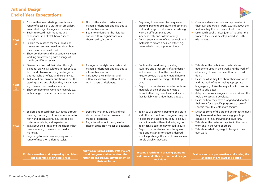# **Art and Design End of Year Expectations**



| Year<br>3              | Choose their own starting point from a<br>range of ideas e.g. a visit to an art gallery,<br>an artefact, digital images, experiences.<br>Begin to record their thoughts and<br>experiences in a sketch book / 'ideas<br>iournal'.<br>Explain the reasons for their ideas, and<br>discuss and answer questions about how<br>their ideas have developed.<br>$\triangleright$ Show confidence and independence when<br>working creatively e.g. with a range of<br>media on different scales. | Discuss the styles of artists, craft<br>makers or designers and use this to<br>inform their own work.<br>Begin to understand the historical<br>×<br>and/or cultural significance of a<br>chosen artist /art form.                        | Beginning to use learnt techniques in<br>drawing, painting, sculpture and other art,<br>craft and design in different contexts, e.g.<br>work on different scales both<br>independently and collaboratively.<br>Demonstrate control of chosen tools and<br>ь<br>materials to create a desired effect, e.g.<br>carve a design into a printing block.                                                                       | Compare ideas, methods and approaches in<br>their own and others' work, e.g. talk about the<br>features they like in a piece of art work.<br>▶ Use sketch book / 'ideas journal' to adapt their<br>work as their ideas develop, and discuss this<br>with others.                                                                                                                                                                                                                                                                                                                                                           |
|------------------------|-------------------------------------------------------------------------------------------------------------------------------------------------------------------------------------------------------------------------------------------------------------------------------------------------------------------------------------------------------------------------------------------------------------------------------------------------------------------------------------------|------------------------------------------------------------------------------------------------------------------------------------------------------------------------------------------------------------------------------------------|--------------------------------------------------------------------------------------------------------------------------------------------------------------------------------------------------------------------------------------------------------------------------------------------------------------------------------------------------------------------------------------------------------------------------|----------------------------------------------------------------------------------------------------------------------------------------------------------------------------------------------------------------------------------------------------------------------------------------------------------------------------------------------------------------------------------------------------------------------------------------------------------------------------------------------------------------------------------------------------------------------------------------------------------------------------|
| Year<br>$\overline{2}$ | Develop and record their ideas through<br>painting, drawing, sculpture in response to<br>first hand observations, e.g. real objects,<br>photographs, artefacts, and experiences.<br>$\blacktriangleright$ Talk about and answer questions about the<br>starting point, and choices they have made,<br>e.g. chosen tools, media, materials.<br>Show confidence in working creatively e.g.<br>with a range of media on different scales.                                                    | Recognise the styles of artists, craft<br>makers or designers and use this to<br>inform their own work.<br>$\blacktriangleright$ Talk about the similarities and<br>differences between different artists.<br>craft makers or designers. | Confidently use drawing, painting,<br>×<br>sculpture and other art, craft and design<br>techniques to explore the use of line,<br>texture, colour, shape to create different<br>effects, e.g. cross hatching with felt tip<br>pens.<br>Begin to demonstrate control of tools and<br>ь<br>materials of their choice to create a<br>desired effect, e.g. select, cut and shape<br>faux fur fabric for a tiger hand puppet. | $\blacktriangleright$ Talk about the techniques, materials and<br>equipment used in their work and the work of<br>others, e.g. 'I have used a cotton bud to add<br>dots'.<br>$\triangleright$ Describe what they like about their own work<br>and the work of others using appropriate<br>language e.g. 'I like the way a fine tip brush is<br>used to add detail'.<br>Adapt and make changes to their work and the<br>tools they use as it develops.<br>Describe how they have changed and adapted<br>$\blacktriangleright$ .<br>their work for a specific purpose, e.g. use of<br>specific tools to create more texture. |
| Year<br>$\mathbf{1}$   | Explore and record their own ideas through<br>painting, drawing, sculpture, in response to<br>first hand observations, e.g. real objects,<br>pictures, artefacts, and experiences.<br>Talk about their ideas and the choices they<br>have made, e.g. chosen tools, media,<br>materials.<br>Beginning to work creatively e.g. with a<br>range of media on different scales.                                                                                                                | Describe what they think and feel<br>×<br>about the work of a chosen artist, craft<br>maker or designer.<br>Begin to talk about the style of a<br>$\blacktriangleright$ .<br>chosen artist, craft maker or designer.                     | Begin to use drawing, painting, sculpture<br>and other art, craft and design techniques<br>to explore the use of line, texture, colour,<br>shape to create different effects, e.g. to<br>apply acrylic paint thickly to add texture.<br>Begin to demonstrate control of given<br>×<br>tools and materials to create a desired<br>effect, e.g. change the size of brushes in a<br>simple graphics package.                | Describe some of the art and design techniques<br>they have used in their work, e.g. painting,<br>collage, printing, drawing and sculpture.<br>$\blacktriangleright$ Talk about the features they like in their own<br>work and in the work of others.<br>$\blacktriangleright$ Talk about what they might change in their<br>own work.                                                                                                                                                                                                                                                                                    |
|                        | Produce creative work, exploring their ideas<br>and recording their experiences                                                                                                                                                                                                                                                                                                                                                                                                           | Know about great artists, craft makers<br>and designers and understand the<br>historical and cultural development of<br>their art forms                                                                                                  | Become proficient in drawing, painting,<br>sculpture and other art, craft and design<br>techniques                                                                                                                                                                                                                                                                                                                       | Evaluate and analyse creative works using the<br>language of art, craft and design                                                                                                                                                                                                                                                                                                                                                                                                                                                                                                                                         |

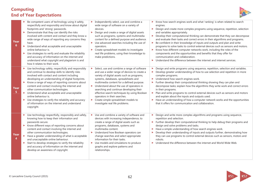# **Computing End of Year Expectations**



| Year<br>$6 \overline{6}$ | Be competent users of technology using it safely,<br>respectfully and responsibly and know about digital<br>footprints and 'strong' passwords.<br>Demonstrate that they can identify the risks<br>involved with content and contact and they know a<br>wide range of ways of reporting any concerns they<br>have.<br>Understand what acceptable and unacceptable<br>online behaviour is.<br>$\triangleright$ Use strategies to verify and evaluate the reliability<br>and accuracy of information on the internet and<br>understand what copyright and plagiarism is and<br>how it relates to their work. | Independently select, use and combine a<br>wide range of software on a variety of<br>devices.<br>▶ Design and create a range of digital assets<br>such as programs, systems and multimedia<br>content for a defined purpose and audience.<br>▶ Use advanced searches including the use of<br>operators.<br>$\blacktriangleright$ Create spreadsheet models to investigate<br>real life problems, using their knowledge to<br>make predictions.                                                           | Know how search engines work and what 'ranking' is when related to search<br>engines.<br>Design and create more complex programs using sequence, repetition, selection<br>and variables appropriately.<br>Develop their computational thinking can demonstrate that they can decompose<br>and evaluate their tasks and correct errors in their algorithms and programs.<br>Be confident in their knowledge of inputs and outputs and plan and write<br>programs to solve tasks to control external devices such as sensors and motors.<br>Know how different computer networks work, including the roles of the<br>components and the opportunities and benefits that they offer for<br>communication and collaboration.<br>• Understand the difference between the internet and internet services. |
|--------------------------|-----------------------------------------------------------------------------------------------------------------------------------------------------------------------------------------------------------------------------------------------------------------------------------------------------------------------------------------------------------------------------------------------------------------------------------------------------------------------------------------------------------------------------------------------------------------------------------------------------------|----------------------------------------------------------------------------------------------------------------------------------------------------------------------------------------------------------------------------------------------------------------------------------------------------------------------------------------------------------------------------------------------------------------------------------------------------------------------------------------------------------|-----------------------------------------------------------------------------------------------------------------------------------------------------------------------------------------------------------------------------------------------------------------------------------------------------------------------------------------------------------------------------------------------------------------------------------------------------------------------------------------------------------------------------------------------------------------------------------------------------------------------------------------------------------------------------------------------------------------------------------------------------------------------------------------------------|
| Year<br>$5\phantom{a}$   | Use technology safely, respectfully and responsibly<br>and continue to develop skills to identify risks<br>involved with contact and content including<br>developing an understanding of digital footprints.<br>Know a range of ways of reporting concerns about<br>content and contact involving the internet and<br>other communication technologies.<br>Understand what acceptable and unacceptable<br>online behaviour is.<br>• Use strategies to verify the reliability and accuracy<br>of information on the internet and understand<br>copyright.                                                  | Select, use and combine a range of software<br>and use a wider range of devices to create a<br>variety of digital assets such as programs,<br>systems, databases, spreadsheets and<br>multimedia content for a defined purpose.<br>$\blacktriangleright$ Understand about the use of operators in<br>searching and continue developing their<br>effective search techniques by using Boolean<br>operators in their searches.<br>▶ Create simple spreadsheet models to<br>investigate real life problems. | Design and write programs using sequence, repetition, selection and variables.<br>Develop greater understanding of how to use selection and repetition in more<br>complex programs.<br>$\blacktriangleright$ Understand how search engines work.<br>Further develop their computational thinking showing they can plan and<br>decompose tasks; explain how the algorithms they write work and correct errors<br>in their programs.<br>Plan and write programs to control external devices such as sensors and motors<br>and explain about the inputs and outputs used.<br>Have an understanding of how a computer network works and the opportunities<br>that it offers for communication and collaboration.                                                                                        |
| Year<br>4                | Use technology respectfully, responsibly and safely,<br>knowing how to keep their information and<br>passwords secure.<br>Know different ways of reporting concerns about<br>content and contact involving the internet and<br>other communication technologies.<br>Have a greater understanding of what is acceptable<br>and unacceptable online behaviour.<br>Start to develop strategies to verify the reliability<br>and accuracy of information on the internet and<br>develop an awareness of copyright.                                                                                            | Use and combine a variety of software and<br>Þ.<br>devices with increasing independence, to<br>create a range of digital assets such as<br>programs, databases, systems and<br>multimedia content.<br>Understand how Boolean operators can<br>$\blacktriangleright$<br>change searches and select appropriate<br>information for their tasks.<br>$\triangleright$ Use models and simulations to produce<br>graphs and explore patterns and<br>relationships.                                             | Design and write more complex algorithms and programs using sequence,<br>$\blacktriangleright$<br>repetition and selection.<br>Further develop their computational thinking to help debug their programs and<br>design and solve problems and tasks.<br>Have a simple understanding of how search engines work.<br>Develop their understanding of inputs and outputs further, demonstrating how<br>they can use programs to control external devices such as sensors, motors and<br>robots.<br>• Understand the difference between the internet and World Wide Web.                                                                                                                                                                                                                                 |

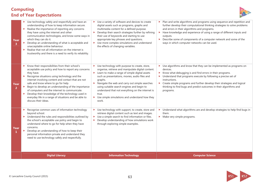# **Computing End of Year Expectations**



| Year<br>$\overline{\mathbf{3}}$ | which they can do it.<br>Develop an understanding of what is acceptable and<br>unacceptable online behaviour.<br>Realise that not all information on the internet is<br>trustworthy and there is a need to verify its reliability.<br>Know their responsibilities from their school's<br>acceptable use policy and how to report any concerns<br>they have.                                                 | appropriate key phrases and questions.<br>$\blacktriangleright$ Use more complex simulations and understand<br>the effects of changing variables.<br>Use technology with purpose to create, store,<br>organise, retrieve and manipulate digital content.<br>Learn to make a range of simple digital assets | Describe some of components of a computer network and some of the<br>×<br>ways in which computer networks can be used.<br>▶ Use algorithms and know that they can be implemented as programs on<br>devices.<br>Know what debugging is and find errors in their programs.<br>▶ |
|---------------------------------|-------------------------------------------------------------------------------------------------------------------------------------------------------------------------------------------------------------------------------------------------------------------------------------------------------------------------------------------------------------------------------------------------------------|------------------------------------------------------------------------------------------------------------------------------------------------------------------------------------------------------------------------------------------------------------------------------------------------------------|-------------------------------------------------------------------------------------------------------------------------------------------------------------------------------------------------------------------------------------------------------------------------------|
| Year<br>$\overline{2}$          | Recognise situations using technology and the<br>internet involving content and contact that are not<br>safe and know where to go for help.<br>Begin to develop an understanding of the importance<br>of computers and the internet to communicate.<br>Develop their knowledge of the technology used in<br>everyday life in a range of situations and be able to<br>discuss their ideas.                   | such as presentations, movies, audio files and<br>graphs.<br>$\blacktriangleright$ Navigate the web and carry out simple searches<br>using suitable search engines and begin to<br>understand that not everything on the internet is<br>true.<br>Use simple simulations and understand how they<br>work.   | Understand that programs execute by following a precise set of<br>instructions.<br>▶ Create simple programs and further develop their strategies and logical<br>thinking to find bugs and predict outcomes in their algorithms and<br>programs.                               |
| Year<br>1                       | Recognise common uses of information technology<br>×<br>beyond school.<br>• Understand the rules and responsibilities outlined by<br>the school's acceptable use policy and begin to<br>understand where to go for help when they have<br>concerns.<br>Develop an understanding of how to keep their<br>personal information private and understand they<br>need to use technology safely and respectfully. | Use technology with support, to create, store and<br>retrieve digital content such as text and images.<br>Use a simple search to find information or files.<br>Develop understanding of how simulations work<br>through exploring simple examples.                                                         | Understand what algorithms are and develop strategies to help find bugs in<br>them.<br>$\blacktriangleright$ Make very simple programs.                                                                                                                                       |
|                                 | <b>Digital Literacy</b>                                                                                                                                                                                                                                                                                                                                                                                     | <b>Information Technology</b>                                                                                                                                                                                                                                                                              | <b>Computer Science</b>                                                                                                                                                                                                                                                       |

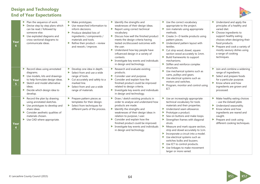# **Design and Technology End of Year Expectations**



| Year<br>6              | Plan the sequence of work.<br>▶<br>Devise step by step plans which<br>▶<br>can be read / followed by<br>someone else.<br>Use exploded diagrams and<br>▶<br>cross-sectional diagrams to<br>communicate ideas.                            | Make prototypes.<br>▶<br>Use researched information to<br>$\blacktriangleright$<br>inform decisions.<br>Produce detailed lists of<br>$\blacktriangleright$<br>ingredients / components /<br>materials and tools.<br>Refine their product - review<br>▶<br>and rework / improve. | $\blacktriangleright$ Identify the strengths and<br>weaknesses of their design ideas.<br>Report using correct technical<br>vocabulary.<br>Discuss how well the finished product<br>meets the design criteria having<br>tested on/discussed outcomes with<br>the user.<br>Inderstand how key people have<br>influenced design in a variety of<br>contexts.<br>$\blacktriangleright$ Investigate key events and individuals<br>in design and technology. | $\blacktriangleright$ Use the correct vocabulary<br>appropriate to the project.<br>Ioin materials using appropriate<br>methods.<br>$\triangleright$ Create 3=-D textile products using<br>pattern pieces.<br>Inderstand pattern layout with<br>textiles.<br>Cut strip wood, dowel, square<br>section wood accurately to 1mm.<br>Build frameworks to support<br>mechanisms.<br>$\blacktriangleright$ Stiffen and reinforce complex                                                                                                                                   | Understand and apply the<br>principles of a healthy and<br>varied diet.<br>$\blacktriangleright$ Choose ingredients to<br>support healthy eating<br>choices when designing their<br>food products.<br>$\blacktriangleright$ Prepare and cook a variety of<br>mostly savoury dishes using<br>a range of cooking<br>techniques. |
|------------------------|-----------------------------------------------------------------------------------------------------------------------------------------------------------------------------------------------------------------------------------------|---------------------------------------------------------------------------------------------------------------------------------------------------------------------------------------------------------------------------------------------------------------------------------|--------------------------------------------------------------------------------------------------------------------------------------------------------------------------------------------------------------------------------------------------------------------------------------------------------------------------------------------------------------------------------------------------------------------------------------------------------|---------------------------------------------------------------------------------------------------------------------------------------------------------------------------------------------------------------------------------------------------------------------------------------------------------------------------------------------------------------------------------------------------------------------------------------------------------------------------------------------------------------------------------------------------------------------|-------------------------------------------------------------------------------------------------------------------------------------------------------------------------------------------------------------------------------------------------------------------------------------------------------------------------------|
| Year<br>5 <sup>1</sup> | Record ideas using annotated<br>▶<br>diagrams.<br>$\blacktriangleright$ Use models, kits and drawings<br>to help formulate design ideas.<br>Sketch and model alternative<br>▶<br>ideas.<br>Decide which design idea to<br>▶<br>develop. | Develop one idea in depth.<br>▶<br>Select from and use a wide<br>$\blacktriangleright$<br>range of tools.<br>Cut accurately and safely to a<br>marked line.<br>Select from and use a wide<br>ь<br>range of materials.                                                           | Research and evaluate existing<br>products.<br>Consider user and purpose.<br>$\triangleright$ Consider and explain how the<br>finished product could be improved<br>related to design criteria.<br>$\blacktriangleright$ Investigate key events and individuals<br>in design and technology.                                                                                                                                                           | structures.<br>$\blacktriangleright$ Use mechanical systems such as<br>cams, pulleys and gears.<br>Use electrical systems such as<br>motors and switches.<br>$\blacktriangleright$ Program, monitor and control using<br>ICT.                                                                                                                                                                                                                                                                                                                                       | Join and combine a widening<br>range of ingredients.<br>Select and prepare foods<br>for a particular purpose.<br>Know where and how<br>$\blacktriangleright$<br>ingredients are grown and<br>processed.                                                                                                                       |
| Year                   | Record the plan by drawing<br>using annotated sketches.<br>Use prototypes to develop and<br>share ideas.<br>Consider aesthetic qualities of<br>▶<br>materials chosen.<br>Use CAD where appropriate.                                     | Prepare pattern pieces as<br>▶<br>templates for their design.<br>Select from techniques for<br>$\blacktriangleright$<br>different parts of the process.                                                                                                                         | > Draw / sketch existing products in<br>order to analyse and understand how<br>products are made.<br>Identify the strengths and<br>weaknesses of their design ideas in<br>relation to purpose / user.<br>Consider and explain how the<br>finished product could be improved.<br>$\blacktriangleright$ Investigate key events and individuals<br>in design and technology.                                                                              | $\blacktriangleright$ Use an increasingly appropriate<br>technical vocabulary for tools<br>materials and their properties.<br>Understand seam allowance.<br>Prototype a product.<br>Sew on buttons and make loops.<br>Strengthen frames with diagonal<br>struts.<br>$\blacktriangleright$ Measure and mark square section,<br>strip and dowel accurately to 1cm.<br>Incorporate a circuit into a model.<br>Use electrical systems such as<br>switches bulbs and buzzers.<br>Use ICT to control products.<br>Use linkages to make movement<br>larger or more varied. | Make healthy eating choices<br>- use the Eatwell plate.<br>Understand seasonality.<br>Know where and how<br>Þ.<br>ingredients are reared and<br>caught.<br>Prepare and cook using<br>$\blacktriangleright$<br>different cooking techniques.                                                                                   |

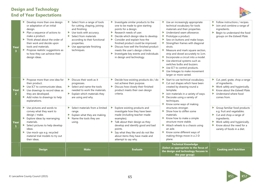# **Design and Technology End of Year Expectations**



| Year                   | Develop more than one design<br>or adaptation of an initial<br>design.<br>$\blacktriangleright$ Plan a sequence of actions to<br>make a product.<br>Think ahead about the order of<br>$\blacktriangleright$<br>their work and decide upon<br>tools and materials.<br>Propose realistic suggestions as<br>to how they can achieve their<br>design ideas. | Select from a range of tools<br>▶<br>for cutting, shaping, joining<br>and finishing.<br>Use tools with accuracy.<br>▶<br>Select from materials<br>according to their functional<br>properties.<br>Use appropriate finishing<br>techniques. | Investigate similar products to the<br>one to be made to give starting<br>points for a design.<br>Research needs of user.<br>Decide which design idea to develop.<br>$\triangleright$ Consider and explain how the<br>finished product could be improved.<br>Discuss how well the finished product<br>meets the user's design criteria.<br>$\blacktriangleright$ Investigate key events and individuals<br>in design and technology. | $\blacktriangleright$ Use an increasingly appropriate<br>technical vocabulary for tools<br>materials and their properties.<br>Understand seam allowance.<br>$\blacktriangleright$ Prototype a product.<br>Sew on buttons and make loops.<br>Strengthen frames with diagonal<br>struts.<br>Measure and mark square section,<br>strip and dowel accurately to 1cm.<br>Incorporate a circuit into a model.<br>Use electrical systems such as<br>switches bulbs and buzzers.<br>$\blacktriangleright$ Use ICT to control products.<br>Use linkages to make movement<br>larger or more varied. | Follow instructions / recipes.<br>Þ.<br>Join and combine a range of<br>▶<br>ingredients.<br>Begin to understand the food<br>groups on the Eatwell Plate.                                                                                       |
|------------------------|---------------------------------------------------------------------------------------------------------------------------------------------------------------------------------------------------------------------------------------------------------------------------------------------------------------------------------------------------------|--------------------------------------------------------------------------------------------------------------------------------------------------------------------------------------------------------------------------------------------|--------------------------------------------------------------------------------------------------------------------------------------------------------------------------------------------------------------------------------------------------------------------------------------------------------------------------------------------------------------------------------------------------------------------------------------|-------------------------------------------------------------------------------------------------------------------------------------------------------------------------------------------------------------------------------------------------------------------------------------------------------------------------------------------------------------------------------------------------------------------------------------------------------------------------------------------------------------------------------------------------------------------------------------------|------------------------------------------------------------------------------------------------------------------------------------------------------------------------------------------------------------------------------------------------|
| Year<br>$\overline{2}$ | Propose more than one idea for<br>their product.<br>Use ICT to communicate ideas.<br>▶<br>Use drawings to record ideas as<br>▶<br>they are developed.<br>Add notes to drawings to help<br>explanations.                                                                                                                                                 | Discuss their work as it<br>▶<br>progresses.<br>$\blacktriangleright$ Select and name the tools<br>needed to work the materials.<br>$\blacktriangleright$ Explain which materials they<br>are using and why.                               | Decide how existing products do / do<br>not achieve their purpose.<br>Discuss how closely their finished<br>product meets their own design<br>criteria.                                                                                                                                                                                                                                                                              | Start to use technical vocabulary.<br>Cut out shapes which have been<br>created by drawing round a<br>template.<br>I Join materials in a variety of ways.<br>$\blacktriangleright$ Decorate using a variety of<br>techniques.<br>$\blacktriangleright$ Know some ways of making                                                                                                                                                                                                                                                                                                           | Cut, peel, grate, chop a range<br>of ingredients.<br>Work safely and hygienically.<br>Know about the Eatwell Plate.<br>Understand where food<br>ь<br>comes from.                                                                               |
| Year<br>1              | Use pictures and words to<br>$\blacktriangleright$<br>convey what they want to<br>design / make.<br>Explore ideas by rearranging<br>$\blacktriangleright$<br>materials.<br>Select pictures to help develop<br>▶<br>ideas.<br>Use mock-ups e.g. recycled<br>material trial models to try out<br>their ideas.                                             | Select materials from a limited<br>range.<br>Explain what they are making.<br>Name the tools they are<br>using.                                                                                                                            | Explore existing products and<br>investigate how they have been<br>made (including teacher-made<br>examples).<br>$\blacktriangleright$ Talk about their design as they<br>develop and identify good and bad<br>points.<br>Say what they like and do not like<br>about items they have made and<br>attempt to say why.                                                                                                                | structures stronger.<br>Show how to stiffen some<br>materials.<br>$\blacktriangleright$ Know how to make a simple<br>structure more stable.<br>$\blacktriangleright$ Attach wheels to a chassis using<br>an axle.<br>Know some different ways of<br>making things move in a 2-D<br>plane.                                                                                                                                                                                                                                                                                                 | Group familiar food products<br>e.g. fruit and vegetables.<br>$\triangleright$ Cut and chop a range of<br>ingredients.<br>$\blacktriangleright$ Work safely and hygienically.<br>Know about the need for a<br>ь<br>variety of foods in a diet. |
|                        | <b>Design</b>                                                                                                                                                                                                                                                                                                                                           | <b>Make</b>                                                                                                                                                                                                                                | <b>Evaluate</b>                                                                                                                                                                                                                                                                                                                                                                                                                      | <b>Technical Knowledge</b><br>(Select as appropriate to the focus of<br>the design and technology focuses in<br>the year group)                                                                                                                                                                                                                                                                                                                                                                                                                                                           | <b>Cooking and Nutrition</b>                                                                                                                                                                                                                   |



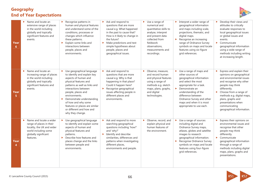# **Geography End of Year Expectations**



| Year<br>6                | Name and locate an<br>extensive range of places<br>in the world including<br>globally and topically<br>significant features and<br>events.          | Recognise patterns in<br>▶<br>human and physical features<br>and understand some of the<br>conditions, processes or<br>changes which influence<br>these patterns.<br>Explain some links and<br>ь<br>interactions between<br>people, places and<br>environments.                                                                                                          | Ask and respond to<br>Þ.<br>questions that are more<br>causal e.g. What happened<br>in the past to cause that?<br>How is it likely to change in<br>the future?<br>$\blacktriangleright$ Make predictions and test<br>simple hypotheses about<br>people, places and<br>geographical issues. | $\blacktriangleright$ Use a range of<br>numerical and<br>quantitative skills to<br>analyse, interpret<br>and present data<br>collected from<br>fieldwork<br>observations,<br>measurements and<br>recordings. | Interpret a wider range of<br>geographical information<br>and maps including scale,<br>projections, thematic, and<br>digital maps.<br>Recognise an increasing<br>×<br>range of Ordnance Survey<br>symbols on maps and locate<br>features using six-figure<br>grid references.                                         | Develop their views and<br>attitudes to critically<br>evaluate responses to<br>local geographical issues<br>or global issues and<br>events.<br>$\blacktriangleright$ Communicate<br>geographical information<br>using a wide range of<br>methods including writing<br>at increasing length.                             |
|--------------------------|-----------------------------------------------------------------------------------------------------------------------------------------------------|--------------------------------------------------------------------------------------------------------------------------------------------------------------------------------------------------------------------------------------------------------------------------------------------------------------------------------------------------------------------------|--------------------------------------------------------------------------------------------------------------------------------------------------------------------------------------------------------------------------------------------------------------------------------------------|--------------------------------------------------------------------------------------------------------------------------------------------------------------------------------------------------------------|-----------------------------------------------------------------------------------------------------------------------------------------------------------------------------------------------------------------------------------------------------------------------------------------------------------------------|-------------------------------------------------------------------------------------------------------------------------------------------------------------------------------------------------------------------------------------------------------------------------------------------------------------------------|
| Year<br>5 <sub>1</sub>   | Name and locate an<br>ы<br>increasing range of places<br>in the world including<br>globally and topically<br>significant features and<br>events.    | Use geographical language<br>$\blacktriangleright$<br>to identify and explain key<br>aspects of human and<br>physical features and<br>patterns as well as links and<br>interactions between<br>people, places and<br>environments.<br>Demonstrate understanding<br>of how and why some<br>features or places are similar<br>or different and how and<br>why they change. | $\triangleright$ Ask and respond to<br>questions that are more<br>causal e.g. Why is that<br>happening in that place?<br>Could it happen here?<br>$\blacktriangleright$ Recognise geographical<br>issues affecting people in<br>different places and<br>environments.                      | ▶ Observe, measure,<br>and record human<br>and physical features<br>using a range of<br>methods e.g. sketch<br>maps, plans, graphs,<br>and digital<br>technologies.                                          | $\triangleright$ Use a range of maps and<br>other sources of<br>geographical information<br>and select the most<br>appropriate for a task.<br>$\blacktriangleright$ Demonstrate an<br>understanding of the<br>difference between<br>Ordnance Survey and other<br>maps and when it is most<br>appropriate to use each. | $\blacktriangleright$ Express and explain their<br>opinions on geographical<br>and environmental issues<br>and recognise why other<br>people may think<br>differently.<br>Choose from a range of<br>methods e.g. digital maps,<br>plans, graphs and<br>presentations when<br>communicating<br>geographical information. |
| Year<br>$\boldsymbol{4}$ | Name and locate a wider<br>ь<br>range of places in their<br>locality, the UK and wider<br>world including some<br>globally significant<br>features. | Use geographical language<br>to identify and explain some<br>aspects of human and<br>physical features and<br>patterns.<br>Describe how features and<br>places change and the links<br>between people and<br>environments.                                                                                                                                               | Ask and respond to more<br>searching geographical<br>questions including 'how?'<br>and 'why?'<br>$\blacktriangleright$ Identify and describe<br>similarities, differences and<br>patterns when investigating<br>different places,<br>environments and people.                              | Observe, record, and<br>$\blacktriangleright$<br>explain physical and<br>human features of<br>the environment.                                                                                               | Use a range of sources<br>including digital and<br>Ordnance Survey maps,<br>atlases, globes and satellite<br>images to research<br>geographical information.<br>Recognise Ordnance Survey<br>symbols on maps and locate<br>features using four-figure<br>grid references.                                             | Express their opinions on<br>environmental issues and<br>recognise that other<br>people may think<br>differently.<br>$\blacktriangleright$ Communicate<br>geographical information<br>through a range of<br>methods including digital<br>maps, plans, graphs and<br>presentations.                                      |

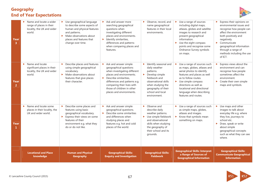# **Geography End of Year Expectations**



|                        | <b>Locational and Place</b><br>knowledge                                                    | <b>Human and Physical</b><br>Geography                                                                                                                                                     | <b>Geographical Skills:</b><br><b>Enquiry and Investigation</b>                                                                                                                                                                                                                               | <b>Geographical Skills:</b><br><b>Fieldwork</b>                                                                                                                                                                | <b>Geographical Skills: Interpret</b><br>a Range of Sources of<br><b>Geographical Information</b>                                                                                                                                                                                                       | <b>Geographical Skills:</b><br><b>Communicate Geographical</b><br><b>Information</b>                                                                                                                                                                            |
|------------------------|---------------------------------------------------------------------------------------------|--------------------------------------------------------------------------------------------------------------------------------------------------------------------------------------------|-----------------------------------------------------------------------------------------------------------------------------------------------------------------------------------------------------------------------------------------------------------------------------------------------|----------------------------------------------------------------------------------------------------------------------------------------------------------------------------------------------------------------|---------------------------------------------------------------------------------------------------------------------------------------------------------------------------------------------------------------------------------------------------------------------------------------------------------|-----------------------------------------------------------------------------------------------------------------------------------------------------------------------------------------------------------------------------------------------------------------|
| Year<br>1              | Name and locate some<br>ь<br>places in their locality, the<br>UK and wider world.           | Describe some places and<br>features using basic<br>geographical vocabulary.<br>Express their views on some<br>Þ.<br>features of their<br>environment e.g. what they<br>do or do not like. | $\triangleright$ Ask and answer simple<br>geographical questions.<br>$\blacktriangleright$ Describe some similarities<br>and differences when<br>studying places and<br>features e.g. hot and cold<br>places of the world.                                                                    | Observe and<br>describe daily<br>weather patterns.<br>Use simple fieldwork<br>and observational<br>skills when studying<br>the geography of<br>their school and its<br>grounds.                                | Use a range of sources such<br>as simple maps, globes,<br>atlases and images.<br>$\blacktriangleright$ Know that symbols mean<br>something on maps.                                                                                                                                                     | Use maps and other<br>images to talk about<br>everyday life e.g. where<br>they live, journeys to<br>school etc.<br>Draw, speak or write<br>about simple<br>geographical concepts<br>such as what they can see<br>where.                                         |
| Year<br>$\overline{2}$ | Name and locate<br>ь<br>significant places in their<br>locality, the UK and wider<br>world. | Describe places and features<br>using simple geographical<br>vocabulary.<br>Make observations about<br>features that give places<br>their character.                                       | Ask and answer simple<br>Þ.<br>geographical questions<br>when investigating different<br>places and environments.<br>Describe similarities,<br>$\blacktriangleright$<br>differences and patterns e.g.<br>comparing their lives with<br>those of children in other<br>places and environments. | Identify seasonal and<br>daily weather<br>patterns.<br>$\triangleright$ Develop simple<br>fieldwork and<br>observational skills<br>when studying the<br>geography of their<br>school and local<br>environment. | Use a range of sources such<br>Þ.<br>as maps, globes, atlases and<br>aerial photos to identify<br>features and places as well<br>as to follow routes.<br>$\triangleright$ Use simple compass<br>directions as well as<br>locational and directional<br>language when describing<br>features and routes. | Express views about the<br>environment and can<br>recognise how people<br>sometimes affect the<br>environment.<br>Create their own simple<br>Þ.<br>maps and symbols.                                                                                            |
| Year<br>$\mathbf{3}$   | Name and locate a wider<br>range of places in their<br>locality, the UK and wider<br>world. | Use geographical language<br>▶<br>to describe some aspects of<br>human and physical features<br>and patterns.<br>Make observations about<br>places and features that<br>change over time.  | Ask and answer more<br>searching geographical<br>questions when<br>investigating different<br>places and environments.<br>$\blacktriangleright$ Identify similarities,<br>differences and patterns<br>when comparing places and<br>features.                                                  | Observe, record, and<br>name geographical<br>features in their local<br>environments.                                                                                                                          | Use a range of sources<br>including digital maps,<br>atlases, globes and satellite<br>images to research and<br>present geographical<br>information.<br>Use the eight compass<br>$\blacktriangleright$<br>points and recognise some<br>Ordnance Survey symbols<br>on maps.                              | Express their opinions on<br>environmental issues and<br>recognise how people can<br>affect the environment<br>both positively and<br>negatively.<br>Communicate<br>Ы<br>geographical information<br>through a range of<br>methods including the use<br>of ICT. |

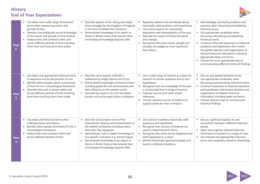# **History End of Year Expectations**



| Year<br>6  | Use dates and a wide range of historical<br>terms when sequencing events and<br>periods of time.<br>Develop chronologically secure knowledge<br>of the events and periods of time studied.<br>Analyse links and contrasts within and<br>across different periods of time including<br>short-term and long-term time scales. | Describe aspects of the Viking and Anglo-<br>▶<br>Saxon struggle for the Kingdom of England<br>in the time of Edward the Confessor.<br>ь<br>Demonstrate knowledge of an aspect or<br>theme in British history that extends their<br>chronological knowledge beyond 1066.                                                                                                            | Regularly address and sometimes devise<br>▶<br>historically valid questions and hypotheses.<br>Give some reasons for contrasting<br>Þ.<br>arguments and interpretations of the past.<br>Describe the impact of historical events<br>Þ.<br>and changes.<br>Recognise that some events, people and<br>changes are judged as more significant<br>than others.            | Acknowledge contrasting evidence and<br>▶<br>opinions when discussing and debating<br>historical issues.<br>Use appropriate vocabulary when<br>$\blacktriangleright$<br>discussing, describing and explaining<br>historical events.<br>Construct informed responses to historical<br>Þ.<br>questions and hypotheses that involve<br>thoughtful selection and organisation of<br>relevant historical information including<br>appropriate dates and terms.<br>Choose the most appropriate way of<br>communicating different historical findings. |
|------------|-----------------------------------------------------------------------------------------------------------------------------------------------------------------------------------------------------------------------------------------------------------------------------------------------------------------------------|-------------------------------------------------------------------------------------------------------------------------------------------------------------------------------------------------------------------------------------------------------------------------------------------------------------------------------------------------------------------------------------|-----------------------------------------------------------------------------------------------------------------------------------------------------------------------------------------------------------------------------------------------------------------------------------------------------------------------------------------------------------------------|-------------------------------------------------------------------------------------------------------------------------------------------------------------------------------------------------------------------------------------------------------------------------------------------------------------------------------------------------------------------------------------------------------------------------------------------------------------------------------------------------------------------------------------------------|
| Year<br>5. | ▶ Use dates and appropriate historical terms<br>to sequence events and periods of time.<br>• Identify where people, places and periods<br>of time fit into a chronological framework.<br>Describe links and contrasts within and<br>across different periods of time including<br>short-term and long-term time scales.     | Describe some aspects of Britain's<br>settlement by Anglo-Saxons and Scots.<br>Demonstrate knowledge of Ancient Greece<br>including greek life and achievements and<br>their influence on the western world.<br>Describe key aspects of a non-European<br>Þ.<br>society such as the early Islamic civilisation.                                                                     | Use a wider range of sources as a basis for<br>▶<br>research to answer questions and to test<br>hypotheses.<br>Recognise how our knowledge of the past<br>Þ.<br>is constructed from a range of sources.<br>Evaluate sources and make simple<br>$\blacktriangleright$<br>inferences.<br>Choose relevant sources of evidence to<br>support particular lines of enquiry. | Discuss and debate historical issues.<br>ь<br>Use appropriate vocabulary when<br>Þ.<br>discussing and describing historical events.<br>Construct responses to historical questions<br>and hypotheses that involve selection and<br>organisation of relevant historical<br>information including dates and terms.<br>Choose relevant ways to communicate<br>historical findings.                                                                                                                                                                 |
| Year       | $\triangleright$ Use dates and historical terms when<br>ordering events and objects.<br>Identify where people and events fit into a<br>chronological framework.<br>Explore links and contrasts within and<br>across different periods of time.                                                                              | Describe and compare some of the<br>characteristic features and achievements of<br>the earliest civilisations including where<br>and when they appeared.<br>Demonstrate more in-depth knowledge of<br>one specific civilisation e.g. Ancient Egypt.<br>Demonstrate knowledge of an aspect or<br>theme in British History that extends their<br>chronological knowledge beyond 1066. | Use sources to address historically valid<br>$\blacktriangleright$<br>questions and hypotheses.<br>Recognise how sources of evidence are<br>Þ.<br>used to make historical claims.<br>Recognise why some events happened and<br>ь<br>what happened as a result.<br>• Identify historically significant people and<br>events in different situations.                   | Discuss significant aspects of, and<br>connections between, different historical<br>events.<br>Select and organise relevant historical<br>×<br>information to present in a range of ways.<br>▶ Use relevant and appropriate historical<br>terms and vocabulary linked to chronology.                                                                                                                                                                                                                                                            |

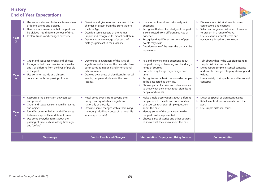# **History End of Year Expectations**



| Year<br>$\overline{\mathbf{3}}$ | Use some dates and historical terms when<br>ordering events and objects.<br>Demonstrate awareness that the past can<br>be divided into different periods of time.<br>Explore trends and changes over time.                                                                                                                 | Describe and give reasons for some of the<br>changes in Britain from the Stone Age to<br>the Iron Age.<br>Describe some aspects of the Roman<br>Empire and recognise its impact on Britain.<br>Demonstrate knowledge of aspects of<br>Þ.<br>history significant in their locality. | Use sources to address historically valid<br>Þ.<br>questions.<br>Recognise that our knowledge of the past<br>is constructed from different sources of<br>evidence.<br>Recognise that different versions of past<br>Þ.<br>events may exist.<br>Describe some of the ways the past can be<br>▶<br>represented.                                                                                  | Discuss some historical events, issues,<br>connections and changes.<br>Select and organise historical information<br>Þ.<br>to present in a range of ways.<br>Use relevant historical terms and<br>vocabulary linked to chronology.            |
|---------------------------------|----------------------------------------------------------------------------------------------------------------------------------------------------------------------------------------------------------------------------------------------------------------------------------------------------------------------------|------------------------------------------------------------------------------------------------------------------------------------------------------------------------------------------------------------------------------------------------------------------------------------|-----------------------------------------------------------------------------------------------------------------------------------------------------------------------------------------------------------------------------------------------------------------------------------------------------------------------------------------------------------------------------------------------|-----------------------------------------------------------------------------------------------------------------------------------------------------------------------------------------------------------------------------------------------|
| Year<br>$\overline{2}$          | Order and sequence events and objects.<br>Recognise that their own lives are similar<br>and / or different from the lives of people<br>in the past.<br>Use common words and phrases<br>concerned with the passing of time.                                                                                                 | Demonstrate awareness of the lives of<br>significant individuals in the past who have<br>contributed to national and international<br>achievements.<br>Develop awareness of significant historical<br>events, people and places in their own<br>locality.                          | Ask and answer simple questions about<br>$\blacktriangleright$<br>the past through observing and handling a<br>range of sources.<br>$\triangleright$ Consider why things may change over<br>time.<br>Recognise some basic reasons why people<br>in the past acted as they did.<br>Choose parts of stories and other sources<br>to show what they know about significant<br>people and events. | Talk about what / who was significant in<br>simple historical accounts.<br>Demonstrate simple historical concepts<br>Þ.<br>and events through role-play, drawing and<br>writing.<br>Use a variety of simple historical terms and<br>concepts. |
| Year<br>1                       | Recognise the distinction between past<br>Þ.<br>and present.<br>Order and sequence some familiar events<br>and objects.<br>Identify some similarities and differences<br>between ways of life at different times.<br>Use some everyday terms about the<br>Þ.<br>passing of time such as 'a long time ago'<br>and 'before'. | Retell some events from beyond their<br>living memory which are significant<br>nationally or globally.<br>Describe some changes within their living<br>memory (including aspects of national life<br>where appropriate).                                                           | Make simple observations about different<br>▶<br>people, events, beliefs and communities.<br>Use sources to answer simple questions<br>about the past.<br>• Identify some of the basic ways in which<br>the past can be represented.<br>Choose parts of stories and other sources<br>Þ.<br>to show what they know about the past.                                                             | Describe special or significant events.<br>Retell simple stories or events from the<br>past.<br>Use simple historical terms.<br>Þ.                                                                                                            |
|                                 | <b>Chronology</b>                                                                                                                                                                                                                                                                                                          | <b>Events, People and Changes</b>                                                                                                                                                                                                                                                  | <b>Interpretation, Enquiry and Using Sources</b>                                                                                                                                                                                                                                                                                                                                              | <b>Communication</b>                                                                                                                                                                                                                          |

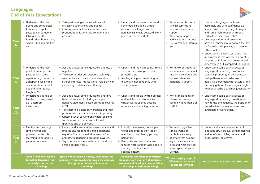# **Languages End of Year Expectations**



| Year<br>6 <sup>1</sup> | $\blacktriangleright$ Understand the main<br>points and some detail<br>from a short spoken<br>passage e.g. someone<br>talking about their<br>friends, their home town,<br>school, likes and dislikes<br>etc.     | $\blacktriangleright$ Take part in longer conversations with<br>increasing spontaneity and fluency.<br>$\triangleright$ Can express simple opinions and their<br>pronunciation is generally confident and<br>accurate.                                                                                                                                                                               | $\blacktriangleright$ Understand the main points and<br>some detail including simple<br>opinions of a longer written<br>passage e.g. email, postcard, story,<br>poem, recipe, advert etc.                                                                             | $\blacktriangleright$ Write a short text on a<br>familiar topic using<br>reference materials /<br>support.<br>$\blacktriangleright$ Write for a range of<br>audiences and purpose.<br>$\triangleright$ Use formal and informal<br>'you'. | ▶ Use basic language structures<br>accurately and with confidence e.g.<br>apply correct verb endings to regular<br>and some high frequency irregular<br>verbs (faire, aller, avoir, etre).<br>$\triangleright$ Use prepositions and use some<br>adverbial phrases to talk about the past<br>or future in a simple way e.g. there was<br>/ there will be.<br>▶ Understand the word tense and have<br>an awareness that whether an event is<br>ongoing or finished can be expressed<br>differently in a FL compared to English. |
|------------------------|------------------------------------------------------------------------------------------------------------------------------------------------------------------------------------------------------------------|------------------------------------------------------------------------------------------------------------------------------------------------------------------------------------------------------------------------------------------------------------------------------------------------------------------------------------------------------------------------------------------------------|-----------------------------------------------------------------------------------------------------------------------------------------------------------------------------------------------------------------------------------------------------------------------|------------------------------------------------------------------------------------------------------------------------------------------------------------------------------------------------------------------------------------------|-------------------------------------------------------------------------------------------------------------------------------------------------------------------------------------------------------------------------------------------------------------------------------------------------------------------------------------------------------------------------------------------------------------------------------------------------------------------------------------------------------------------------------|
| Year<br>5.             | $\blacktriangleright$ Understand the main<br>points from a spoken<br>passage with some<br>repetition e.g. items from<br>a shopping list, simple<br>opinions about school<br>depending on topics<br>taught in Y5. | Ask and answer simple questions and use a<br>negative.<br>Take part in brief pre-prepared tasks e.g. a<br>weather forecast, a short interview about<br>school, interests / transactional role play with<br>increasing confidence and fluency.                                                                                                                                                        | $\blacktriangleright$ Understand the main points from a<br>short written passage in clear<br>printed script.<br>Are beginning to use a bilingual<br>dictionary independently with<br>some success.                                                                    | $\blacktriangleright$ Write two or three short<br>sentences as a personal<br>response accurately and<br>can use reference<br>materials / support.                                                                                        | Understand some basic aspects of<br>language structure e.g. how to use<br>personal pronouns, an awareness of<br>verb patterns, word order, use of<br>adjectival agreement with accuracy and<br>the conjugation of some regular high<br>frequency verbs e.g. aimer, jouer, porter<br>etc.                                                                                                                                                                                                                                      |
| Year                   | $\blacktriangleright$ Understand a range of<br>familiar spoken phrases<br>e.g. classroom<br>instructions.                                                                                                        | $\triangleright$ Ask and answer simple questions and give<br>basic information (including a simple<br>negative statement) based on topics covered<br>in Y4.<br>$\blacktriangleright$ Take part in a simple conversation and their<br>pronunciation and confidence is improving.<br>▶ Observe social conventions when speaking<br>to someone i.e. formal and informal<br>greetings and use of 'you'). | $\blacktriangleright$ Understand simple written phrases<br>and match sounds to familiar<br>written words as they become<br>more aware of spelling patterns.                                                                                                           | $\blacktriangleright$ Write simple, familiar<br>phrases accurately<br>using a writing frame or<br>scaffold.                                                                                                                              | Understand some basic aspects of<br>language structure e.g. question words,<br>how to use the negative, the position of<br>the adjective in a sentence and an<br>awareness of word order.                                                                                                                                                                                                                                                                                                                                     |
| Year<br>$\overline{3}$ | $\blacktriangleright$ Identify the meanings of<br>simple words and<br>phrases they hear by<br>matching to an object /<br>picture/ person etc.                                                                    | $\blacktriangleright$ Understand a few familiar spoken words and<br>phrases and respond to simple questions<br>e.g. What's your name? How are you? etc.<br>and others depending on topics covered.<br>Say or repeat some familiar words and short<br>simple phrases Year 3.                                                                                                                          | $\blacktriangleright$ Identify the meanings of simple<br>words and phrases they see by<br>matching to an object / picture/<br>person etc.<br>Recognise and read out a few<br>familiar words and phrases and are<br>starting to notice the sound<br>spelling patterns. | $\triangleright$ Write or copy a few<br>simple words or<br>symbols accurately.<br>$\triangleright$ Be aware that symbols<br>e.g. accents, umlauts<br>exist and what they do<br>(also capital letters in<br>German).                      | Understand some basic aspects of<br>language structure e.g. gender, definite<br>and indefinite articles, singular and<br>plural, nouns, adjectives.                                                                                                                                                                                                                                                                                                                                                                           |
|                        | <b>Understand and respond</b><br>to spoken language from<br>a variety of resources<br>(Listening)                                                                                                                | Speak with increasing fluency, confidence and<br>spontaneity continually improving the accuracy<br>of their pronunciation and intonation<br>(speaking)                                                                                                                                                                                                                                               | <b>Understand and respond to written</b><br>language from a variety of authentic<br>resources and develop an appreciation<br>of a range of writing (reading)                                                                                                          | Write at varying length for<br>different purposes and<br>audiences (writing)                                                                                                                                                             | Use a variety of grammatical structures                                                                                                                                                                                                                                                                                                                                                                                                                                                                                       |

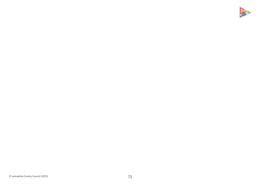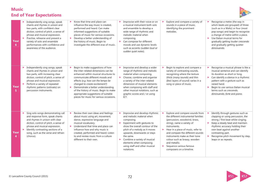# **Music End of Year Expectations**



| Year<br>6              | Independently sing songs, speak<br>chants and rhymes in unison and<br>two parts, with confident clear<br>diction, control of pitch, a sense of<br>phrase and musical expression.<br>Practise, rehearse and present a<br>variety of solo and ensemble<br>performances with confidence and<br>awareness of the audience. | Know that time and place can<br>×<br>influence the way music is created,<br>performed and heard. Can make<br>informed suggestions of suitable<br>pieces of music for various occasions.<br>$\blacktriangleright$ Develop a better understanding of<br>the history of music. Begin to<br>investigate the different eras of music.                                                                    | Improvise with their voice or on<br>×<br>a musical instrument both solo<br>and ensemble to develop a<br>wide range of rhythmic and<br>melodic material when<br>composing.<br>Can compose for different<br>moods and use dynamic levels<br>such as accents (sudden loud or<br>sudden quiet notes).                                            | Explore and compare a variety of<br>sounds in a piece of music,<br>identifying the prominent<br>melodies.                                                                                                                                                                                                                                                                                              | Recognise a metre (the way in<br>which beats are grouped) of three<br>(such as in a Waltz) or four (most<br>pop songs) and begin to recognise<br>a change of metre within a piece.<br>Use Italian musical terms for<br>gradually getting louder crescendo<br>and gradually getting quieter<br>diminuendo.                       |
|------------------------|------------------------------------------------------------------------------------------------------------------------------------------------------------------------------------------------------------------------------------------------------------------------------------------------------------------------|-----------------------------------------------------------------------------------------------------------------------------------------------------------------------------------------------------------------------------------------------------------------------------------------------------------------------------------------------------------------------------------------------------|----------------------------------------------------------------------------------------------------------------------------------------------------------------------------------------------------------------------------------------------------------------------------------------------------------------------------------------------|--------------------------------------------------------------------------------------------------------------------------------------------------------------------------------------------------------------------------------------------------------------------------------------------------------------------------------------------------------------------------------------------------------|---------------------------------------------------------------------------------------------------------------------------------------------------------------------------------------------------------------------------------------------------------------------------------------------------------------------------------|
| Year<br>5 <sup>1</sup> | Independently sing songs, speak<br>chants and rhymes in unison and<br>two parts, with increasing clear<br>diction, control of pitch, a sense of<br>phrase and musical expression.<br>Perform a variety of repeated<br>rhythmic patterns (ostinato) on<br>percussion instruments.                                       | Begin to make suggestions of how<br>the inter-related dimensions can be<br>enhanced within musical structures to<br>communicate different moods and<br>effects (e.g. how can the tempo be<br>changed to create excitement?)<br>Demonstrate a better understanding<br>×.<br>of the history of music. Begin to make<br>appropriate suggestions of suitable<br>pieces for music for various occasions. | Improvise and develop a wider<br>range of rhythmic and melodic<br>material when composing.<br>Choose, combine and organise<br>Þ.<br>a variety of the inter-related<br>dimension of musical elements<br>when composing with staff and<br>other musical notations, such as<br>graphic scores and / or using<br>ICT.                            | Begin to explore and compare a<br>variety of contrasting sounds,<br>recognising where the texture<br>(thick (many sounds) and thin<br>(few) layers of sound) varies in a<br>song or piece of music.                                                                                                                                                                                                    | Recognise a musical phrase is like a<br>musical sentence and can identify<br>its duration as short or long.<br>$\triangleright$ Can identify a silence in a rhythmic<br>pattern with a gesture such as<br>raised hand.<br>Begin to use various Italian musical<br>×<br>terms such as crescendo,<br>diminuendo, forte and piano. |
| Year<br>4              | Sing solo songs demonstrating call<br>and response form, speak chants<br>and rhymes in unison with clear<br>diction, control of pitch, a sense of<br>phrase and musical expression.<br>Identify contrasting sections of a<br>$\blacktriangleright$<br>song, such as the verse and refrain<br>(chorus).                 | $\blacktriangleright$ Review their own ideas and feelings<br>about music using art, movement,<br>dance, expressive language and<br>musical vocabulary.<br>$\blacktriangleright$ Understand that time and place can<br>influence how and why music is<br>created, performed and heard. Listen<br>to and review music from a culture<br>different to their own.                                       | Improvise and develop rhythmic<br>and melodic material when<br>composing.<br>Experiment with gestures to<br>ь<br>show the overall contour of the<br>pitch of a melody as it moves<br>upwards, downwards or stays<br>the same.<br>Combine a variety of musical<br>Ы<br>elements when composing<br>using staff and other musical<br>notations. | Explore and compare sounds from<br>the different instrumental families<br>(percussion, woodwind, brass,<br>string), name a variety of<br>instruments.<br>$\blacktriangleright$ Hear in a piece of music, refer to<br>and compare the different sounds<br>instruments make as their tone<br>colour such as brassy, wooden<br>and metallic.<br>Sequence various famous<br>▶.<br>composers on a timeline. | Identify through gestures such as<br>clapping or using percussion, the<br>strong / first beat whilst singing.<br>Keep a steady beat and maintain<br>Ы<br>rhythmic accuracy holding their<br>own beat against another<br>contrasting part.<br>Recognise pitch movement by step,<br>$\blacktriangleright$<br>leaps or as repeats. |

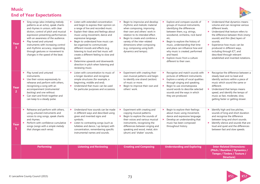## **Music End of Year Expectations**



| Year<br>$\overline{\mathbf{3}}$ | Sing songs (also imitating melody<br>patterns as an echo), speak chants<br>and rhymes in unison, with clear<br>diction, control of pitch and musical<br>expression presenting performances<br>with an awareness of the audience.<br>Play tuned and untuned<br>instruments with increasing control<br>and rhythmic accuracy, responding<br>through gestures or movement to<br>changes in the speed of the beat. | Listen with extended concentration<br>ь.<br>and begin to express their opinion on<br>a range of live and recorded music.<br>Explain their ideas and feelings about<br>×<br>music using movement, dance and<br>expressive language.<br>Begin to understand how music can<br>be organised to communicate<br>different moods and effects (e.g.<br>listening to loud and fast music will<br>create a different feeling to slow and<br>quiet).<br>Determine upwards and downwards<br>×<br>direction in pitch when listening and<br>reviewing music. | Begin to improvise and develop<br>rhythmic and melodic material<br>when composing, improving<br>their own and others' work in<br>relation to its intended effect.<br>Begin to create and combine a<br>variety of the inter-related<br>dimensions when composing<br>(e.g. composing using both<br>dynamics and tempo). | Explore and compare sounds of<br>groups of musical instruments,<br>identifying the differences<br>between them, e.g. strings,<br>woodwind, orchestra, rock band<br>etc.<br>Begin to explore the history of<br>×.<br>music, understanding that time<br>and place can influence how and<br>why music is created, performed<br>and heard.<br>Explore music from a culture<br>×<br>different to their own. | $\blacktriangleright$ Understand that dynamics means<br>volume and can recognise various<br>different levels.<br>$\blacktriangleright$ Understand that texture refers to<br>the difference between thick (many<br>sounds) and thin (few) layers of<br>sounds.<br>Experience how music can be<br>produced in different ways,<br>including through ICT, and<br>described through relevant<br>established and invented notations. |
|---------------------------------|----------------------------------------------------------------------------------------------------------------------------------------------------------------------------------------------------------------------------------------------------------------------------------------------------------------------------------------------------------------------------------------------------------------|------------------------------------------------------------------------------------------------------------------------------------------------------------------------------------------------------------------------------------------------------------------------------------------------------------------------------------------------------------------------------------------------------------------------------------------------------------------------------------------------------------------------------------------------|-----------------------------------------------------------------------------------------------------------------------------------------------------------------------------------------------------------------------------------------------------------------------------------------------------------------------|--------------------------------------------------------------------------------------------------------------------------------------------------------------------------------------------------------------------------------------------------------------------------------------------------------------------------------------------------------------------------------------------------------|--------------------------------------------------------------------------------------------------------------------------------------------------------------------------------------------------------------------------------------------------------------------------------------------------------------------------------------------------------------------------------------------------------------------------------|
| Year<br>$\overline{2}$          | Play tuned and untuned<br>instruments.<br>Use their voices expressively to<br>rehearse and perform with others,<br>recognising a song with an<br>accompaniment (instrumental<br>backing) and one without.<br>Can start and finish together and<br>can keep to a steady pulse.                                                                                                                                  | Listen with concentration to music of<br>a longer duration and recognise<br>simple structures (for example, a<br>beginning, middle and end).<br>$\blacktriangleright$ Understand that music can be used<br>for particular purposes and occasions.                                                                                                                                                                                                                                                                                              | Experiment with creating their<br>own musical patterns and begin<br>to identify one strand (section)<br>of music or more.<br>Begin to improve their own and<br>others' work.                                                                                                                                          | Recognise and match sounds with<br>pictures of different instruments.<br>Explore a variety of vocal qualities<br>through singing and speaking.<br>Begin to use onomatopoeia<br>×.<br>sound words to describe selected<br>sounds and the ways in which<br>they are produced.                                                                                                                            | Recognise the difference between a<br>steady beat and no beat and<br>identify sections within a piece of<br>music which sound the same or<br>different.<br>$\blacktriangleright$ Understand that tempo means<br>speed, and identify the tempo of<br>music as fast, moderate, slow,<br>getting faster or getting slower.                                                                                                        |
| Year<br>1                       | Rehearse and perform with others,<br>using untuned instruments and<br>voices to sing songs, speak chants<br>and rhymes.<br>Perform with confidence cumulative<br>songs (songs with a simple melody<br>that changes each verse).                                                                                                                                                                                | Understand how sounds can be made<br>ь<br>in different ways and described using<br>given and invented signs and<br>symbols.<br>Listen to contrasting songs (such as<br>ь<br>lullabies and dance / up-tempo) with<br>concentration, remembering specific<br>instrumental names and sounds.                                                                                                                                                                                                                                                      | Experiment with creating and<br>copying musical patterns.<br>Begin to explore the sounds of<br>their voices and various musical<br>instruments, recognising the<br>differences between singing and<br>speaking and wood, metal, skin<br>(drum) and 'shaker' sounds.                                                   | Begin to explore their feelings<br>about music using movement,<br>dance and expressive language.<br>Develop an understanding that<br>ь<br>music has been composed<br>throughout history.                                                                                                                                                                                                               | Identify high and low pitches,<br>sounds of long and short duration<br>and recognise the difference<br>between long and short sounds.<br>Identify silence and sounds that are<br>loud and quiet and the differences<br>between fast and slow speeds.                                                                                                                                                                           |
|                                 | <b>Performing</b>                                                                                                                                                                                                                                                                                                                                                                                              | <b>Listening and Reviewing</b>                                                                                                                                                                                                                                                                                                                                                                                                                                                                                                                 | <b>Creating and Composing</b>                                                                                                                                                                                                                                                                                         | <b>Understanding and Exploring</b>                                                                                                                                                                                                                                                                                                                                                                     | <b>Inter-Related Dimensions:</b><br>(Pitch / Duration / Dynamics /<br>Tempo / Timbre / Texture /<br><b>Structure)</b>                                                                                                                                                                                                                                                                                                          |

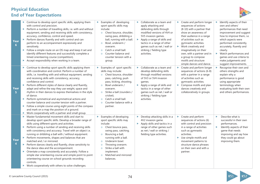## **Physical Education End of Year Expectations**



| Year<br>$6\phantom{1}$        | Continue to develop sport specific skills, applying them<br>with control and precision.<br>Perform a number of travelling skills, i.e. with and without<br>Þ.<br>equipment, sending and receiving skills with consistency,<br>accuracy, confidence, control and speed.<br>Perform dances fluently and with control and can<br>Þ.<br>perform to an accompaniment expressively and<br>sensitively.<br>Follow a simple route on an OS map and keep it set and<br>Þ.<br>identify different features and successfully complete a<br>timed orienteering course (competition).<br>Accept responsibility when working in a team.                                                                                                                                                                             | Examples of developing<br>sport specific skills may<br>include:<br>Chest bounce, shoulder,<br>$\circ$<br>swing pass, dribbling a<br>ball, running with a ball.<br>Bowl, underarm /<br>$\circ$<br>overarm.<br>Catch a small ball.<br>$\circ$<br>Counter balance and<br>$\circ$<br>counter tension with a<br>group.                         | $\triangleright$ Collaborate as a team and<br>apply attacking and<br>defending skills through<br>modified versions of 4V4 or<br>5V5 invasion games.<br>$\blacktriangleright$ Apply a range of skills and<br>tactics in a range of other<br>games such as net / wall or<br>striking / fielding type<br>activities. | Create and perform longer<br>sequences of actions<br>(8-10) with a partner that<br>show an awareness of<br>their audience in a range<br>of activities such as<br>gymnastic activities.<br>Work creatively and<br>▶<br>imaginatively on their<br>own, with a partner and in<br>a group to compose<br>motifs and structure<br>simple dances and dance. | Identify aspects of their<br>own and others'<br>performances that need<br>improvement and suggest<br>how to improve them, i.e.<br>which aspects were<br>performed consistently,<br>accurately, fluently and<br>clearly.<br>Watch performances and<br>Þ<br>games and use criteria to<br>make judgements and<br>suggest improvements. |
|-------------------------------|------------------------------------------------------------------------------------------------------------------------------------------------------------------------------------------------------------------------------------------------------------------------------------------------------------------------------------------------------------------------------------------------------------------------------------------------------------------------------------------------------------------------------------------------------------------------------------------------------------------------------------------------------------------------------------------------------------------------------------------------------------------------------------------------------|-------------------------------------------------------------------------------------------------------------------------------------------------------------------------------------------------------------------------------------------------------------------------------------------------------------------------------------------|-------------------------------------------------------------------------------------------------------------------------------------------------------------------------------------------------------------------------------------------------------------------------------------------------------------------|------------------------------------------------------------------------------------------------------------------------------------------------------------------------------------------------------------------------------------------------------------------------------------------------------------------------------------------------------|-------------------------------------------------------------------------------------------------------------------------------------------------------------------------------------------------------------------------------------------------------------------------------------------------------------------------------------|
| Year<br>5.                    | Continue to develop sport specific skills applying them<br>$\blacktriangleright$<br>with coordination and control. Perform a number of<br>skills, i.e. travelling with and without equipment, sending<br>and receiving skills with consistency, accuracy,<br>confidence and control.<br>Perform different styles of dance clearly and fluently,<br>$\blacktriangleright$<br>adapt and refine the way they use weight, space and<br>rhythm in their dances to express themselves in the style<br>of dance.<br>Perform symmetrical and asymmetrical actions and<br>Þ.<br>counter balance and counter tension with a partner.<br>Follow a simple course using eight points of the compass<br>and mark on a map the position of a ground.<br>▶ Work cooperatively with a partner and small group.        | Examples of sport specific<br>skills may include:<br>Chest bounce, shoulder<br>$\circ$<br>pass, catching, push<br>pass, kicking, shooting.<br>Bowl underarm /<br>$\circ$<br>overarm.<br>Strike a ball (rounders /<br>$\circ$<br>cricket).<br>Catch a small ball.<br>$\Omega$<br>Counter balance with a<br>$\circ$<br>partner.             | Collaborate as a team and<br>develop defending skills<br>through modified versions<br>of 5V3 or 5V4 invasion<br>games.<br>Apply a range of skills and<br>tactics in a range of other<br>games such as net / wall or<br>striking / fielding type<br>activities.                                                    | Create and perform longer<br>Þ.<br>sequences of actions (6-8)<br>with a partner in a range<br>of activities such as<br>gymnastic activities.<br>Compose motifs and plan<br>dances creatively and<br>collaboratively in groups.                                                                                                                       | Recognise their own and<br>others strengths and<br>explain why a<br>performance is good<br>using appropriate<br>terminology when<br>evaluating both their own<br>and others performances.                                                                                                                                           |
| <b>Year</b><br>$\overline{4}$ | Master fundamental movement skills and start to<br>Þ.<br>develop sport specific skills. Develop a broader range of<br>skills using different sports and activities.<br>Perform using a number of sending and receiving skills<br>Þ.<br>with consistency and accuracy. Travel with an object i.e.<br>running or dribbling a ball with / without equipment.<br>Perform movements, shapes and balances that are<br>matched and / or mirrored.<br>Perform dances clearly and fluently, show sensitivity to<br>the dance idea and the accompaniment.<br>Orientate a map consistently and accurately. Follow a<br>Þ.<br>simple star orienteering course and simple point to point<br>orienteering course on school grounds recording<br>controls.<br>▶ Work cooperatively with others to solve challenges. | Examples of developing<br>Þ.<br>sport specific skills may<br>include:<br>o Chest bounce pass,<br>swing pass, catching.<br>Bouncing a ball,<br>$\circ$<br>running with a ball.<br>Underarm bowl.<br>$\circ$<br>Throwing overarm.<br>$\circ$<br>Strike a ball with<br>$\circ$<br>implement.<br>Matched and mirrored<br>$\circ$<br>balances. | $\blacktriangleright$ Develop attacking skills in a<br>4V2 invasion game.<br>Apply skills and tactics in a<br>range of other games such<br>as net / wall or striking /<br>fielding type activities.                                                                                                               | Create and perform<br>Þ.<br>sequences of actions (6)<br>with control and precision<br>in a range of activities<br>such as gymnastic<br>activities.<br>Use simple motifs and<br>$\blacktriangleright$<br>movement patterns to<br>structure dance phrases<br>on their own and with a<br>partner.                                                       | Describe what is<br>successful in their own<br>performances.<br>Identify aspects of their<br>game that needs<br>improving and say how<br>they could go about<br>improving them.                                                                                                                                                     |

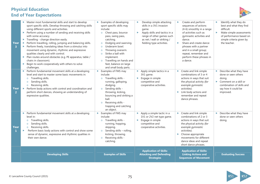**Physical Education End of Year Expectations** 



| Year<br>$\overline{\mathbf{3}}$ | Master most fundamental skills and start to develop<br>sport specific skills. Develop throwing and catching skills<br>using different sports and activities.<br>▶ Perform using a number of sending and receiving skills<br>with some accuracy.<br>Travelling - change direction easily.<br>Perform travelling, rolling, jumping and balancing skills.<br>Perform freely, translating ideas from a stimulus into<br>movement using dynamic, rhythmic and expressive<br>qualities clearly and with control.<br>Plan routes around obstacles (e.g. PE apparatus, table /<br>$\blacktriangleright$<br>chairs in classroom).<br>Begin to work cooperatively with others to solve<br>Þ.<br>challenges. | Examples of developing<br>$\blacktriangleright$<br>sport specific skills may<br>include:<br>o Chest pass, bounce<br>pass, swing pass,<br>catching.<br>Dodging and swerving.<br>$\circ$<br>Underarm bowl.<br>$\circ$<br>Throwing overarm.<br>$\circ$<br>Strike a ball with<br>$\Omega$<br>implement.<br>Travelling on hands and<br>$\circ$<br>feet, balance on large<br>and small body parts. | Develop simple attacking<br>skills in a 3V1 invasion<br>game.<br>Apply skills and tactics in a<br>Þ.<br>range of other games such<br>as net / wall or striking /<br>fielding type activities. | Create and perform<br>sequences of actions<br>(4-6) smoothly in a range<br>of activities such as<br>gymnastic activities and<br>dance.<br>Share and create dance<br>phrases with a partner<br>and in a small group;<br>repeat, remember and<br>perform these phrases in<br>a dance. | Identify what they do<br>Þ<br>best and what they find<br>difficult.<br>Make simple assessments<br>ь<br>of performance based on<br>simple criteria given by<br>the teacher. |
|---------------------------------|---------------------------------------------------------------------------------------------------------------------------------------------------------------------------------------------------------------------------------------------------------------------------------------------------------------------------------------------------------------------------------------------------------------------------------------------------------------------------------------------------------------------------------------------------------------------------------------------------------------------------------------------------------------------------------------------------|----------------------------------------------------------------------------------------------------------------------------------------------------------------------------------------------------------------------------------------------------------------------------------------------------------------------------------------------------------------------------------------------|-----------------------------------------------------------------------------------------------------------------------------------------------------------------------------------------------|-------------------------------------------------------------------------------------------------------------------------------------------------------------------------------------------------------------------------------------------------------------------------------------|----------------------------------------------------------------------------------------------------------------------------------------------------------------------------|
| Year<br>2 <sup>1</sup>          | ▶ Perform fundamental movement skills at a developing<br>level and start to master some basic movements in:<br>Travelling skills.<br>$\circ$<br>Sending skills.<br>$\circ$<br>Receiving skills.<br>$\circ$<br>Perform body actions with control and coordination and<br>perform short dances, showing an understanding of<br>expressive qualities.                                                                                                                                                                                                                                                                                                                                                | Examples of FMS may<br>include:<br>o Travelling skills -<br>running, galloping,<br>dodging.<br>Sending skills -<br>$\circ$<br>throwing, kicking,<br>bouncing and striking a<br>ball.<br>Receiving skills -<br>$\circ$<br>trapping and catching<br>an object.                                                                                                                                 | Apply simple tactics in a<br>3V1 game.<br>Engage in simple<br>Þ.<br>competitive and<br>cooperative activities.                                                                                | Create and link simple<br>combinations of 3 or 4<br>actions in ways that suit<br>the physical activity (for<br>example gymnastic<br>activities).<br>Link body actions and<br>remember and repeat<br>dance phrases.                                                                  | Describe what they have<br>Þ.<br>done or seen others<br>doing.<br>Comment on a skill or<br>combination of skills and<br>say how it could be<br>improved.                   |
| Year                            | Perform fundamental movement skills at a developing<br>level in:<br>Travelling skills.<br>$\circ$<br>Sending skills.<br>$\circ$<br>Receiving skills.<br>Perform basic body actions with control and show some<br>Þ.<br>sense of dynamic, expressive and rhythmic qualities in<br>their own dance.                                                                                                                                                                                                                                                                                                                                                                                                 | Examples of FMS may<br>include:<br>o Travelling skills -<br>running, hopping,<br>skipping.<br>Sending skills - rolling,<br>$\circ$<br>kicking, throwing.<br>Receiving skills -<br>$\circ$<br>catching.                                                                                                                                                                                       | Apply a simple tactic in a<br>1V1 or 2V2 net type game.<br>Engage in simple<br>$\blacktriangleright$<br>competitive and<br>cooperative activities.                                            | Create and link simple<br>combinations of 2 or 3<br>actions in ways that suit<br>the physical activity (for<br>example gymnastic<br>activities).<br>Choose appropriate<br>movements for different<br>dance ideas and repeat<br>short dance phrases.                                 | Describe what they have<br>done or seen others<br>doing.                                                                                                                   |
|                                 | <b>Developing Skills</b>                                                                                                                                                                                                                                                                                                                                                                                                                                                                                                                                                                                                                                                                          | <b>Examples of Skills</b>                                                                                                                                                                                                                                                                                                                                                                    | <b>Application of Skills:</b><br><b>Attacking and Defending</b><br><b>Strategies</b>                                                                                                          | <b>Application of Skills:</b><br><b>Linking Actions and</b><br><b>Sequences of Movement</b>                                                                                                                                                                                         | <b>Evaluating Success</b>                                                                                                                                                  |

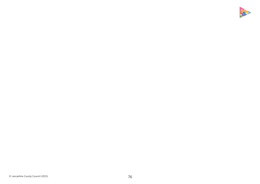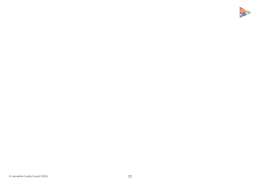